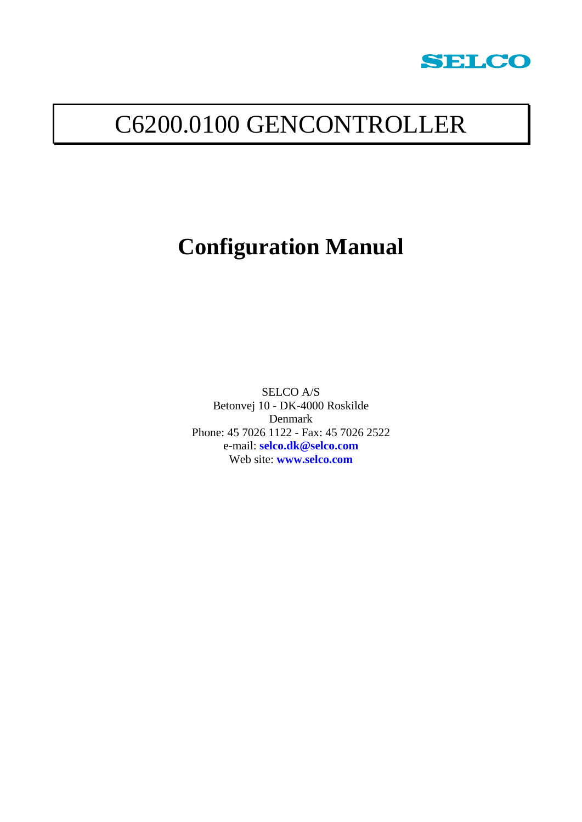

# C6200.0100 GENCONTROLLER

# **Configuration Manual**

SELCO A/S Betonvej 10 - DK-4000 Roskilde Denmark Phone: 45 7026 1122 - Fax: 45 7026 2522 e-mail: **[selco.dk@selco.com](mailto:selco.dk@selco.com)** Web site: **[www.selco.com](http://www.selco.com/)**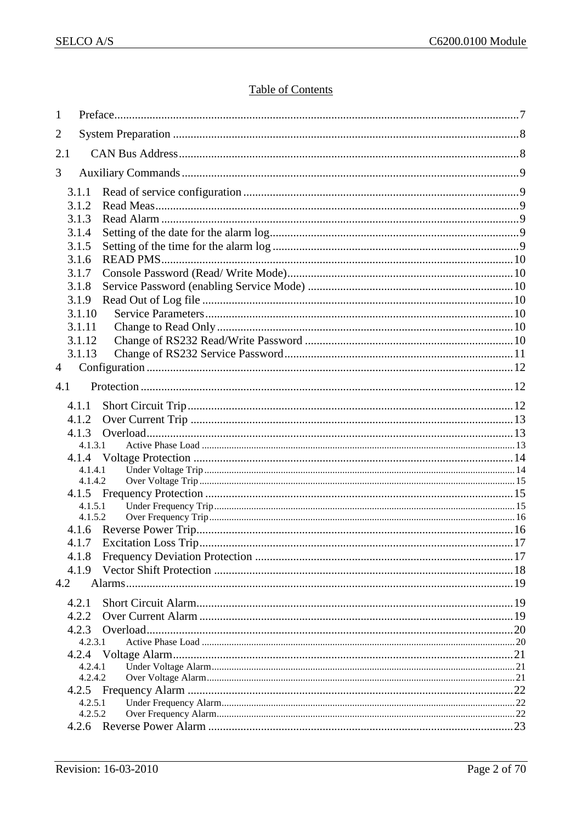# **Table of Contents**

| $\mathbf{1}$ |                    |                            |  |
|--------------|--------------------|----------------------------|--|
| 2            |                    |                            |  |
| 2.1          |                    |                            |  |
| 3            |                    |                            |  |
|              | 3.1.1              |                            |  |
|              | 3.1.2              |                            |  |
|              | 3.1.3              |                            |  |
|              | 3.1.4              |                            |  |
|              | 3.1.5<br>3.1.6     |                            |  |
|              | 3.1.7              |                            |  |
|              | 3.1.8              |                            |  |
|              | 3.1.9              |                            |  |
|              | 3.1.10             |                            |  |
|              | 3.1.11             |                            |  |
|              | 3.1.12<br>3.1.13   |                            |  |
| 4            |                    |                            |  |
|              |                    |                            |  |
| 4.1          |                    |                            |  |
|              | 4.1.1              |                            |  |
|              | 4.1.2              |                            |  |
|              | 4.1.3<br>4.1.3.1   |                            |  |
|              | 4.1.4              |                            |  |
|              | 4.1.4.1            |                            |  |
|              | 4.1.4.2            |                            |  |
|              | 4.1.5.1            |                            |  |
|              | 4.1.5.2            |                            |  |
|              |                    |                            |  |
|              |                    | 4.1.7 Excitation Loss Trip |  |
|              | 4.1.8<br>4.1.9     |                            |  |
| 4.2          |                    |                            |  |
|              |                    |                            |  |
|              | 4.2.1<br>4.2.2     |                            |  |
|              | 4.2.3              |                            |  |
|              | 4.2.3.1            |                            |  |
|              | 4.2.4              |                            |  |
|              | 4.2.4.1<br>4.2.4.2 |                            |  |
|              |                    |                            |  |
|              | 4.2.5.1            |                            |  |
|              | 4.2.5.2            |                            |  |
|              |                    |                            |  |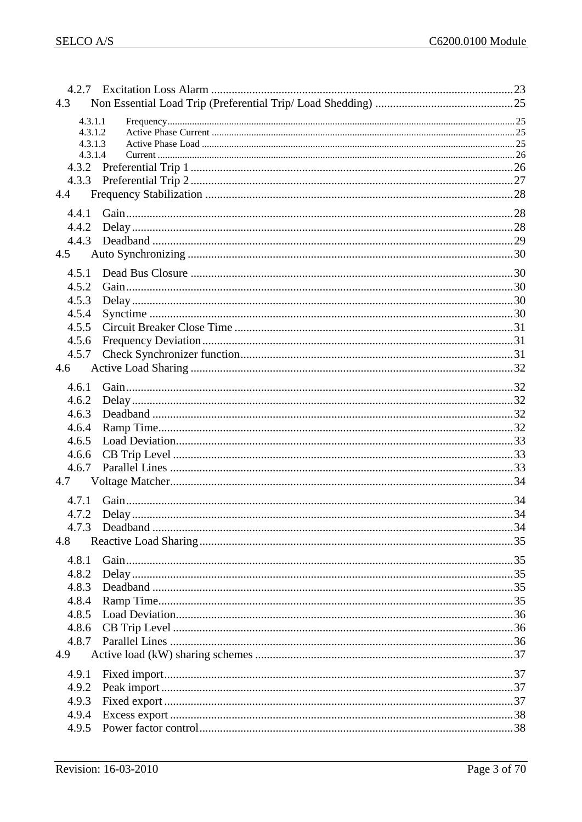| 4.3     |  |
|---------|--|
| 4.3.1.1 |  |
| 4.3.1.2 |  |
| 4.3.1.3 |  |
| 4.3.1.4 |  |
|         |  |
|         |  |
| 4.4     |  |
| 4.4.1   |  |
| 4.4.2   |  |
| 4.4.3   |  |
| 4.5     |  |
|         |  |
| 4.5.1   |  |
| 4.5.2   |  |
| 4.5.3   |  |
| 4.5.4   |  |
| 4.5.5   |  |
| 4.5.6   |  |
| 4.5.7   |  |
| 4.6     |  |
| 4.6.1   |  |
| 4.6.2   |  |
| 4.6.3   |  |
| 4.6.4   |  |
| 4.6.5   |  |
| 4.6.6   |  |
| 4.6.7   |  |
| 4.7     |  |
|         |  |
| 4.7.1   |  |
| 4.7.2   |  |
| 4.7.3   |  |
| 4.8     |  |
| 4.8.1   |  |
| 4.8.2   |  |
| 4.8.3   |  |
| 4.8.4   |  |
| 4.8.5   |  |
|         |  |
| 4.8.6   |  |
| 4.8.7   |  |
| 4.9     |  |
| 4.9.1   |  |
| 4.9.2   |  |
| 4.9.3   |  |
| 4.9.4   |  |
| 4.9.5   |  |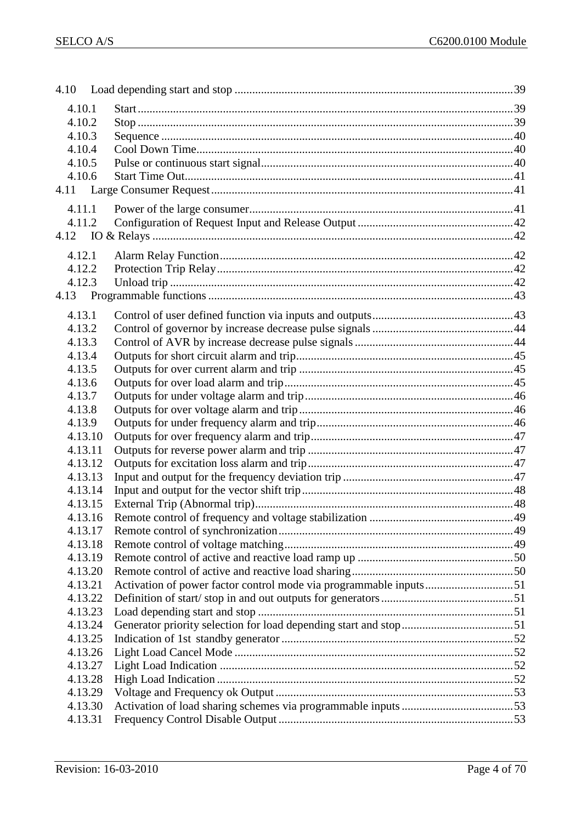| 4.10.1  |                                                                   |  |
|---------|-------------------------------------------------------------------|--|
| 4.10.2  |                                                                   |  |
| 4.10.3  |                                                                   |  |
| 4.10.4  |                                                                   |  |
| 4.10.5  |                                                                   |  |
| 4.10.6  |                                                                   |  |
|         |                                                                   |  |
| 4.11.1  |                                                                   |  |
| 4.11.2  |                                                                   |  |
|         |                                                                   |  |
| 4.12.1  |                                                                   |  |
| 4.12.2  |                                                                   |  |
| 4.12.3  |                                                                   |  |
|         |                                                                   |  |
|         |                                                                   |  |
| 4.13.1  |                                                                   |  |
| 4.13.2  |                                                                   |  |
| 4.13.3  |                                                                   |  |
| 4.13.4  |                                                                   |  |
| 4.13.5  |                                                                   |  |
| 4.13.6  |                                                                   |  |
| 4.13.7  |                                                                   |  |
| 4.13.8  |                                                                   |  |
| 4.13.9  |                                                                   |  |
| 4.13.10 |                                                                   |  |
| 4.13.11 |                                                                   |  |
| 4.13.12 |                                                                   |  |
| 4.13.13 |                                                                   |  |
| 4.13.14 |                                                                   |  |
| 4.13.15 |                                                                   |  |
| 4.13.16 |                                                                   |  |
| 4.13.17 |                                                                   |  |
| 4.13.18 |                                                                   |  |
| 4.13.19 |                                                                   |  |
| 4.13.20 |                                                                   |  |
| 4.13.21 | Activation of power factor control mode via programmable inputs51 |  |
| 4.13.22 |                                                                   |  |
| 4.13.23 |                                                                   |  |
| 4.13.24 |                                                                   |  |
| 4.13.25 |                                                                   |  |
| 4.13.26 |                                                                   |  |
| 4.13.27 |                                                                   |  |
| 4.13.28 |                                                                   |  |
| 4.13.29 |                                                                   |  |
| 4.13.30 |                                                                   |  |
| 4.13.31 |                                                                   |  |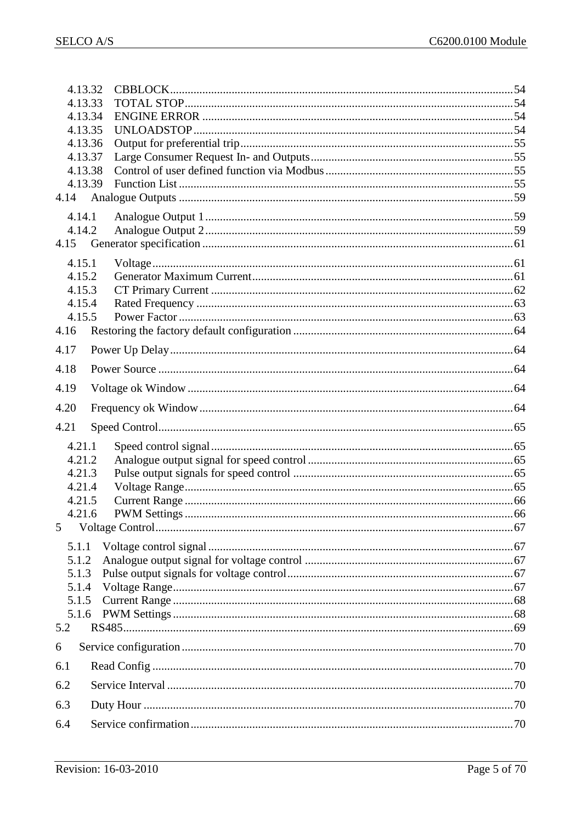| 4.13.32            |  |
|--------------------|--|
| 4.13.33            |  |
| 4.13.34            |  |
| 4.13.35<br>4.13.36 |  |
| 4.13.37            |  |
| 4.13.38            |  |
| 4.13.39            |  |
|                    |  |
| 4.14.1             |  |
| 4.14.2             |  |
|                    |  |
| 4.15.1             |  |
| 4.15.2             |  |
| 4.15.3             |  |
| 4.15.4             |  |
| 4.15.5             |  |
| 4.16               |  |
| 4.17               |  |
| 4.18               |  |
| 4.19               |  |
| 4.20               |  |
| 4.21               |  |
| 4.21.1             |  |
| 4.21.2             |  |
| 4.21.3             |  |
| 4.21.4             |  |
| 4.21.5             |  |
| 4.21.6             |  |
| 5                  |  |
| 5.1.1              |  |
| 5.1.2              |  |
| 5.1.3              |  |
| 5.1.4<br>5.1.5     |  |
| 5.1.6              |  |
| 5.2                |  |
| 6                  |  |
| 6.1                |  |
| 6.2                |  |
| 6.3                |  |
|                    |  |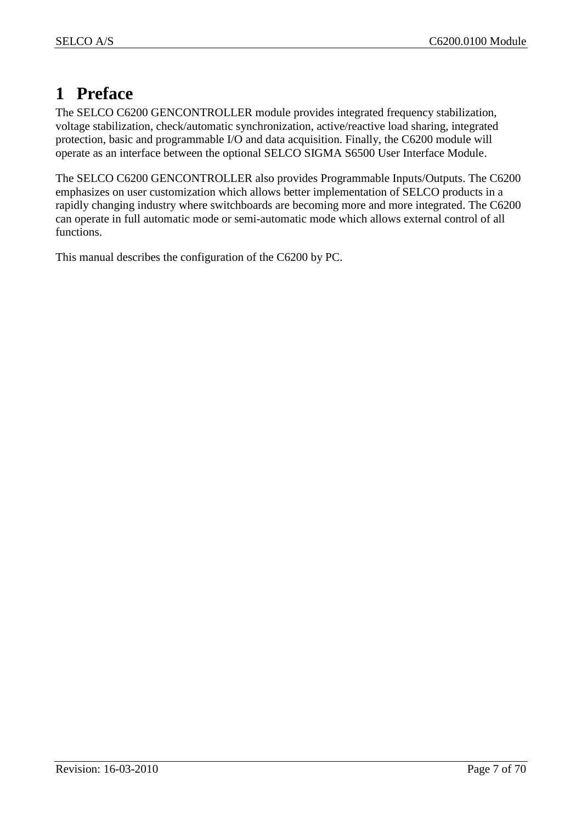# <span id="page-6-0"></span>**1 Preface**

The SELCO C6200 GENCONTROLLER module provides integrated frequency stabilization, voltage stabilization, check/automatic synchronization, active/reactive load sharing, integrated protection, basic and programmable I/O and data acquisition. Finally, the C6200 module will operate as an interface between the optional SELCO SIGMA S6500 User Interface Module.

The SELCO C6200 GENCONTROLLER also provides Programmable Inputs/Outputs. The C6200 emphasizes on user customization which allows better implementation of SELCO products in a rapidly changing industry where switchboards are becoming more and more integrated. The C6200 can operate in full automatic mode or semi-automatic mode which allows external control of all functions.

This manual describes the configuration of the C6200 by PC.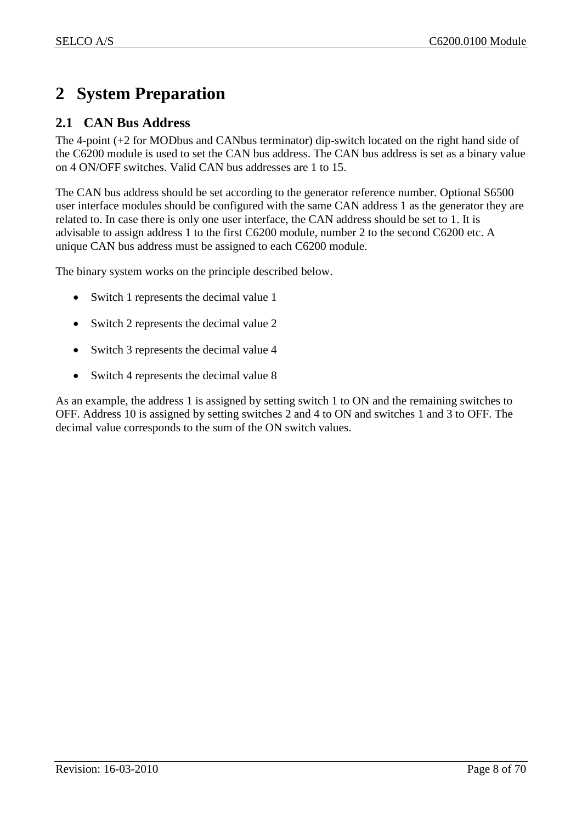# <span id="page-7-0"></span>**2 System Preparation**

# <span id="page-7-1"></span>**2.1 CAN Bus Address**

The 4-point (+2 for MODbus and CANbus terminator) dip-switch located on the right hand side of the C6200 module is used to set the CAN bus address. The CAN bus address is set as a binary value on 4 ON/OFF switches. Valid CAN bus addresses are 1 to 15.

The CAN bus address should be set according to the generator reference number. Optional S6500 user interface modules should be configured with the same CAN address 1 as the generator they are related to. In case there is only one user interface, the CAN address should be set to 1. It is advisable to assign address 1 to the first C6200 module, number 2 to the second C6200 etc. A unique CAN bus address must be assigned to each C6200 module.

The binary system works on the principle described below.

- Switch 1 represents the decimal value 1
- Switch 2 represents the decimal value 2
- Switch 3 represents the decimal value 4
- Switch 4 represents the decimal value 8

As an example, the address 1 is assigned by setting switch 1 to ON and the remaining switches to OFF. Address 10 is assigned by setting switches 2 and 4 to ON and switches 1 and 3 to OFF. The decimal value corresponds to the sum of the ON switch values.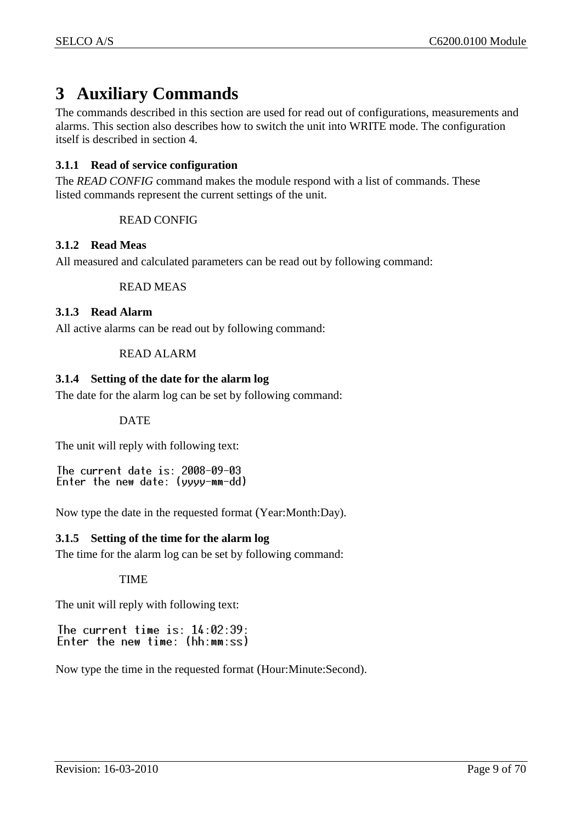# <span id="page-8-0"></span>**3 Auxiliary Commands**

The commands described in this section are used for read out of configurations, measurements and alarms. This section also describes how to switch the unit into WRITE mode. The configuration itself is described in section [4.](#page-11-0)

## <span id="page-8-1"></span>**3.1.1 Read of service configuration**

The *READ CONFIG* command makes the module respond with a list of commands. These listed commands represent the current settings of the unit.

## READ CONFIG

## <span id="page-8-2"></span>**3.1.2 Read Meas**

All measured and calculated parameters can be read out by following command:

#### READ MEAS

## <span id="page-8-3"></span>**3.1.3 Read Alarm**

All active alarms can be read out by following command:

## READ ALARM

## <span id="page-8-4"></span>**3.1.4 Setting of the date for the alarm log**

The date for the alarm log can be set by following command:

## DATE

The unit will reply with following text:

The current date is: 2008-09-03 Enter the new date: (yyyy-mm-dd)

Now type the date in the requested format (Year:Month:Day).

## <span id="page-8-5"></span>**3.1.5 Setting of the time for the alarm log**

The time for the alarm log can be set by following command:

#### TIME

The unit will reply with following text:

The current time is:  $14:02:39$ : Enter the new time: (hh:mm:ss)

Now type the time in the requested format (Hour:Minute:Second).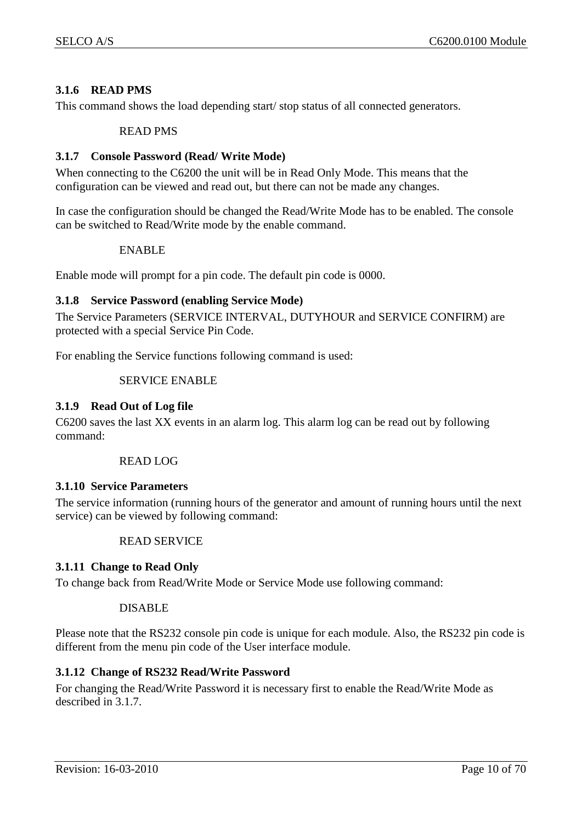## <span id="page-9-0"></span>**3.1.6 READ PMS**

This command shows the load depending start/ stop status of all connected generators.

#### READ PMS

#### <span id="page-9-1"></span>**3.1.7 Console Password (Read/ Write Mode)**

When connecting to the C6200 the unit will be in Read Only Mode. This means that the configuration can be viewed and read out, but there can not be made any changes.

In case the configuration should be changed the Read/Write Mode has to be enabled. The console can be switched to Read/Write mode by the enable command.

#### ENABLE

Enable mode will prompt for a pin code. The default pin code is 0000.

#### <span id="page-9-2"></span>**3.1.8 Service Password (enabling Service Mode)**

The Service Parameters (SERVICE INTERVAL, DUTYHOUR and SERVICE CONFIRM) are protected with a special Service Pin Code.

For enabling the Service functions following command is used:

#### SERVICE ENABLE

#### <span id="page-9-3"></span>**3.1.9 Read Out of Log file**

C6200 saves the last XX events in an alarm log. This alarm log can be read out by following command:

#### READ LOG

#### <span id="page-9-4"></span>**3.1.10 Service Parameters**

The service information (running hours of the generator and amount of running hours until the next service) can be viewed by following command:

#### READ SERVICE

#### <span id="page-9-5"></span>**3.1.11 Change to Read Only**

To change back from Read/Write Mode or Service Mode use following command:

#### DISABLE

Please note that the RS232 console pin code is unique for each module. Also, the RS232 pin code is different from the menu pin code of the User interface module.

#### <span id="page-9-6"></span>**3.1.12 Change of RS232 Read/Write Password**

For changing the Read/Write Password it is necessary first to enable the Read/Write Mode as described in [3.1.7.](#page-9-1)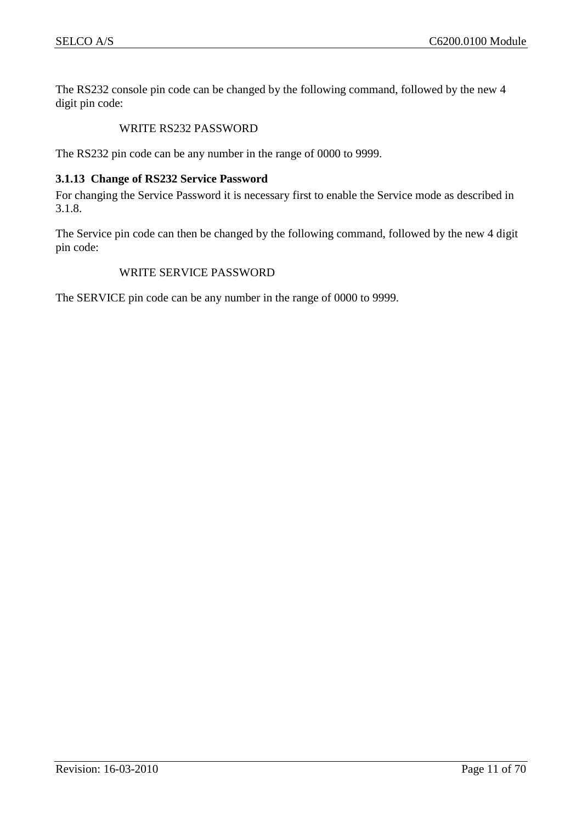The RS232 console pin code can be changed by the following command, followed by the new 4 digit pin code:

## WRITE RS232 PASSWORD

The RS232 pin code can be any number in the range of 0000 to 9999.

#### <span id="page-10-0"></span>**3.1.13 Change of RS232 Service Password**

For changing the Service Password it is necessary first to enable the Service mode as described in [3.1.8.](#page-9-2)

The Service pin code can then be changed by the following command, followed by the new 4 digit pin code:

#### WRITE SERVICE PASSWORD

The SERVICE pin code can be any number in the range of 0000 to 9999.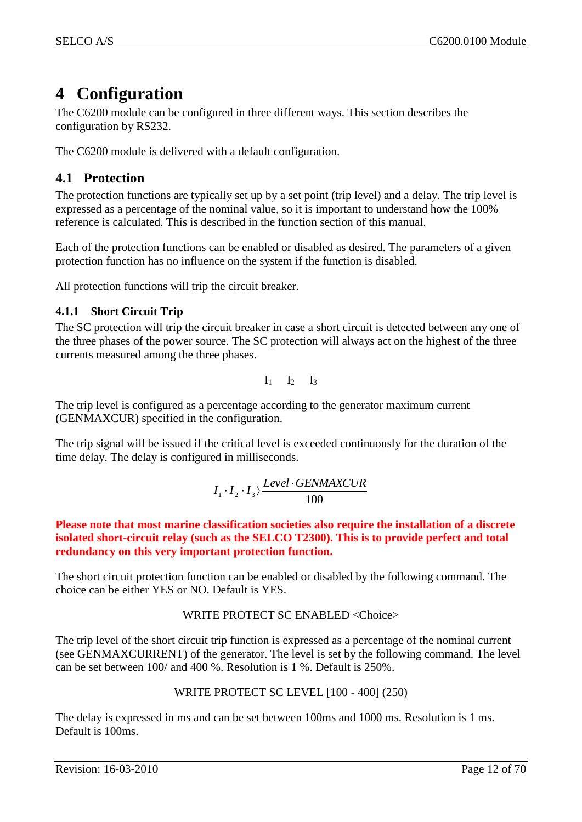# <span id="page-11-0"></span>**4 Configuration**

The C6200 module can be configured in three different ways. This section describes the configuration by RS232.

The C6200 module is delivered with a default configuration.

# <span id="page-11-1"></span>**4.1 Protection**

The protection functions are typically set up by a set point (trip level) and a delay. The trip level is expressed as a percentage of the nominal value, so it is important to understand how the 100% reference is calculated. This is described in the function section of this manual.

Each of the protection functions can be enabled or disabled as desired. The parameters of a given protection function has no influence on the system if the function is disabled.

All protection functions will trip the circuit breaker.

## <span id="page-11-2"></span>**4.1.1 Short Circuit Trip**

The SC protection will trip the circuit breaker in case a short circuit is detected between any one of the three phases of the power source. The SC protection will always act on the highest of the three currents measured among the three phases.

 $I_1$   $I_2$   $I_3$ 

The trip level is configured as a percentage according to the generator maximum current (GENMAXCUR) specified in the configuration.

The trip signal will be issued if the critical level is exceeded continuously for the duration of the time delay. The delay is configured in milliseconds.

$$
I_1 \cdot I_2 \cdot I_3 \rangle \frac{Level \cdot GENMAXCUR}{100}
$$

**Please note that most marine classification societies also require the installation of a discrete isolated short-circuit relay (such as the SELCO T2300). This is to provide perfect and total redundancy on this very important protection function.**

The short circuit protection function can be enabled or disabled by the following command. The choice can be either YES or NO. Default is YES.

## WRITE PROTECT SC ENABLED <Choice>

The trip level of the short circuit trip function is expressed as a percentage of the nominal current (see GENMAXCURRENT) of the generator. The level is set by the following command. The level can be set between 100/ and 400 %. Resolution is 1 %. Default is 250%.

## WRITE PROTECT SC LEVEL [100 - 400] (250)

The delay is expressed in ms and can be set between 100ms and 1000 ms. Resolution is 1 ms. Default is 100ms.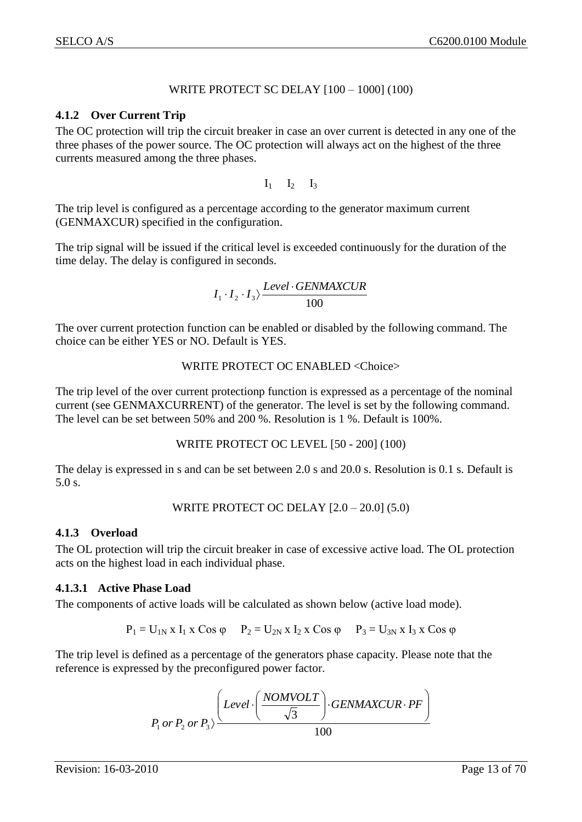## WRITE PROTECT SC DELAY [100 – 1000] (100)

#### <span id="page-12-0"></span>**4.1.2 Over Current Trip**

The OC protection will trip the circuit breaker in case an over current is detected in any one of the three phases of the power source. The OC protection will always act on the highest of the three currents measured among the three phases.

 $I_1$   $I_2$   $I_3$ 

The trip level is configured as a percentage according to the generator maximum current (GENMAXCUR) specified in the configuration.

The trip signal will be issued if the critical level is exceeded continuously for the duration of the time delay. The delay is configured in seconds.

$$
I_1 \cdot I_2 \cdot I_3 \rangle \frac{Level \cdot GENMAXCUR}{100}
$$

The over current protection function can be enabled or disabled by the following command. The choice can be either YES or NO. Default is YES.

#### WRITE PROTECT OC ENABLED <Choice>

The trip level of the over current protectionp function is expressed as a percentage of the nominal current (see GENMAXCURRENT) of the generator. The level is set by the following command. The level can be set between 50% and 200 %. Resolution is 1 %. Default is 100%.

#### WRITE PROTECT OC LEVEL [50 - 200] (100)

The delay is expressed in s and can be set between 2.0 s and 20.0 s. Resolution is 0.1 s. Default is 5.0 s.

WRITE PROTECT OC DELAY [2.0 – 20.0] (5.0)

#### <span id="page-12-1"></span>**4.1.3 Overload**

The OL protection will trip the circuit breaker in case of excessive active load. The OL protection acts on the highest load in each individual phase.

#### <span id="page-12-2"></span>**4.1.3.1 Active Phase Load**

The components of active loads will be calculated as shown below (active load mode).

$$
P_1 = U_{1N} x I_1 x \cos \varphi
$$
  $P_2 = U_{2N} x I_2 x \cos \varphi$   $P_3 = U_{3N} x I_3 x \cos \varphi$ 

The trip level is defined as a percentage of the generators phase capacity. Please note that the reference is expressed by the preconfigured power factor.

$$
P_1 \text{ or } P_2 \text{ or } P_3 \rangle \frac{\left( \text{Level} \cdot \left( \frac{NOMVOLT}{\sqrt{3}} \right) \cdot \text{GENMAXCUR} \cdot \text{PF} \right)}{100}
$$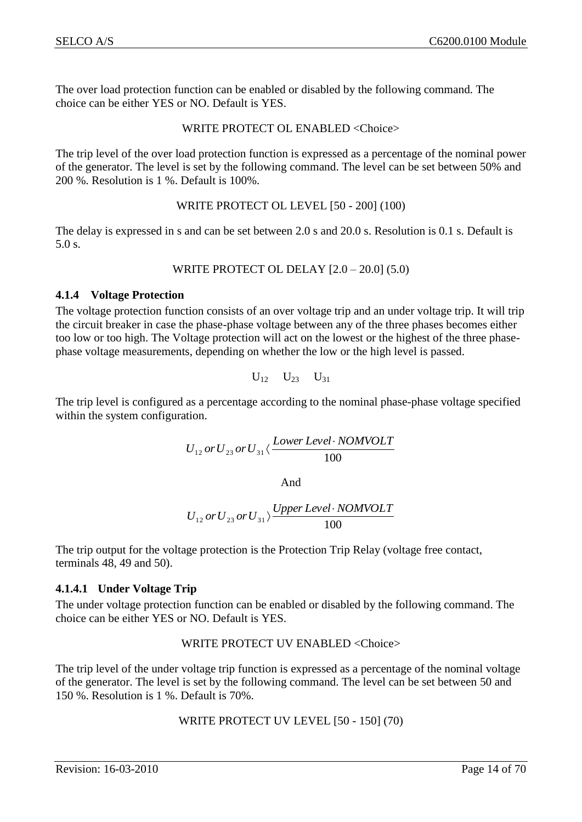The over load protection function can be enabled or disabled by the following command. The choice can be either YES or NO. Default is YES.

## WRITE PROTECT OL ENABLED <Choice>

The trip level of the over load protection function is expressed as a percentage of the nominal power of the generator. The level is set by the following command. The level can be set between 50% and 200 %. Resolution is 1 %. Default is 100%.

#### WRITE PROTECT OL LEVEL [50 - 200] (100)

The delay is expressed in s and can be set between 2.0 s and 20.0 s. Resolution is 0.1 s. Default is 5.0 s.

**WRITE PROJECT OL DELAY** 
$$
[2.0 - 20.0]
$$
  $(5.0)$ 

#### <span id="page-13-0"></span>**4.1.4 Voltage Protection**

The voltage protection function consists of an over voltage trip and an under voltage trip. It will trip the circuit breaker in case the phase-phase voltage between any of the three phases becomes either too low or too high. The Voltage protection will act on the lowest or the highest of the three phasephase voltage measurements, depending on whether the low or the high level is passed.

$$
U_{12}\hspace{0.1cm}U_{23}\hspace{0.1cm}U_{31}
$$

The trip level is configured as a percentage according to the nominal phase-phase voltage specified within the system configuration.

$$
U_{12}\,or\,U_{23}\,or\,U_{31}\langle\frac{Lower \,Level\cdot NOMVOLT}{100}
$$

And

$$
U_{12}\,or\,U_{23}\,or\,U_{31} \rangle \frac{Upper \,Level \cdot NOMVOLT}{100}
$$

The trip output for the voltage protection is the Protection Trip Relay (voltage free contact, terminals 48, 49 and 50).

## <span id="page-13-1"></span>**4.1.4.1 Under Voltage Trip**

The under voltage protection function can be enabled or disabled by the following command. The choice can be either YES or NO. Default is YES.

## WRITE PROTECT UV ENABLED <Choice>

The trip level of the under voltage trip function is expressed as a percentage of the nominal voltage of the generator. The level is set by the following command. The level can be set between 50 and 150 %. Resolution is 1 %. Default is 70%.

## WRITE PROTECT UV LEVEL [50 - 150] (70)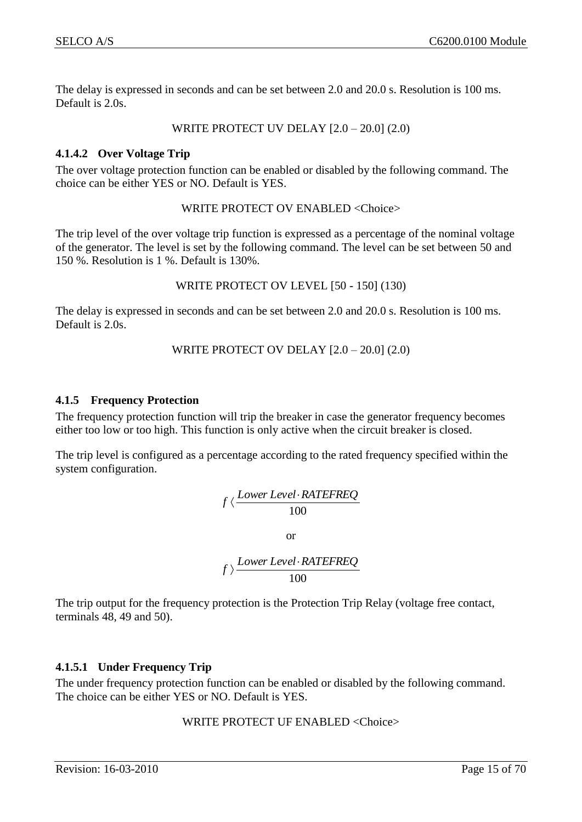The delay is expressed in seconds and can be set between 2.0 and 20.0 s. Resolution is 100 ms. Default is 2.0s.

WRITE PROTECT UV DELAY [2.0 – 20.0] (2.0)

#### <span id="page-14-0"></span>**4.1.4.2 Over Voltage Trip**

The over voltage protection function can be enabled or disabled by the following command. The choice can be either YES or NO. Default is YES.

WRITE PROTECT OV ENABLED <Choice>

The trip level of the over voltage trip function is expressed as a percentage of the nominal voltage of the generator. The level is set by the following command. The level can be set between 50 and 150 %. Resolution is 1 %. Default is 130%.

WRITE PROTECT OV LEVEL [50 - 150] (130)

The delay is expressed in seconds and can be set between 2.0 and 20.0 s. Resolution is 100 ms. Default is 2.0s.

WRITE PROTECT OV DELAY [2.0 – 20.0] (2.0)

#### <span id="page-14-1"></span>**4.1.5 Frequency Protection**

The frequency protection function will trip the breaker in case the generator frequency becomes either too low or too high. This function is only active when the circuit breaker is closed.

The trip level is configured as a percentage according to the rated frequency specified within the system configuration.

$$
f \langle \frac{Lower Level \cdot RATEREQ}{100}
$$

or

$$
f \rangle \frac{Lower Level \cdot RATEREQ}{100}
$$

The trip output for the frequency protection is the Protection Trip Relay (voltage free contact, terminals 48, 49 and 50).

## <span id="page-14-2"></span>**4.1.5.1 Under Frequency Trip**

The under frequency protection function can be enabled or disabled by the following command. The choice can be either YES or NO. Default is YES.

## WRITE PROTECT UF ENABLED <Choice>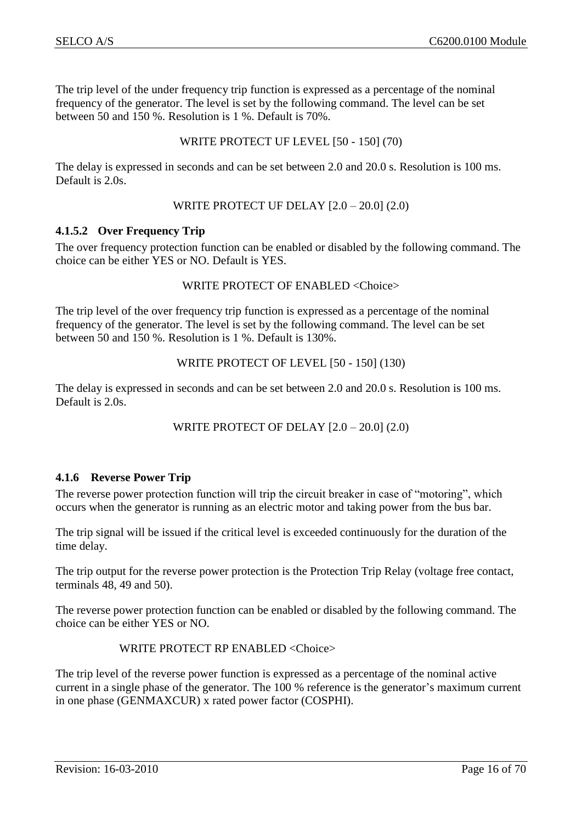The trip level of the under frequency trip function is expressed as a percentage of the nominal frequency of the generator. The level is set by the following command. The level can be set between 50 and 150 %. Resolution is 1 %. Default is 70%.

#### WRITE PROTECT UF LEVEL [50 - 150] (70)

The delay is expressed in seconds and can be set between 2.0 and 20.0 s. Resolution is 100 ms. Default is 2.0s.

## WRITE PROTECT UF DELAY [2.0 – 20.0] (2.0)

#### <span id="page-15-0"></span>**4.1.5.2 Over Frequency Trip**

The over frequency protection function can be enabled or disabled by the following command. The choice can be either YES or NO. Default is YES.

#### WRITE PROTECT OF ENABLED <Choice>

The trip level of the over frequency trip function is expressed as a percentage of the nominal frequency of the generator. The level is set by the following command. The level can be set between 50 and 150 %. Resolution is 1 %. Default is 130%.

#### WRITE PROTECT OF LEVEL [50 - 150] (130)

The delay is expressed in seconds and can be set between 2.0 and 20.0 s. Resolution is 100 ms. Default is 2.0s.

#### WRITE PROTECT OF DELAY [2.0 – 20.0] (2.0)

## <span id="page-15-1"></span>**4.1.6 Reverse Power Trip**

The reverse power protection function will trip the circuit breaker in case of "motoring", which occurs when the generator is running as an electric motor and taking power from the bus bar.

The trip signal will be issued if the critical level is exceeded continuously for the duration of the time delay.

The trip output for the reverse power protection is the Protection Trip Relay (voltage free contact, terminals 48, 49 and 50).

The reverse power protection function can be enabled or disabled by the following command. The choice can be either YES or NO.

#### WRITE PROTECT RP ENABLED <Choice>

The trip level of the reverse power function is expressed as a percentage of the nominal active current in a single phase of the generator. The 100 % reference is the generator's maximum current in one phase (GENMAXCUR) x rated power factor (COSPHI).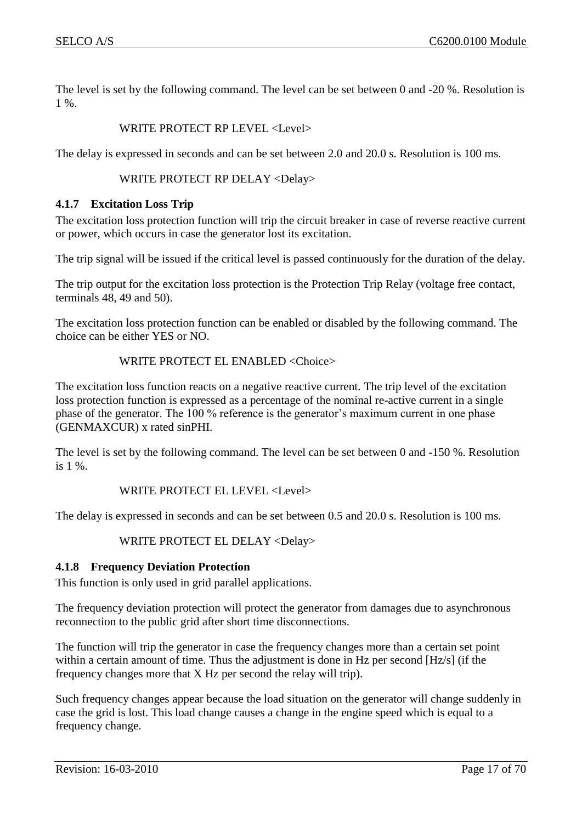The level is set by the following command. The level can be set between 0 and -20 %. Resolution is 1 %.

## WRITE PROTECT RP LEVEL <Level>

The delay is expressed in seconds and can be set between 2.0 and 20.0 s. Resolution is 100 ms.

WRITE PROTECT RP DELAY <Delay>

#### <span id="page-16-0"></span>**4.1.7 Excitation Loss Trip**

The excitation loss protection function will trip the circuit breaker in case of reverse reactive current or power, which occurs in case the generator lost its excitation.

The trip signal will be issued if the critical level is passed continuously for the duration of the delay.

The trip output for the excitation loss protection is the Protection Trip Relay (voltage free contact, terminals 48, 49 and 50).

The excitation loss protection function can be enabled or disabled by the following command. The choice can be either YES or NO.

#### WRITE PROTECT EL ENABLED <Choice>

The excitation loss function reacts on a negative reactive current. The trip level of the excitation loss protection function is expressed as a percentage of the nominal re-active current in a single phase of the generator. The 100 % reference is the generator's maximum current in one phase (GENMAXCUR) x rated sinPHI.

The level is set by the following command. The level can be set between 0 and -150 %. Resolution is 1 %.

WRITE PROTECT EL LEVEL <Level>

The delay is expressed in seconds and can be set between 0.5 and 20.0 s. Resolution is 100 ms.

WRITE PROTECT EL DELAY <Delay>

## <span id="page-16-1"></span>**4.1.8 Frequency Deviation Protection**

This function is only used in grid parallel applications.

The frequency deviation protection will protect the generator from damages due to asynchronous reconnection to the public grid after short time disconnections.

The function will trip the generator in case the frequency changes more than a certain set point within a certain amount of time. Thus the adjustment is done in Hz per second [Hz/s] (if the frequency changes more that X Hz per second the relay will trip).

Such frequency changes appear because the load situation on the generator will change suddenly in case the grid is lost. This load change causes a change in the engine speed which is equal to a frequency change.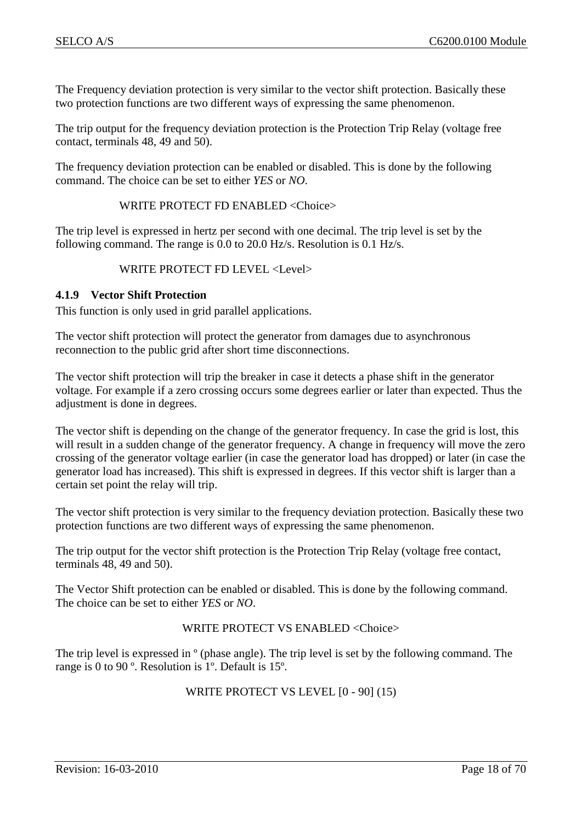The Frequency deviation protection is very similar to the vector shift protection. Basically these two protection functions are two different ways of expressing the same phenomenon.

The trip output for the frequency deviation protection is the Protection Trip Relay (voltage free contact, terminals 48, 49 and 50).

The frequency deviation protection can be enabled or disabled. This is done by the following command. The choice can be set to either *YES* or *NO*.

#### WRITE PROTECT FD ENABLED <Choice>

The trip level is expressed in hertz per second with one decimal. The trip level is set by the following command. The range is 0.0 to 20.0 Hz/s. Resolution is 0.1 Hz/s.

#### WRITE PROTECT FD LEVEL <Level>

#### <span id="page-17-0"></span>**4.1.9 Vector Shift Protection**

This function is only used in grid parallel applications.

The vector shift protection will protect the generator from damages due to asynchronous reconnection to the public grid after short time disconnections.

The vector shift protection will trip the breaker in case it detects a phase shift in the generator voltage. For example if a zero crossing occurs some degrees earlier or later than expected. Thus the adjustment is done in degrees.

The vector shift is depending on the change of the generator frequency. In case the grid is lost, this will result in a sudden change of the generator frequency. A change in frequency will move the zero crossing of the generator voltage earlier (in case the generator load has dropped) or later (in case the generator load has increased). This shift is expressed in degrees. If this vector shift is larger than a certain set point the relay will trip.

The vector shift protection is very similar to the frequency deviation protection. Basically these two protection functions are two different ways of expressing the same phenomenon.

The trip output for the vector shift protection is the Protection Trip Relay (voltage free contact, terminals 48, 49 and 50).

The Vector Shift protection can be enabled or disabled. This is done by the following command. The choice can be set to either *YES* or *NO*.

#### WRITE PROTECT VS ENABLED <Choice>

The trip level is expressed in  $\degree$  (phase angle). The trip level is set by the following command. The range is 0 to 90 º. Resolution is 1º. Default is 15º.

#### WRITE PROTECT VS LEVEL [0 - 90] (15)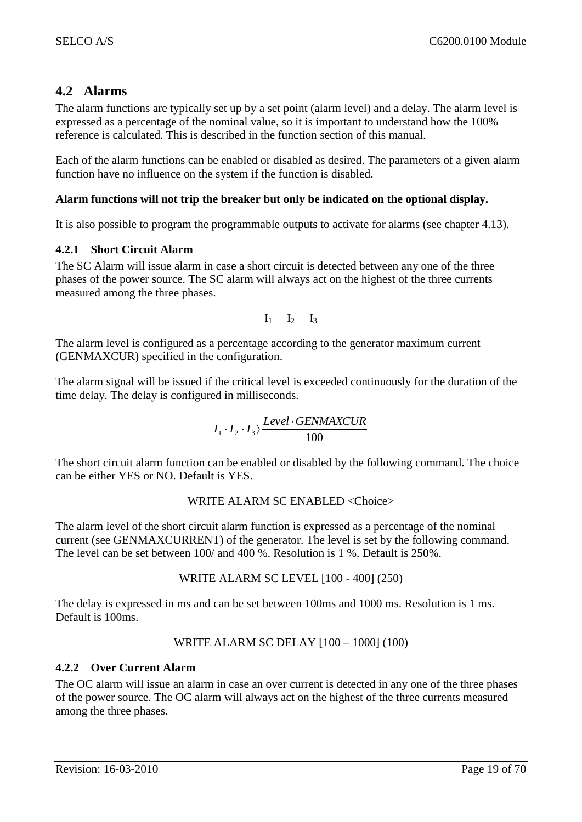# <span id="page-18-0"></span>**4.2 Alarms**

The alarm functions are typically set up by a set point (alarm level) and a delay. The alarm level is expressed as a percentage of the nominal value, so it is important to understand how the 100% reference is calculated. This is described in the function section of this manual.

Each of the alarm functions can be enabled or disabled as desired. The parameters of a given alarm function have no influence on the system if the function is disabled.

## **Alarm functions will not trip the breaker but only be indicated on the optional display.**

It is also possible to program the programmable outputs to activate for alarms (see chapter [4.13\)](#page-42-0).

## <span id="page-18-1"></span>**4.2.1 Short Circuit Alarm**

The SC Alarm will issue alarm in case a short circuit is detected between any one of the three phases of the power source. The SC alarm will always act on the highest of the three currents measured among the three phases.

$$
I_1 \qquad I_2 \qquad I_3
$$

The alarm level is configured as a percentage according to the generator maximum current (GENMAXCUR) specified in the configuration.

The alarm signal will be issued if the critical level is exceeded continuously for the duration of the time delay. The delay is configured in milliseconds.

$$
I_1 \cdot I_2 \cdot I_3 \rangle \frac{Level \cdot GENMAXCUR}{100}
$$

The short circuit alarm function can be enabled or disabled by the following command. The choice can be either YES or NO. Default is YES.

## WRITE ALARM SC ENABLED <Choice>

The alarm level of the short circuit alarm function is expressed as a percentage of the nominal current (see GENMAXCURRENT) of the generator. The level is set by the following command. The level can be set between 100/ and 400 %. Resolution is 1 %. Default is 250%.

## WRITE ALARM SC LEVEL [100 - 400] (250)

The delay is expressed in ms and can be set between 100ms and 1000 ms. Resolution is 1 ms. Default is 100ms.

## WRITE ALARM SC DELAY [100 – 1000] (100)

## <span id="page-18-2"></span>**4.2.2 Over Current Alarm**

The OC alarm will issue an alarm in case an over current is detected in any one of the three phases of the power source. The OC alarm will always act on the highest of the three currents measured among the three phases.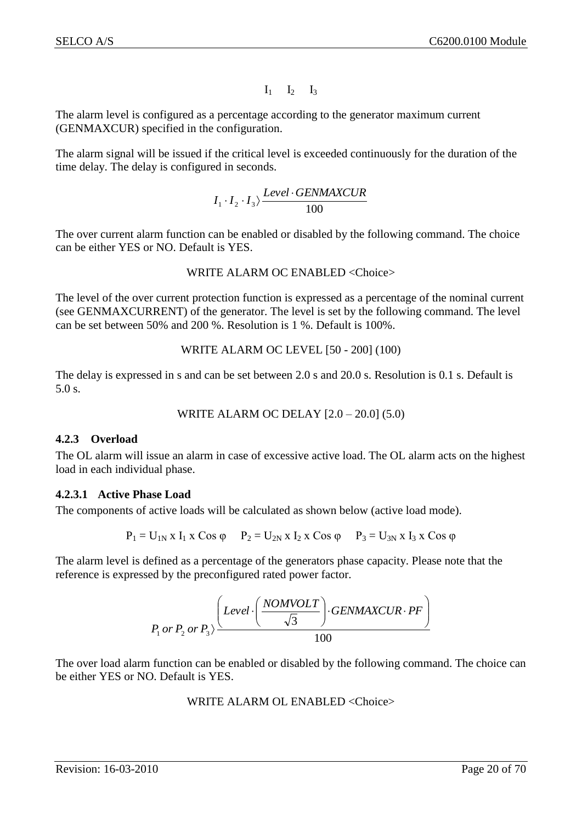$I_1$   $I_2$   $I_3$ 

The alarm level is configured as a percentage according to the generator maximum current (GENMAXCUR) specified in the configuration.

The alarm signal will be issued if the critical level is exceeded continuously for the duration of the time delay. The delay is configured in seconds.

$$
I_1 \cdot I_2 \cdot I_3 \rangle \frac{Level \cdot GENMAXCUR}{100}
$$

The over current alarm function can be enabled or disabled by the following command. The choice can be either YES or NO. Default is YES.

#### WRITE ALARM OC ENABLED <Choice>

The level of the over current protection function is expressed as a percentage of the nominal current (see GENMAXCURRENT) of the generator. The level is set by the following command. The level can be set between 50% and 200 %. Resolution is 1 %. Default is 100%.

```
WRITE ALARM OC LEVEL [50 - 200] (100)
```
The delay is expressed in s and can be set between 2.0 s and 20.0 s. Resolution is 0.1 s. Default is 5.0 s.

WRITE ALARM OC DELAY 
$$
[2.0 - 20.0]
$$
 (5.0)

## <span id="page-19-0"></span>**4.2.3 Overload**

The OL alarm will issue an alarm in case of excessive active load. The OL alarm acts on the highest load in each individual phase.

## <span id="page-19-1"></span>**4.2.3.1 Active Phase Load**

The components of active loads will be calculated as shown below (active load mode).

 $P_1 = U_{1N}$  x  $I_1$  x Cos  $\varphi$   $P_2 = U_{2N}$  x  $I_2$  x Cos  $\varphi$   $P_3 = U_{3N}$  x  $I_3$  x Cos  $\varphi$ 

The alarm level is defined as a percentage of the generators phase capacity. Please note that the reference is expressed by the preconfigured rated power factor.

$$
P_1 \text{ or } P_2 \text{ or } P_3 \rangle \frac{\left( \text{Level} \cdot \left( \frac{NOMVOLT}{\sqrt{3}} \right) \cdot \text{GENMAXCUR} \cdot \text{PF} \right)}{100}
$$

The over load alarm function can be enabled or disabled by the following command. The choice can be either YES or NO. Default is YES.

#### WRITE ALARM OL ENABLED <Choice>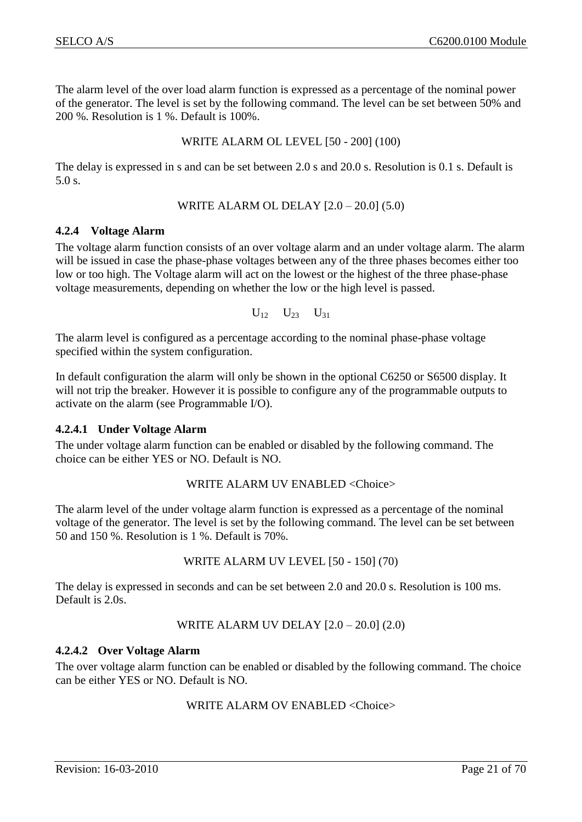The alarm level of the over load alarm function is expressed as a percentage of the nominal power of the generator. The level is set by the following command. The level can be set between 50% and 200 %. Resolution is 1 %. Default is 100%.

#### WRITE ALARM OL LEVEL [50 - 200] (100)

The delay is expressed in s and can be set between 2.0 s and 20.0 s. Resolution is 0.1 s. Default is 5.0 s.

WRITE ALARM OL DELAY 
$$
[2.0 - 20.0]
$$
 (5.0)

#### <span id="page-20-0"></span>**4.2.4 Voltage Alarm**

The voltage alarm function consists of an over voltage alarm and an under voltage alarm. The alarm will be issued in case the phase-phase voltages between any of the three phases becomes either too low or too high. The Voltage alarm will act on the lowest or the highest of the three phase-phase voltage measurements, depending on whether the low or the high level is passed.

$$
U_{12}\hspace{0.1cm}U_{23}\hspace{0.1cm}U_{31}
$$

The alarm level is configured as a percentage according to the nominal phase-phase voltage specified within the system configuration.

In default configuration the alarm will only be shown in the optional C6250 or S6500 display. It will not trip the breaker. However it is possible to configure any of the programmable outputs to activate on the alarm (see Programmable I/O).

## <span id="page-20-1"></span>**4.2.4.1 Under Voltage Alarm**

The under voltage alarm function can be enabled or disabled by the following command. The choice can be either YES or NO. Default is NO.

## WRITE ALARM UV ENABLED <Choice>

The alarm level of the under voltage alarm function is expressed as a percentage of the nominal voltage of the generator. The level is set by the following command. The level can be set between 50 and 150 %. Resolution is 1 %. Default is 70%.

## WRITE ALARM UV LEVEL [50 - 150] (70)

The delay is expressed in seconds and can be set between 2.0 and 20.0 s. Resolution is 100 ms. Default is 2.0s.

## WRITE ALARM UV DELAY [2.0 – 20.0] (2.0)

## <span id="page-20-2"></span>**4.2.4.2 Over Voltage Alarm**

The over voltage alarm function can be enabled or disabled by the following command. The choice can be either YES or NO. Default is NO.

## WRITE ALARM OV ENABLED <Choice>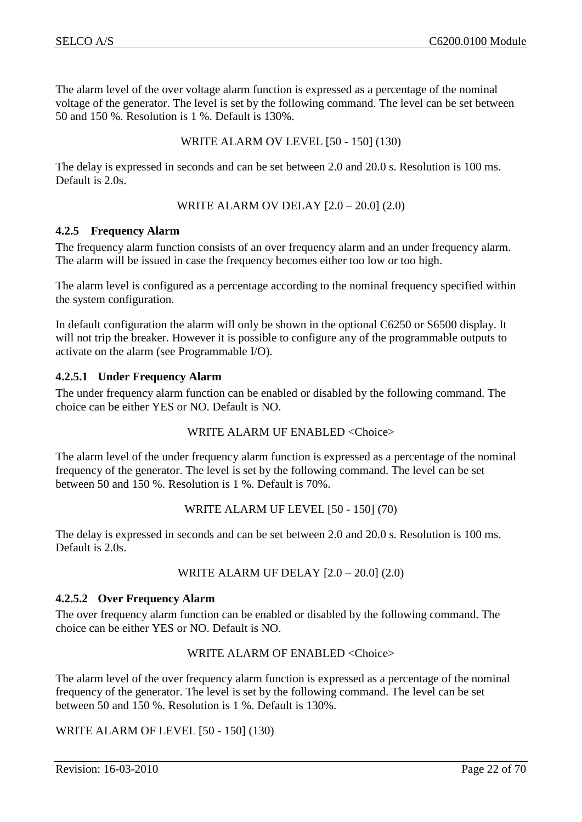The alarm level of the over voltage alarm function is expressed as a percentage of the nominal voltage of the generator. The level is set by the following command. The level can be set between 50 and 150 %. Resolution is 1 %. Default is 130%.

WRITE ALARM OV LEVEL [50 - 150] (130)

The delay is expressed in seconds and can be set between 2.0 and 20.0 s. Resolution is 100 ms. Default is 2.0s.

WRITE ALARM OV DELAY [2.0 – 20.0] (2.0)

#### <span id="page-21-0"></span>**4.2.5 Frequency Alarm**

The frequency alarm function consists of an over frequency alarm and an under frequency alarm. The alarm will be issued in case the frequency becomes either too low or too high.

The alarm level is configured as a percentage according to the nominal frequency specified within the system configuration.

In default configuration the alarm will only be shown in the optional C6250 or S6500 display. It will not trip the breaker. However it is possible to configure any of the programmable outputs to activate on the alarm (see Programmable I/O).

## <span id="page-21-1"></span>**4.2.5.1 Under Frequency Alarm**

The under frequency alarm function can be enabled or disabled by the following command. The choice can be either YES or NO. Default is NO.

## WRITE ALARM UF ENABLED <Choice>

The alarm level of the under frequency alarm function is expressed as a percentage of the nominal frequency of the generator. The level is set by the following command. The level can be set between 50 and 150 %. Resolution is 1 %. Default is 70%.

#### WRITE ALARM UF LEVEL [50 - 150] (70)

The delay is expressed in seconds and can be set between 2.0 and 20.0 s. Resolution is 100 ms. Default is 2.0s.

#### WRITE ALARM UF DELAY [2.0 – 20.0] (2.0)

#### <span id="page-21-2"></span>**4.2.5.2 Over Frequency Alarm**

The over frequency alarm function can be enabled or disabled by the following command. The choice can be either YES or NO. Default is NO.

#### WRITE ALARM OF ENABLED <Choice>

The alarm level of the over frequency alarm function is expressed as a percentage of the nominal frequency of the generator. The level is set by the following command. The level can be set between 50 and 150 %. Resolution is 1 %. Default is 130%.

## WRITE ALARM OF LEVEL [50 - 150] (130)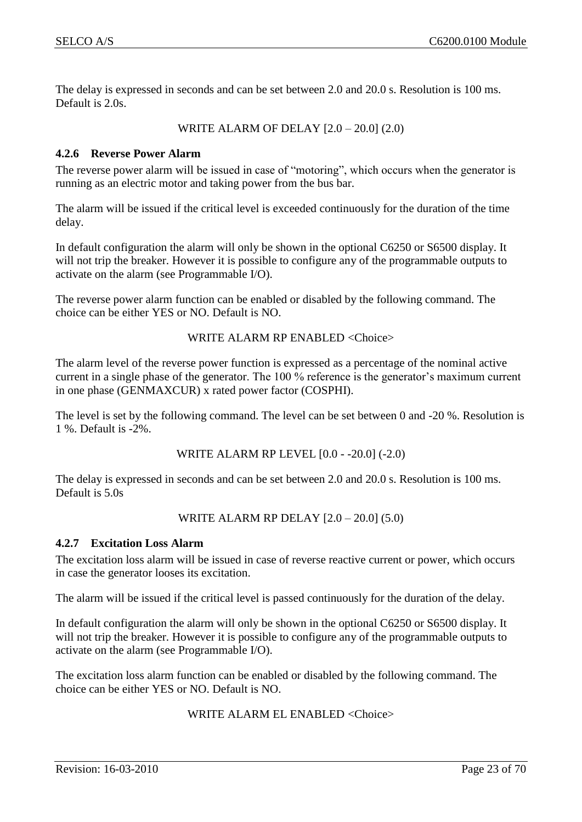The delay is expressed in seconds and can be set between 2.0 and 20.0 s. Resolution is 100 ms. Default is 2.0s.

WRITE ALARM OF DELAY [2.0 – 20.0] (2.0)

#### <span id="page-22-0"></span>**4.2.6 Reverse Power Alarm**

The reverse power alarm will be issued in case of "motoring", which occurs when the generator is running as an electric motor and taking power from the bus bar.

The alarm will be issued if the critical level is exceeded continuously for the duration of the time delay.

In default configuration the alarm will only be shown in the optional C6250 or S6500 display. It will not trip the breaker. However it is possible to configure any of the programmable outputs to activate on the alarm (see Programmable I/O).

The reverse power alarm function can be enabled or disabled by the following command. The choice can be either YES or NO. Default is NO.

#### WRITE ALARM RP ENABLED <Choice>

The alarm level of the reverse power function is expressed as a percentage of the nominal active current in a single phase of the generator. The 100 % reference is the generator's maximum current in one phase (GENMAXCUR) x rated power factor (COSPHI).

The level is set by the following command. The level can be set between 0 and -20 %. Resolution is 1 %. Default is -2%.

WRITE ALARM RP LEVEL [0.0 - -20.0] (-2.0)

The delay is expressed in seconds and can be set between 2.0 and 20.0 s. Resolution is 100 ms. Default is 5.0s

WRITE ALARM RP DELAY [2.0 – 20.0] (5.0)

#### <span id="page-22-1"></span>**4.2.7 Excitation Loss Alarm**

The excitation loss alarm will be issued in case of reverse reactive current or power, which occurs in case the generator looses its excitation.

The alarm will be issued if the critical level is passed continuously for the duration of the delay.

In default configuration the alarm will only be shown in the optional C6250 or S6500 display. It will not trip the breaker. However it is possible to configure any of the programmable outputs to activate on the alarm (see Programmable I/O).

The excitation loss alarm function can be enabled or disabled by the following command. The choice can be either YES or NO. Default is NO.

WRITE ALARM EL ENABLED <Choice>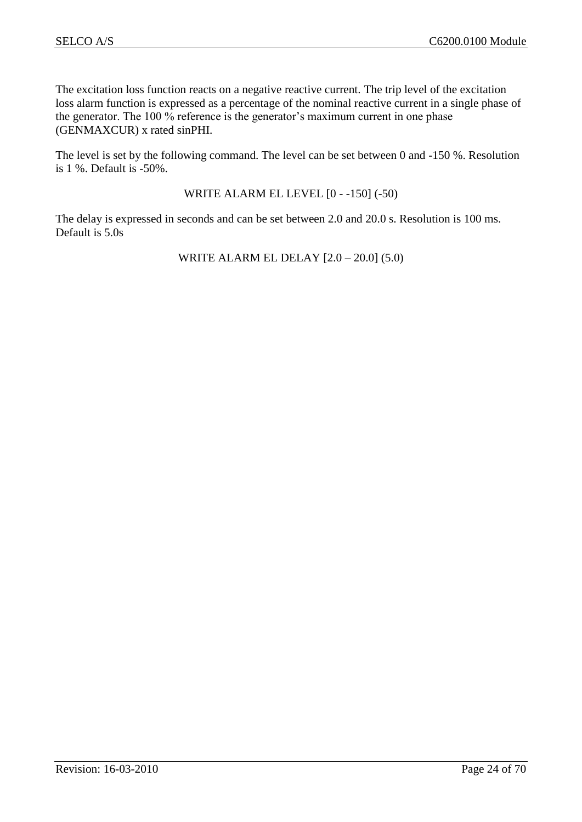The excitation loss function reacts on a negative reactive current. The trip level of the excitation loss alarm function is expressed as a percentage of the nominal reactive current in a single phase of the generator. The 100 % reference is the generator's maximum current in one phase (GENMAXCUR) x rated sinPHI.

The level is set by the following command. The level can be set between 0 and -150 %. Resolution is 1 %. Default is -50%.

WRITE ALARM EL LEVEL [0 - -150] (-50)

The delay is expressed in seconds and can be set between 2.0 and 20.0 s. Resolution is 100 ms. Default is 5.0s

WRITE ALARM EL DELAY [2.0 – 20.0] (5.0)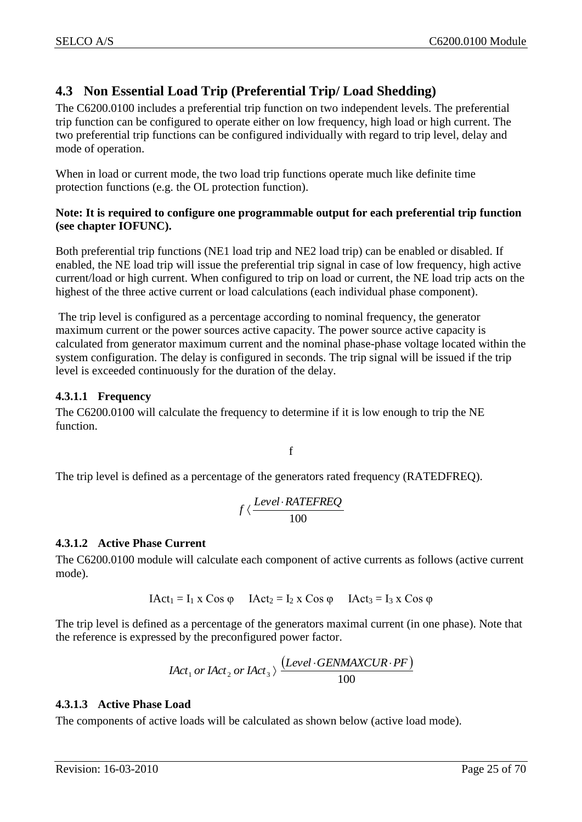# <span id="page-24-0"></span>**4.3 Non Essential Load Trip (Preferential Trip/ Load Shedding)**

The C6200.0100 includes a preferential trip function on two independent levels. The preferential trip function can be configured to operate either on low frequency, high load or high current. The two preferential trip functions can be configured individually with regard to trip level, delay and mode of operation.

When in load or current mode, the two load trip functions operate much like definite time protection functions (e.g. the OL protection function).

## **Note: It is required to configure one programmable output for each preferential trip function (see chapter IOFUNC).**

Both preferential trip functions (NE1 load trip and NE2 load trip) can be enabled or disabled. If enabled, the NE load trip will issue the preferential trip signal in case of low frequency, high active current/load or high current. When configured to trip on load or current, the NE load trip acts on the highest of the three active current or load calculations (each individual phase component).

The trip level is configured as a percentage according to nominal frequency, the generator maximum current or the power sources active capacity. The power source active capacity is calculated from generator maximum current and the nominal phase-phase voltage located within the system configuration. The delay is configured in seconds. The trip signal will be issued if the trip level is exceeded continuously for the duration of the delay.

## <span id="page-24-1"></span>**4.3.1.1 Frequency**

The C6200.0100 will calculate the frequency to determine if it is low enough to trip the NE function.

f

The trip level is defined as a percentage of the generators rated frequency (RATEDFREQ).

$$
f \langle \frac{Level \cdot RATEREQ}{100}
$$

## <span id="page-24-2"></span>**4.3.1.2 Active Phase Current**

The C6200.0100 module will calculate each component of active currents as follows (active current mode).

$$
IAct_1 = I_1 \times Cos \varphi \qquad IAct_2 = I_2 \times Cos \varphi \qquad IAct_3 = I_3 \times Cos \varphi
$$

The trip level is defined as a percentage of the generators maximal current (in one phase). Note that the reference is expressed by the preconfigured power factor.

$$
IAct_1 \text{ or } IAct_2 \text{ or } IAct_3 \rangle \xrightarrow{\text{(Level-GENMAXCUR \cdot PF)}} 100
$$

## <span id="page-24-3"></span>**4.3.1.3 Active Phase Load**

The components of active loads will be calculated as shown below (active load mode).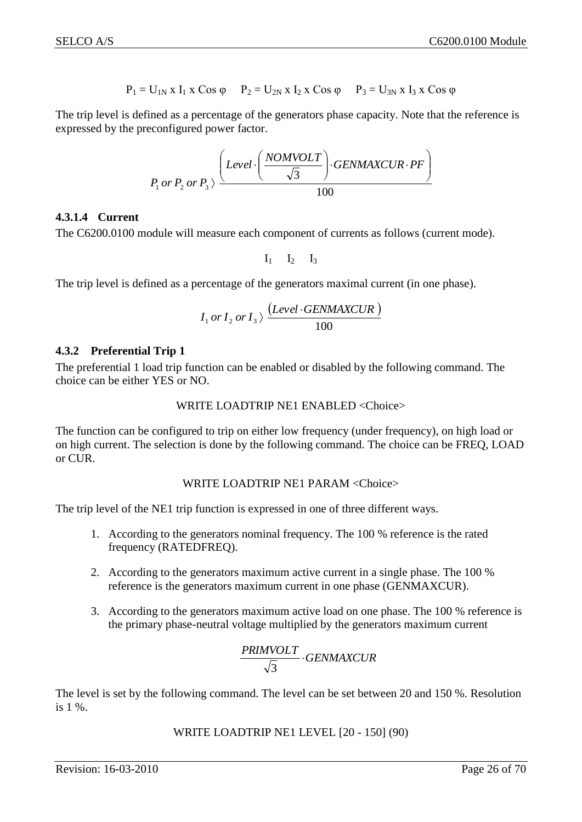$$
P_1 = U_{1N} x I_1 x \cos \varphi
$$
  $P_2 = U_{2N} x I_2 x \cos \varphi$   $P_3 = U_{3N} x I_3 x \cos \varphi$ 

The trip level is defined as a percentage of the generators phase capacity. Note that the reference is expressed by the preconfigured power factor.

$$
P_1 \text{ or } P_2 \text{ or } P_3 \rangle \frac{\left(Level \cdot \left(\frac{NOMVOLT}{\sqrt{3}}\right) \cdot GENMAXCUR \cdot PF\right)}{100}
$$

#### <span id="page-25-0"></span>**4.3.1.4 Current**

The C6200.0100 module will measure each component of currents as follows (current mode).

 $I_1$   $I_2$   $I_3$ 

The trip level is defined as a percentage of the generators maximal current (in one phase).

$$
I_1 \, or \, I_2 \, or \, I_3 \rangle \, \frac{(Level \cdot GENMAXCUR)}{100}
$$

#### <span id="page-25-1"></span>**4.3.2 Preferential Trip 1**

The preferential 1 load trip function can be enabled or disabled by the following command. The choice can be either YES or NO.

$$
{\sf WRITE\; LOADTRIP\; NE1\; ENABLED < \!\!Choice}\!\!>
$$

The function can be configured to trip on either low frequency (under frequency), on high load or on high current. The selection is done by the following command. The choice can be FREQ, LOAD or CUR.

#### WRITE LOADTRIP NE1 PARAM <Choice>

The trip level of the NE1 trip function is expressed in one of three different ways.

- 1. According to the generators nominal frequency. The 100 % reference is the rated frequency (RATEDFREQ).
- 2. According to the generators maximum active current in a single phase. The 100 % reference is the generators maximum current in one phase (GENMAXCUR).
- 3. According to the generators maximum active load on one phase. The 100 % reference is the primary phase-neutral voltage multiplied by the generators maximum current

$$
\frac{PRINVOLT}{\sqrt{3}} \cdot GENMAXCUR
$$

The level is set by the following command. The level can be set between 20 and 150 %. Resolution is 1 %.

WRITE LOADTRIP NE1 LEVEL [20 - 150] (90)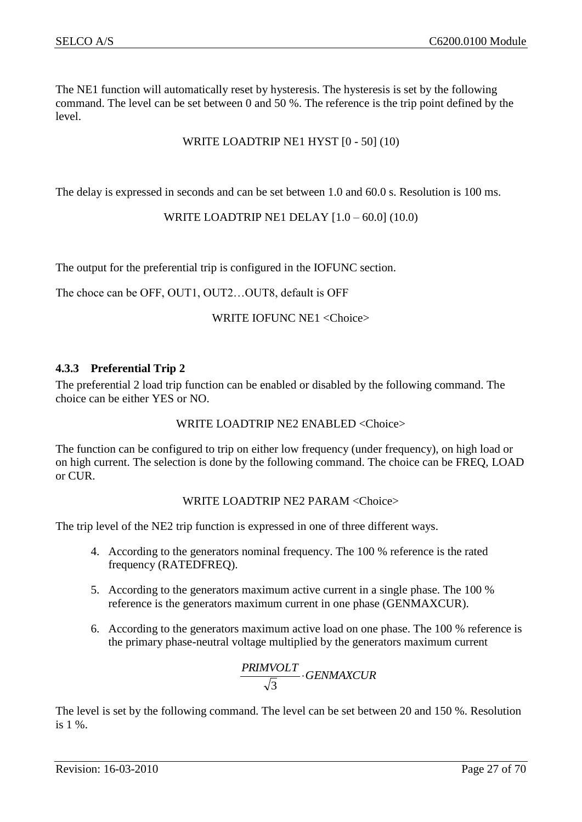The NE1 function will automatically reset by hysteresis. The hysteresis is set by the following command. The level can be set between 0 and 50 %. The reference is the trip point defined by the level.

## WRITE LOADTRIP NE1 HYST [0 - 50] (10)

The delay is expressed in seconds and can be set between 1.0 and 60.0 s. Resolution is 100 ms.

WRITE LOADTRIP NE1 DELAY [1.0 – 60.0] (10.0)

The output for the preferential trip is configured in the IOFUNC section.

The choce can be OFF, OUT1, OUT2…OUT8, default is OFF

#### WRITE IOFUNC NE1 <Choice>

#### <span id="page-26-0"></span>**4.3.3 Preferential Trip 2**

The preferential 2 load trip function can be enabled or disabled by the following command. The choice can be either YES or NO.

#### WRITE LOADTRIP NE2 ENABLED <Choice>

The function can be configured to trip on either low frequency (under frequency), on high load or on high current. The selection is done by the following command. The choice can be FREQ, LOAD or CUR.

#### WRITE LOADTRIP NE2 PARAM <Choice>

The trip level of the NE2 trip function is expressed in one of three different ways.

- 4. According to the generators nominal frequency. The 100 % reference is the rated frequency (RATEDFREQ).
- 5. According to the generators maximum active current in a single phase. The 100 % reference is the generators maximum current in one phase (GENMAXCUR).
- 6. According to the generators maximum active load on one phase. The 100 % reference is the primary phase-neutral voltage multiplied by the generators maximum current

$$
\frac{PRINVOLT}{\sqrt{3}} \cdot GENMAXCUR
$$

The level is set by the following command. The level can be set between 20 and 150 %. Resolution is 1 %.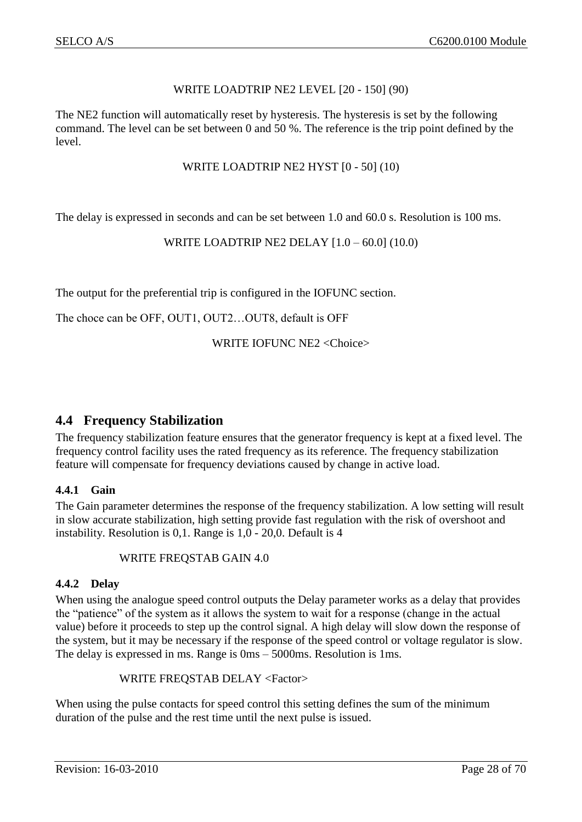## WRITE LOADTRIP NE2 LEVEL [20 - 150] (90)

The NE2 function will automatically reset by hysteresis. The hysteresis is set by the following command. The level can be set between 0 and 50 %. The reference is the trip point defined by the level.

#### WRITE LOADTRIP NE2 HYST [0 - 50] (10)

The delay is expressed in seconds and can be set between 1.0 and 60.0 s. Resolution is 100 ms.

WRITE LOADTRIP NE2 DELAY [1.0 – 60.0] (10.0)

The output for the preferential trip is configured in the IOFUNC section.

The choce can be OFF, OUT1, OUT2…OUT8, default is OFF

WRITE IOFUNC NE2 <Choice>

## <span id="page-27-0"></span>**4.4 Frequency Stabilization**

The frequency stabilization feature ensures that the generator frequency is kept at a fixed level. The frequency control facility uses the rated frequency as its reference. The frequency stabilization feature will compensate for frequency deviations caused by change in active load.

## <span id="page-27-1"></span>**4.4.1 Gain**

The Gain parameter determines the response of the frequency stabilization. A low setting will result in slow accurate stabilization, high setting provide fast regulation with the risk of overshoot and instability. Resolution is 0,1. Range is 1,0 - 20,0. Default is 4

WRITE FREQSTAB GAIN 4.0

#### <span id="page-27-2"></span>**4.4.2 Delay**

When using the analogue speed control outputs the Delay parameter works as a delay that provides the "patience" of the system as it allows the system to wait for a response (change in the actual value) before it proceeds to step up the control signal. A high delay will slow down the response of the system, but it may be necessary if the response of the speed control or voltage regulator is slow. The delay is expressed in ms. Range is 0ms – 5000ms. Resolution is 1ms.

#### WRITE FREQSTAB DELAY <Factor>

When using the pulse contacts for speed control this setting defines the sum of the minimum duration of the pulse and the rest time until the next pulse is issued.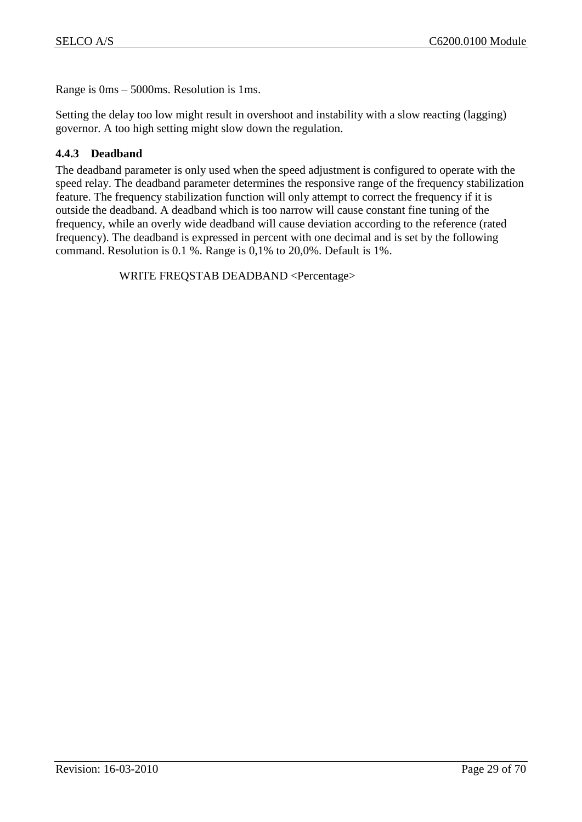Range is 0ms – 5000ms. Resolution is 1ms.

Setting the delay too low might result in overshoot and instability with a slow reacting (lagging) governor. A too high setting might slow down the regulation.

## <span id="page-28-0"></span>**4.4.3 Deadband**

The deadband parameter is only used when the speed adjustment is configured to operate with the speed relay. The deadband parameter determines the responsive range of the frequency stabilization feature. The frequency stabilization function will only attempt to correct the frequency if it is outside the deadband. A deadband which is too narrow will cause constant fine tuning of the frequency, while an overly wide deadband will cause deviation according to the reference (rated frequency). The deadband is expressed in percent with one decimal and is set by the following command. Resolution is 0.1 %. Range is 0,1% to 20,0%. Default is 1%.

WRITE FREQSTAB DEADBAND <Percentage>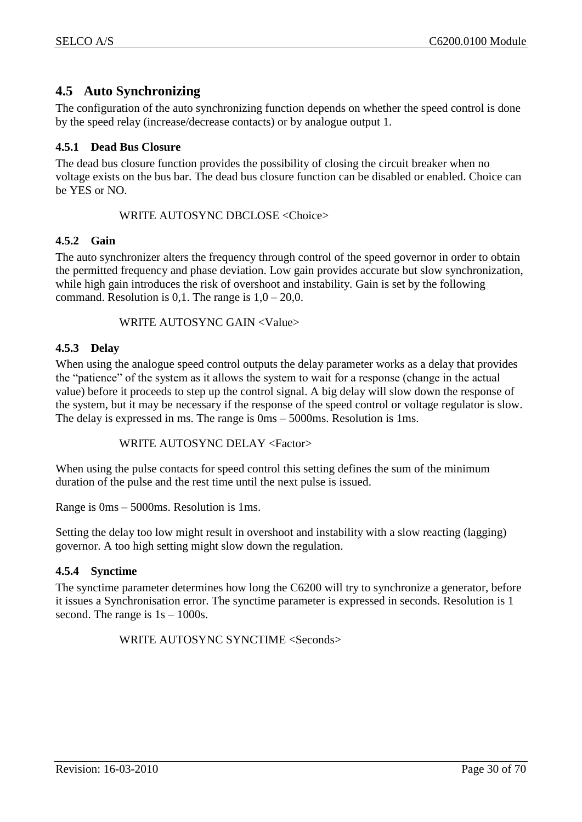# <span id="page-29-0"></span>**4.5 Auto Synchronizing**

The configuration of the auto synchronizing function depends on whether the speed control is done by the speed relay (increase/decrease contacts) or by analogue output 1.

## <span id="page-29-1"></span>**4.5.1 Dead Bus Closure**

The dead bus closure function provides the possibility of closing the circuit breaker when no voltage exists on the bus bar. The dead bus closure function can be disabled or enabled. Choice can be YES or NO.

WRITE AUTOSYNC DBCLOSE <Choice>

#### <span id="page-29-2"></span>**4.5.2 Gain**

The auto synchronizer alters the frequency through control of the speed governor in order to obtain the permitted frequency and phase deviation. Low gain provides accurate but slow synchronization, while high gain introduces the risk of overshoot and instability. Gain is set by the following command. Resolution is 0,1. The range is  $1,0 - 20,0$ .

WRITE AUTOSYNC GAIN <Value>

#### <span id="page-29-3"></span>**4.5.3 Delay**

When using the analogue speed control outputs the delay parameter works as a delay that provides the "patience" of the system as it allows the system to wait for a response (change in the actual value) before it proceeds to step up the control signal. A big delay will slow down the response of the system, but it may be necessary if the response of the speed control or voltage regulator is slow. The delay is expressed in ms. The range is 0ms – 5000ms. Resolution is 1ms.

WRITE AUTOSYNC DELAY <Factor>

When using the pulse contacts for speed control this setting defines the sum of the minimum duration of the pulse and the rest time until the next pulse is issued.

Range is 0ms – 5000ms. Resolution is 1ms.

Setting the delay too low might result in overshoot and instability with a slow reacting (lagging) governor. A too high setting might slow down the regulation.

## <span id="page-29-4"></span>**4.5.4 Synctime**

The synctime parameter determines how long the C6200 will try to synchronize a generator, before it issues a Synchronisation error. The synctime parameter is expressed in seconds. Resolution is 1 second. The range is  $1s - 1000s$ .

WRITE AUTOSYNC SYNCTIME <Seconds>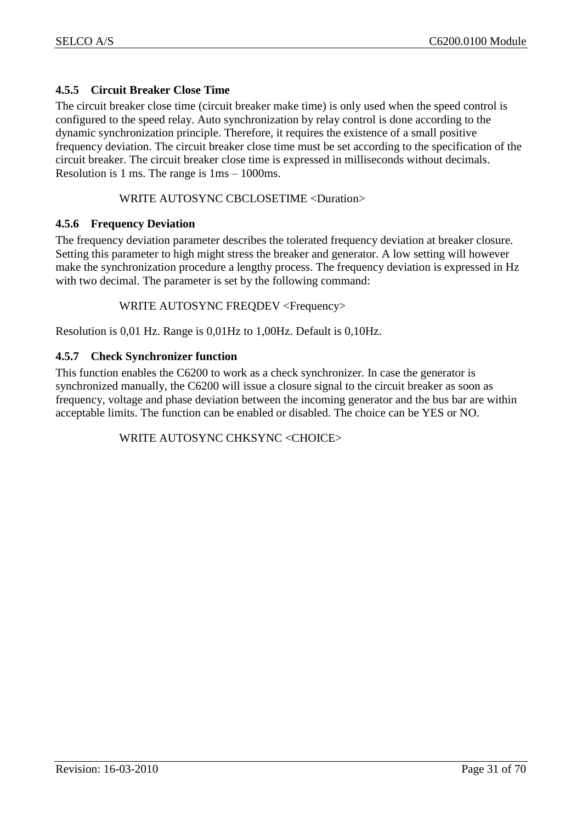## <span id="page-30-0"></span>**4.5.5 Circuit Breaker Close Time**

The circuit breaker close time (circuit breaker make time) is only used when the speed control is configured to the speed relay. Auto synchronization by relay control is done according to the dynamic synchronization principle. Therefore, it requires the existence of a small positive frequency deviation. The circuit breaker close time must be set according to the specification of the circuit breaker. The circuit breaker close time is expressed in milliseconds without decimals. Resolution is 1 ms. The range is 1ms – 1000ms.

## WRITE AUTOSYNC CBCLOSETIME <Duration>

#### <span id="page-30-1"></span>**4.5.6 Frequency Deviation**

The frequency deviation parameter describes the tolerated frequency deviation at breaker closure. Setting this parameter to high might stress the breaker and generator. A low setting will however make the synchronization procedure a lengthy process. The frequency deviation is expressed in Hz with two decimal. The parameter is set by the following command:

WRITE AUTOSYNC FREQDEV <Frequency>

Resolution is 0,01 Hz. Range is 0,01Hz to 1,00Hz. Default is 0,10Hz.

#### <span id="page-30-2"></span>**4.5.7 Check Synchronizer function**

This function enables the C6200 to work as a check synchronizer. In case the generator is synchronized manually, the C6200 will issue a closure signal to the circuit breaker as soon as frequency, voltage and phase deviation between the incoming generator and the bus bar are within acceptable limits. The function can be enabled or disabled. The choice can be YES or NO.

WRITE AUTOSYNC CHKSYNC <CHOICE>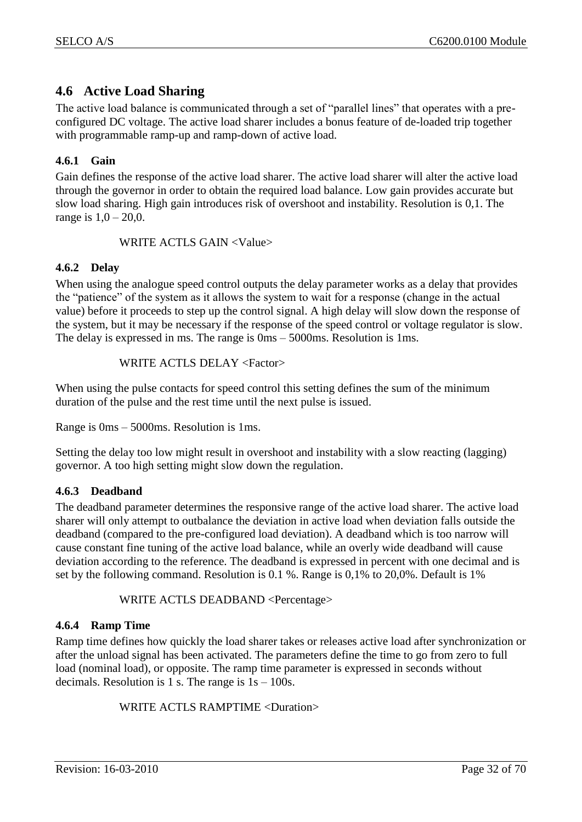# <span id="page-31-0"></span>**4.6 Active Load Sharing**

The active load balance is communicated through a set of "parallel lines" that operates with a preconfigured DC voltage. The active load sharer includes a bonus feature of de-loaded trip together with programmable ramp-up and ramp-down of active load.

## <span id="page-31-1"></span>**4.6.1 Gain**

Gain defines the response of the active load sharer. The active load sharer will alter the active load through the governor in order to obtain the required load balance. Low gain provides accurate but slow load sharing. High gain introduces risk of overshoot and instability. Resolution is 0,1. The range is  $1,0 - 20,0$ .

WRITE ACTLS GAIN <Value>

## <span id="page-31-2"></span>**4.6.2 Delay**

When using the analogue speed control outputs the delay parameter works as a delay that provides the "patience" of the system as it allows the system to wait for a response (change in the actual value) before it proceeds to step up the control signal. A high delay will slow down the response of the system, but it may be necessary if the response of the speed control or voltage regulator is slow. The delay is expressed in ms. The range is 0ms – 5000ms. Resolution is 1ms.

WRITE ACTLS DELAY <Factor>

When using the pulse contacts for speed control this setting defines the sum of the minimum duration of the pulse and the rest time until the next pulse is issued.

Range is 0ms – 5000ms. Resolution is 1ms.

Setting the delay too low might result in overshoot and instability with a slow reacting (lagging) governor. A too high setting might slow down the regulation.

## <span id="page-31-3"></span>**4.6.3 Deadband**

The deadband parameter determines the responsive range of the active load sharer. The active load sharer will only attempt to outbalance the deviation in active load when deviation falls outside the deadband (compared to the pre-configured load deviation). A deadband which is too narrow will cause constant fine tuning of the active load balance, while an overly wide deadband will cause deviation according to the reference. The deadband is expressed in percent with one decimal and is set by the following command. Resolution is 0.1 %. Range is 0,1% to 20,0%. Default is 1%

WRITE ACTLS DEADBAND <Percentage>

## <span id="page-31-4"></span>**4.6.4 Ramp Time**

Ramp time defines how quickly the load sharer takes or releases active load after synchronization or after the unload signal has been activated. The parameters define the time to go from zero to full load (nominal load), or opposite. The ramp time parameter is expressed in seconds without decimals. Resolution is 1 s. The range is  $1s - 100s$ .

WRITE ACTLS RAMPTIME <Duration>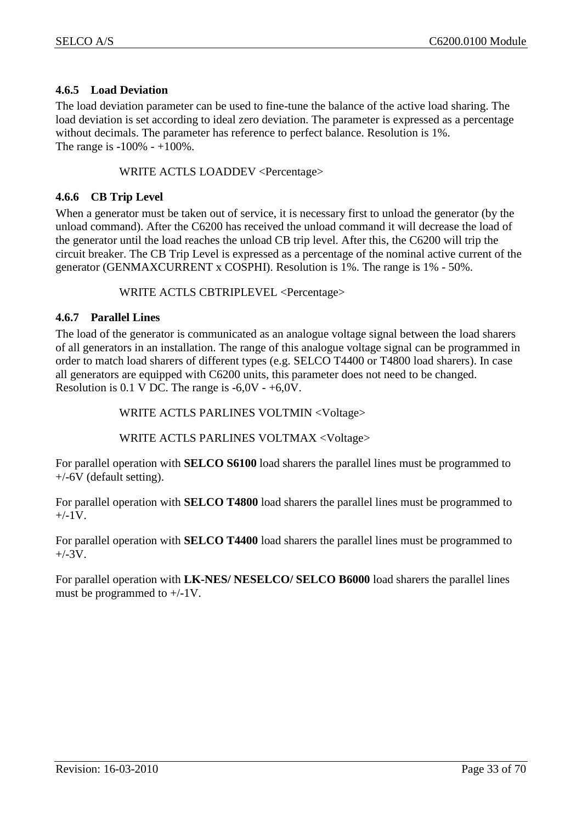## <span id="page-32-0"></span>**4.6.5 Load Deviation**

The load deviation parameter can be used to fine-tune the balance of the active load sharing. The load deviation is set according to ideal zero deviation. The parameter is expressed as a percentage without decimals. The parameter has reference to perfect balance. Resolution is 1%. The range is  $-100\% - +100\%$ .

## WRITE ACTLS LOADDEV <Percentage>

## <span id="page-32-1"></span>**4.6.6 CB Trip Level**

When a generator must be taken out of service, it is necessary first to unload the generator (by the unload command). After the C6200 has received the unload command it will decrease the load of the generator until the load reaches the unload CB trip level. After this, the C6200 will trip the circuit breaker. The CB Trip Level is expressed as a percentage of the nominal active current of the generator (GENMAXCURRENT x COSPHI). Resolution is 1%. The range is 1% - 50%.

#### WRITE ACTLS CBTRIPLEVEL <Percentage>

#### <span id="page-32-2"></span>**4.6.7 Parallel Lines**

The load of the generator is communicated as an analogue voltage signal between the load sharers of all generators in an installation. The range of this analogue voltage signal can be programmed in order to match load sharers of different types (e.g. SELCO T4400 or T4800 load sharers). In case all generators are equipped with C6200 units, this parameter does not need to be changed. Resolution is 0.1 V DC. The range is  $-6.0V - +6.0V$ .

WRITE ACTLS PARLINES VOLTMIN <Voltage>

## WRITE ACTLS PARLINES VOLTMAX <Voltage>

For parallel operation with **SELCO S6100** load sharers the parallel lines must be programmed to +/-6V (default setting).

For parallel operation with **SELCO T4800** load sharers the parallel lines must be programmed to  $+/-1V$ .

For parallel operation with **SELCO T4400** load sharers the parallel lines must be programmed to  $+/-3V$ .

For parallel operation with **LK-NES/ NESELCO/ SELCO B6000** load sharers the parallel lines must be programmed to  $+/-1$ V.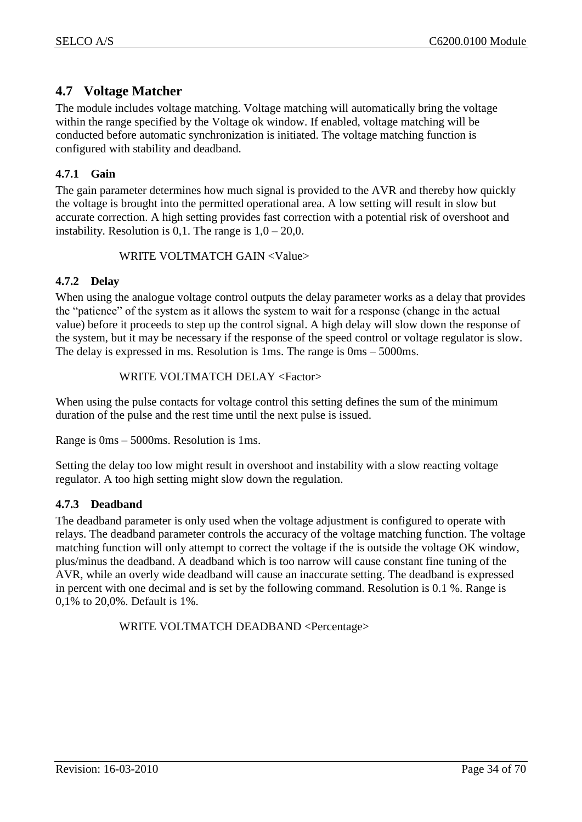# <span id="page-33-0"></span>**4.7 Voltage Matcher**

The module includes voltage matching. Voltage matching will automatically bring the voltage within the range specified by the Voltage ok window. If enabled, voltage matching will be conducted before automatic synchronization is initiated. The voltage matching function is configured with stability and deadband.

## <span id="page-33-1"></span>**4.7.1 Gain**

The gain parameter determines how much signal is provided to the AVR and thereby how quickly the voltage is brought into the permitted operational area. A low setting will result in slow but accurate correction. A high setting provides fast correction with a potential risk of overshoot and instability. Resolution is 0,1. The range is  $1,0 - 20,0$ .

## WRITE VOLTMATCH GAIN <Value>

## <span id="page-33-2"></span>**4.7.2 Delay**

When using the analogue voltage control outputs the delay parameter works as a delay that provides the "patience" of the system as it allows the system to wait for a response (change in the actual value) before it proceeds to step up the control signal. A high delay will slow down the response of the system, but it may be necessary if the response of the speed control or voltage regulator is slow. The delay is expressed in ms. Resolution is 1ms. The range is 0ms – 5000ms.

## WRITE VOLTMATCH DELAY <Factor>

When using the pulse contacts for voltage control this setting defines the sum of the minimum duration of the pulse and the rest time until the next pulse is issued.

Range is 0ms – 5000ms. Resolution is 1ms.

Setting the delay too low might result in overshoot and instability with a slow reacting voltage regulator. A too high setting might slow down the regulation.

## <span id="page-33-3"></span>**4.7.3 Deadband**

The deadband parameter is only used when the voltage adjustment is configured to operate with relays. The deadband parameter controls the accuracy of the voltage matching function. The voltage matching function will only attempt to correct the voltage if the is outside the voltage OK window, plus/minus the deadband. A deadband which is too narrow will cause constant fine tuning of the AVR, while an overly wide deadband will cause an inaccurate setting. The deadband is expressed in percent with one decimal and is set by the following command. Resolution is 0.1 %. Range is 0,1% to 20,0%. Default is 1%.

WRITE VOLTMATCH DEADBAND <Percentage>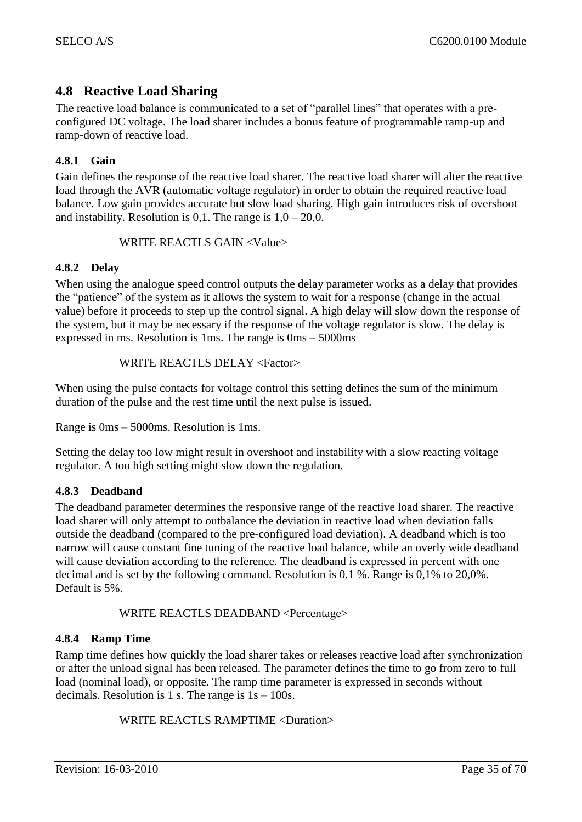# <span id="page-34-0"></span>**4.8 Reactive Load Sharing**

The reactive load balance is communicated to a set of "parallel lines" that operates with a preconfigured DC voltage. The load sharer includes a bonus feature of programmable ramp-up and ramp-down of reactive load.

## <span id="page-34-1"></span>**4.8.1 Gain**

Gain defines the response of the reactive load sharer. The reactive load sharer will alter the reactive load through the AVR (automatic voltage regulator) in order to obtain the required reactive load balance. Low gain provides accurate but slow load sharing. High gain introduces risk of overshoot and instability. Resolution is 0,1. The range is  $1,0 - 20,0$ .

#### WRITE REACTLS GAIN <Value>

## <span id="page-34-2"></span>**4.8.2 Delay**

When using the analogue speed control outputs the delay parameter works as a delay that provides the "patience" of the system as it allows the system to wait for a response (change in the actual value) before it proceeds to step up the control signal. A high delay will slow down the response of the system, but it may be necessary if the response of the voltage regulator is slow. The delay is expressed in ms. Resolution is 1ms. The range is 0ms – 5000ms

#### WRITE REACTLS DELAY <Factor>

When using the pulse contacts for voltage control this setting defines the sum of the minimum duration of the pulse and the rest time until the next pulse is issued.

Range is 0ms – 5000ms. Resolution is 1ms.

Setting the delay too low might result in overshoot and instability with a slow reacting voltage regulator. A too high setting might slow down the regulation.

## <span id="page-34-3"></span>**4.8.3 Deadband**

The deadband parameter determines the responsive range of the reactive load sharer. The reactive load sharer will only attempt to outbalance the deviation in reactive load when deviation falls outside the deadband (compared to the pre-configured load deviation). A deadband which is too narrow will cause constant fine tuning of the reactive load balance, while an overly wide deadband will cause deviation according to the reference. The deadband is expressed in percent with one decimal and is set by the following command. Resolution is 0.1 %. Range is 0,1% to 20,0%. Default is 5%.

WRITE REACTLS DEADBAND <Percentage>

## <span id="page-34-4"></span>**4.8.4 Ramp Time**

Ramp time defines how quickly the load sharer takes or releases reactive load after synchronization or after the unload signal has been released. The parameter defines the time to go from zero to full load (nominal load), or opposite. The ramp time parameter is expressed in seconds without decimals. Resolution is 1 s. The range is  $1s - 100s$ .

WRITE REACTLS RAMPTIME <Duration>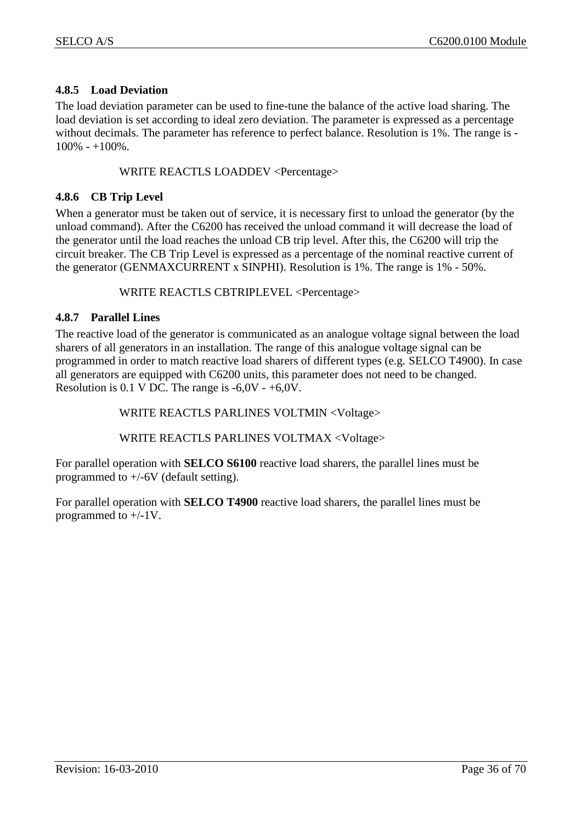## <span id="page-35-0"></span>**4.8.5 Load Deviation**

The load deviation parameter can be used to fine-tune the balance of the active load sharing. The load deviation is set according to ideal zero deviation. The parameter is expressed as a percentage without decimals. The parameter has reference to perfect balance. Resolution is 1%. The range is -  $100\% - 100\%$ 

#### WRITE REACTLS LOADDEV <Percentage>

#### <span id="page-35-1"></span>**4.8.6 CB Trip Level**

When a generator must be taken out of service, it is necessary first to unload the generator (by the unload command). After the C6200 has received the unload command it will decrease the load of the generator until the load reaches the unload CB trip level. After this, the C6200 will trip the circuit breaker. The CB Trip Level is expressed as a percentage of the nominal reactive current of the generator (GENMAXCURRENT x SINPHI). Resolution is 1%. The range is 1% - 50%.

#### WRITE REACTLS CBTRIPLEVEL <Percentage>

#### <span id="page-35-2"></span>**4.8.7 Parallel Lines**

The reactive load of the generator is communicated as an analogue voltage signal between the load sharers of all generators in an installation. The range of this analogue voltage signal can be programmed in order to match reactive load sharers of different types (e.g. SELCO T4900). In case all generators are equipped with C6200 units, this parameter does not need to be changed. Resolution is 0.1 V DC. The range is  $-6.0V - +6.0V$ .

WRITE REACTLS PARLINES VOLTMIN <Voltage>

WRITE REACTLS PARLINES VOLTMAX <Voltage>

For parallel operation with **SELCO S6100** reactive load sharers, the parallel lines must be programmed to +/-6V (default setting).

For parallel operation with **SELCO T4900** reactive load sharers, the parallel lines must be programmed to +/-1V.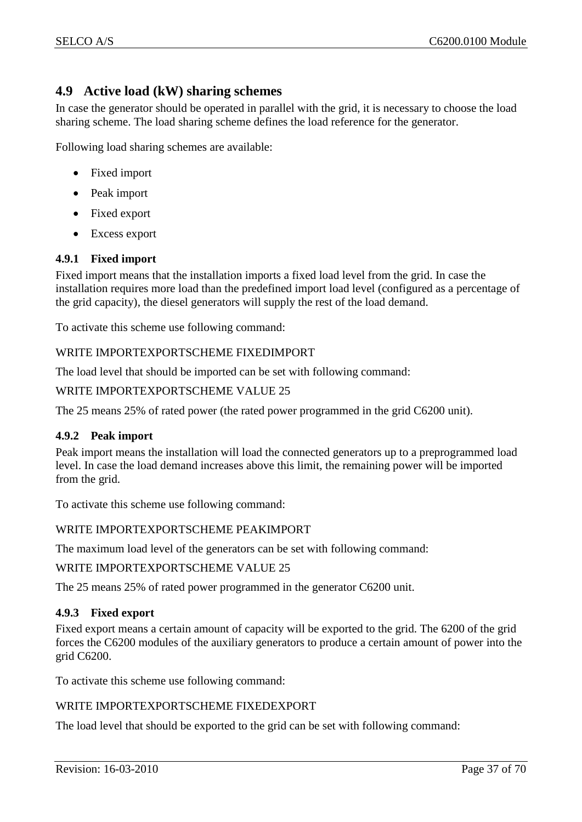# <span id="page-36-0"></span>**4.9 Active load (kW) sharing schemes**

In case the generator should be operated in parallel with the grid, it is necessary to choose the load sharing scheme. The load sharing scheme defines the load reference for the generator.

Following load sharing schemes are available:

- Fixed import
- Peak import
- Fixed export
- Excess export

## <span id="page-36-1"></span>**4.9.1 Fixed import**

Fixed import means that the installation imports a fixed load level from the grid. In case the installation requires more load than the predefined import load level (configured as a percentage of the grid capacity), the diesel generators will supply the rest of the load demand.

To activate this scheme use following command:

#### WRITE IMPORTEXPORTSCHEME FIXEDIMPORT

The load level that should be imported can be set with following command:

#### WRITE IMPORTEXPORTSCHEME VALUE 25

The 25 means 25% of rated power (the rated power programmed in the grid C6200 unit).

#### <span id="page-36-2"></span>**4.9.2 Peak import**

Peak import means the installation will load the connected generators up to a preprogrammed load level. In case the load demand increases above this limit, the remaining power will be imported from the grid.

To activate this scheme use following command:

#### WRITE IMPORTEXPORTSCHEME PEAKIMPORT

The maximum load level of the generators can be set with following command:

WRITE IMPORTEXPORTSCHEME VALUE 25

The 25 means 25% of rated power programmed in the generator C6200 unit.

#### <span id="page-36-3"></span>**4.9.3 Fixed export**

Fixed export means a certain amount of capacity will be exported to the grid. The 6200 of the grid forces the C6200 modules of the auxiliary generators to produce a certain amount of power into the grid C6200.

To activate this scheme use following command:

#### WRITE IMPORTEXPORTSCHEME FIXEDEXPORT

The load level that should be exported to the grid can be set with following command: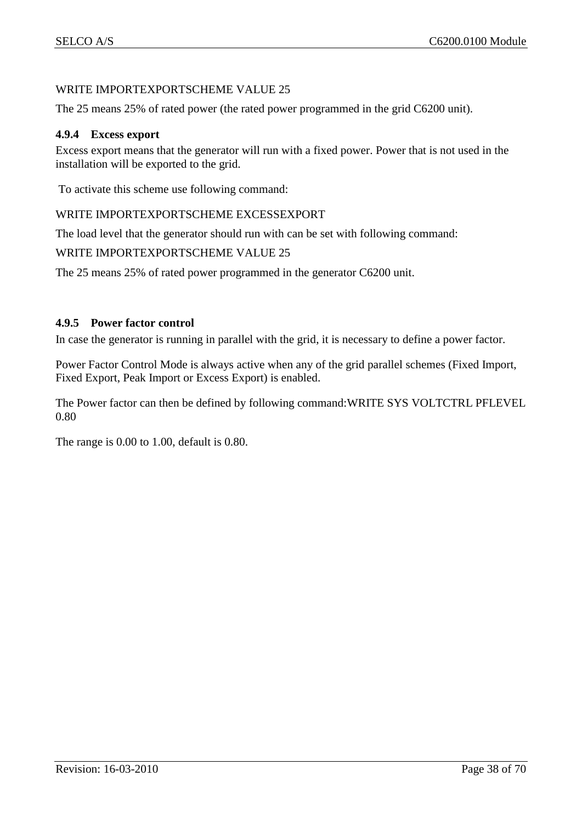## WRITE IMPORTEXPORTSCHEME VALUE 25

The 25 means 25% of rated power (the rated power programmed in the grid C6200 unit).

#### <span id="page-37-0"></span>**4.9.4 Excess export**

Excess export means that the generator will run with a fixed power. Power that is not used in the installation will be exported to the grid.

To activate this scheme use following command:

#### WRITE IMPORTEXPORTSCHEME EXCESSEXPORT

The load level that the generator should run with can be set with following command:

#### WRITE IMPORTEXPORTSCHEME VALUE 25

The 25 means 25% of rated power programmed in the generator C6200 unit.

#### <span id="page-37-1"></span>**4.9.5 Power factor control**

In case the generator is running in parallel with the grid, it is necessary to define a power factor.

Power Factor Control Mode is always active when any of the grid parallel schemes (Fixed Import, Fixed Export, Peak Import or Excess Export) is enabled.

The Power factor can then be defined by following command:WRITE SYS VOLTCTRL PFLEVEL 0.80

The range is 0.00 to 1.00, default is 0.80.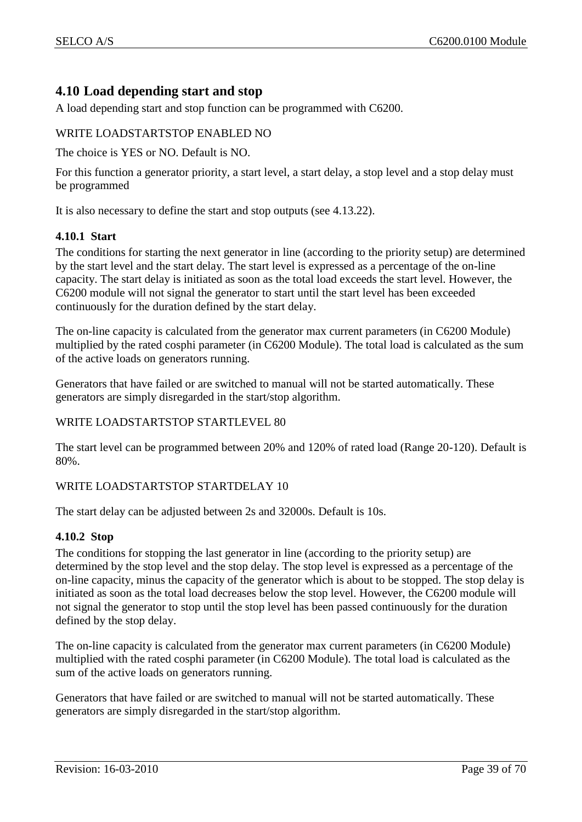# <span id="page-38-0"></span>**4.10 Load depending start and stop**

A load depending start and stop function can be programmed with C6200.

## WRITE LOADSTARTSTOP ENABLED NO

The choice is YES or NO. Default is NO.

For this function a generator priority, a start level, a start delay, a stop level and a stop delay must be programmed

It is also necessary to define the start and stop outputs (see [4.13.22\)](#page-50-4).

## <span id="page-38-1"></span>**4.10.1 Start**

The conditions for starting the next generator in line (according to the priority setup) are determined by the start level and the start delay. The start level is expressed as a percentage of the on-line capacity. The start delay is initiated as soon as the total load exceeds the start level. However, the C6200 module will not signal the generator to start until the start level has been exceeded continuously for the duration defined by the start delay.

The on-line capacity is calculated from the generator max current parameters (in C6200 Module) multiplied by the rated cosphi parameter (in C6200 Module). The total load is calculated as the sum of the active loads on generators running.

Generators that have failed or are switched to manual will not be started automatically. These generators are simply disregarded in the start/stop algorithm.

## WRITE LOADSTARTSTOP STARTLEVEL 80

The start level can be programmed between 20% and 120% of rated load (Range 20-120). Default is 80%.

## WRITE LOADSTARTSTOP STARTDELAY 10

The start delay can be adjusted between 2s and 32000s. Default is 10s.

## <span id="page-38-2"></span>**4.10.2 Stop**

The conditions for stopping the last generator in line (according to the priority setup) are determined by the stop level and the stop delay. The stop level is expressed as a percentage of the on-line capacity, minus the capacity of the generator which is about to be stopped. The stop delay is initiated as soon as the total load decreases below the stop level. However, the C6200 module will not signal the generator to stop until the stop level has been passed continuously for the duration defined by the stop delay.

The on-line capacity is calculated from the generator max current parameters (in C6200 Module) multiplied with the rated cosphi parameter (in C6200 Module). The total load is calculated as the sum of the active loads on generators running.

Generators that have failed or are switched to manual will not be started automatically. These generators are simply disregarded in the start/stop algorithm.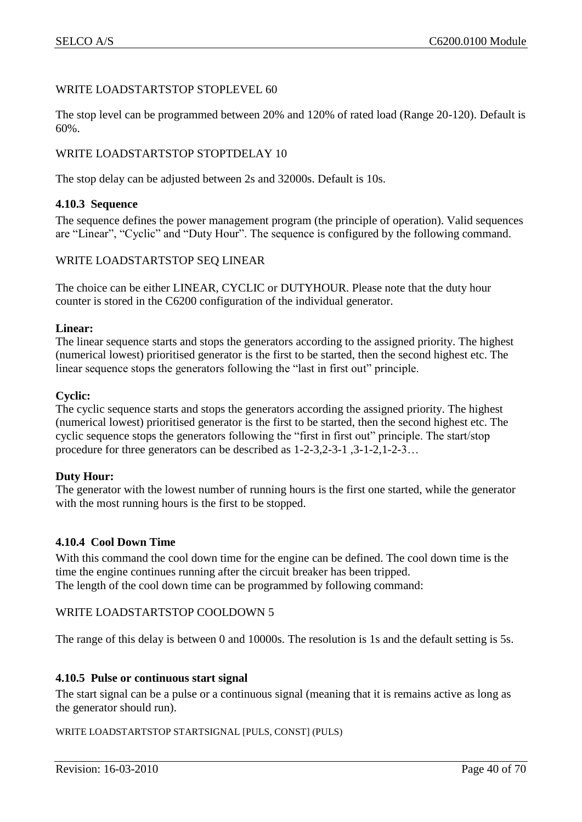#### WRITE LOADSTARTSTOP STOPLEVEL 60

The stop level can be programmed between 20% and 120% of rated load (Range 20-120). Default is 60%.

## WRITE LOADSTARTSTOP STOPTDELAY 10

The stop delay can be adjusted between 2s and 32000s. Default is 10s.

#### <span id="page-39-0"></span>**4.10.3 Sequence**

The sequence defines the power management program (the principle of operation). Valid sequences are "Linear", "Cyclic" and "Duty Hour". The sequence is configured by the following command.

## WRITE LOADSTARTSTOP SEQ LINEAR

The choice can be either LINEAR, CYCLIC or DUTYHOUR. Please note that the duty hour counter is stored in the C6200 configuration of the individual generator.

#### **Linear:**

The linear sequence starts and stops the generators according to the assigned priority. The highest (numerical lowest) prioritised generator is the first to be started, then the second highest etc. The linear sequence stops the generators following the "last in first out" principle.

#### **Cyclic:**

The cyclic sequence starts and stops the generators according the assigned priority. The highest (numerical lowest) prioritised generator is the first to be started, then the second highest etc. The cyclic sequence stops the generators following the "first in first out" principle. The start/stop procedure for three generators can be described as 1-2-3,2-3-1 ,3-1-2,1-2-3…

#### **Duty Hour:**

The generator with the lowest number of running hours is the first one started, while the generator with the most running hours is the first to be stopped.

#### <span id="page-39-1"></span>**4.10.4 Cool Down Time**

With this command the cool down time for the engine can be defined. The cool down time is the time the engine continues running after the circuit breaker has been tripped. The length of the cool down time can be programmed by following command:

#### WRITE LOADSTARTSTOP COOLDOWN 5

The range of this delay is between 0 and 10000s. The resolution is 1s and the default setting is 5s.

#### <span id="page-39-2"></span>**4.10.5 Pulse or continuous start signal**

The start signal can be a pulse or a continuous signal (meaning that it is remains active as long as the generator should run).

#### WRITE LOADSTARTSTOP STARTSIGNAL [PULS, CONST] (PULS)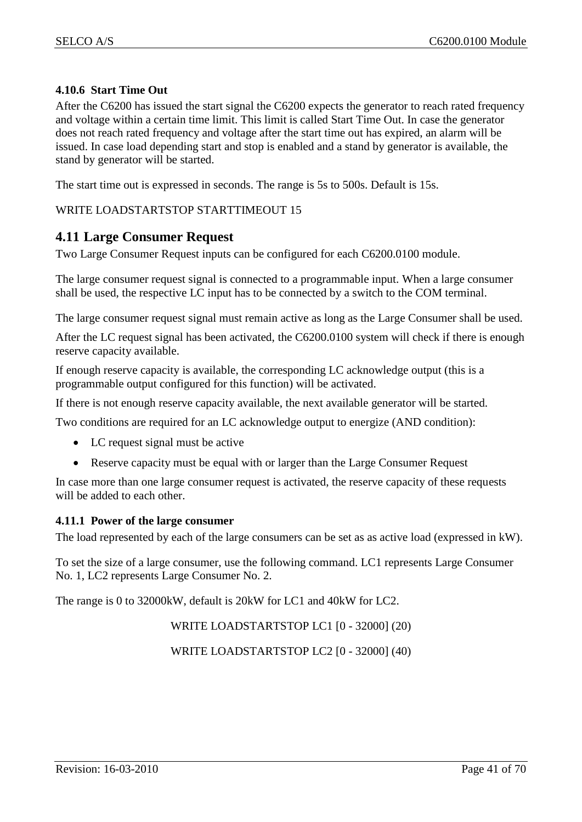## <span id="page-40-0"></span>**4.10.6 Start Time Out**

After the C6200 has issued the start signal the C6200 expects the generator to reach rated frequency and voltage within a certain time limit. This limit is called Start Time Out. In case the generator does not reach rated frequency and voltage after the start time out has expired, an alarm will be issued. In case load depending start and stop is enabled and a stand by generator is available, the stand by generator will be started.

The start time out is expressed in seconds. The range is 5s to 500s. Default is 15s.

## WRITE LOADSTARTSTOP STARTTIMEOUT 15

## <span id="page-40-1"></span>**4.11 Large Consumer Request**

Two Large Consumer Request inputs can be configured for each C6200.0100 module.

The large consumer request signal is connected to a programmable input. When a large consumer shall be used, the respective LC input has to be connected by a switch to the COM terminal.

The large consumer request signal must remain active as long as the Large Consumer shall be used.

After the LC request signal has been activated, the C6200.0100 system will check if there is enough reserve capacity available.

If enough reserve capacity is available, the corresponding LC acknowledge output (this is a programmable output configured for this function) will be activated.

If there is not enough reserve capacity available, the next available generator will be started.

Two conditions are required for an LC acknowledge output to energize (AND condition):

- LC request signal must be active
- Reserve capacity must be equal with or larger than the Large Consumer Request

In case more than one large consumer request is activated, the reserve capacity of these requests will be added to each other.

#### <span id="page-40-2"></span>**4.11.1 Power of the large consumer**

The load represented by each of the large consumers can be set as as active load (expressed in kW).

To set the size of a large consumer, use the following command. LC1 represents Large Consumer No. 1, LC2 represents Large Consumer No. 2.

The range is 0 to 32000kW, default is 20kW for LC1 and 40kW for LC2.

WRITE LOADSTARTSTOP LC1 [0 - 32000] (20)

WRITE LOADSTARTSTOP LC2 [0 - 32000] (40)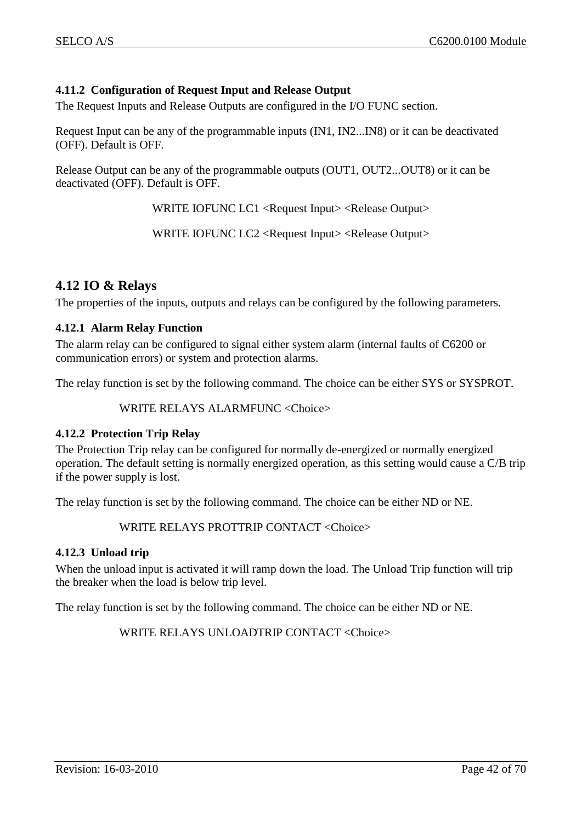## <span id="page-41-0"></span>**4.11.2 Configuration of Request Input and Release Output**

The Request Inputs and Release Outputs are configured in the I/O FUNC section.

Request Input can be any of the programmable inputs (IN1, IN2...IN8) or it can be deactivated (OFF). Default is OFF.

Release Output can be any of the programmable outputs (OUT1, OUT2...OUT8) or it can be deactivated (OFF). Default is OFF.

WRITE IOFUNC LC1 <Request Input> <Release Output>

WRITE IOFUNC LC2 <Request Input> <Release Output>

## <span id="page-41-1"></span>**4.12 IO & Relays**

The properties of the inputs, outputs and relays can be configured by the following parameters.

#### <span id="page-41-2"></span>**4.12.1 Alarm Relay Function**

The alarm relay can be configured to signal either system alarm (internal faults of C6200 or communication errors) or system and protection alarms.

The relay function is set by the following command. The choice can be either SYS or SYSPROT.

WRITE RELAYS ALARMFUNC <Choice>

#### <span id="page-41-3"></span>**4.12.2 Protection Trip Relay**

The Protection Trip relay can be configured for normally de-energized or normally energized operation. The default setting is normally energized operation, as this setting would cause a C/B trip if the power supply is lost.

The relay function is set by the following command. The choice can be either ND or NE.

WRITE RELAYS PROTTRIP CONTACT <Choice>

#### <span id="page-41-4"></span>**4.12.3 Unload trip**

When the unload input is activated it will ramp down the load. The Unload Trip function will trip the breaker when the load is below trip level.

The relay function is set by the following command. The choice can be either ND or NE.

WRITE RELAYS UNLOADTRIP CONTACT <Choice>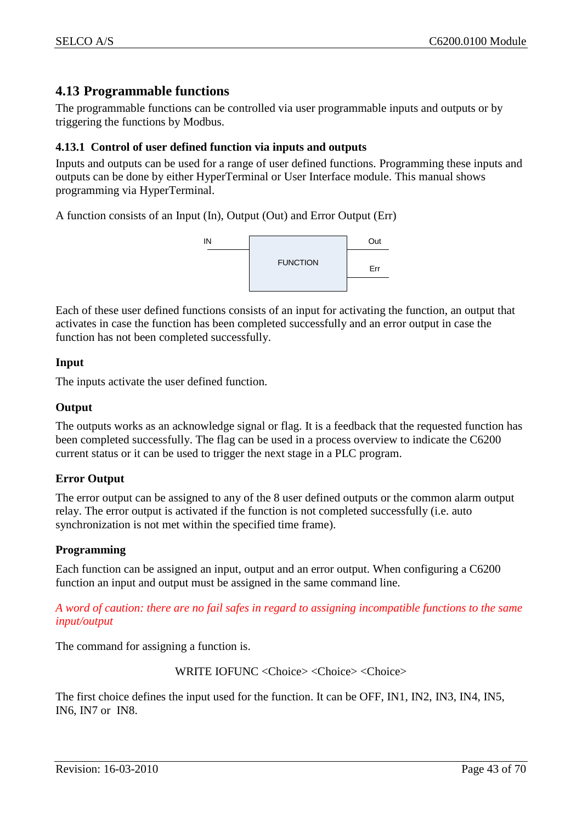# <span id="page-42-0"></span>**4.13 Programmable functions**

The programmable functions can be controlled via user programmable inputs and outputs or by triggering the functions by Modbus.

## <span id="page-42-1"></span>**4.13.1 Control of user defined function via inputs and outputs**

Inputs and outputs can be used for a range of user defined functions. Programming these inputs and outputs can be done by either HyperTerminal or User Interface module. This manual shows programming via HyperTerminal.

A function consists of an Input (In), Output (Out) and Error Output (Err)



Each of these user defined functions consists of an input for activating the function, an output that activates in case the function has been completed successfully and an error output in case the function has not been completed successfully.

## **Input**

The inputs activate the user defined function.

#### **Output**

The outputs works as an acknowledge signal or flag. It is a feedback that the requested function has been completed successfully. The flag can be used in a process overview to indicate the C6200 current status or it can be used to trigger the next stage in a PLC program.

## **Error Output**

The error output can be assigned to any of the 8 user defined outputs or the common alarm output relay. The error output is activated if the function is not completed successfully (i.e. auto synchronization is not met within the specified time frame).

#### **Programming**

Each function can be assigned an input, output and an error output. When configuring a C6200 function an input and output must be assigned in the same command line.

*A word of caution: there are no fail safes in regard to assigning incompatible functions to the same input/output*

The command for assigning a function is.

WRITE IOFUNC <Choice> <Choice> <Choice>

The first choice defines the input used for the function. It can be OFF, IN1, IN2, IN3, IN4, IN5, IN6, IN7 or IN8.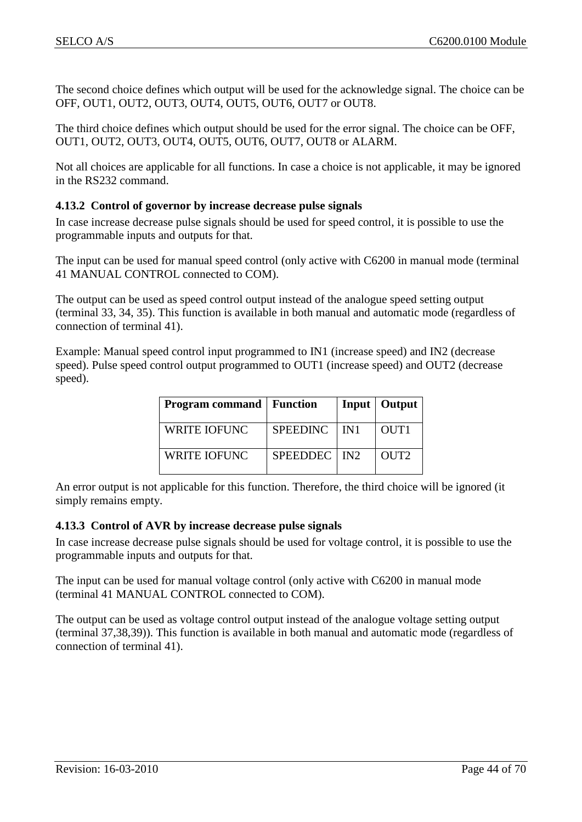The second choice defines which output will be used for the acknowledge signal. The choice can be OFF, OUT1, OUT2, OUT3, OUT4, OUT5, OUT6, OUT7 or OUT8.

The third choice defines which output should be used for the error signal. The choice can be OFF, OUT1, OUT2, OUT3, OUT4, OUT5, OUT6, OUT7, OUT8 or ALARM.

Not all choices are applicable for all functions. In case a choice is not applicable, it may be ignored in the RS232 command.

## <span id="page-43-0"></span>**4.13.2 Control of governor by increase decrease pulse signals**

In case increase decrease pulse signals should be used for speed control, it is possible to use the programmable inputs and outputs for that.

The input can be used for manual speed control (only active with C6200 in manual mode (terminal 41 MANUAL CONTROL connected to COM).

The output can be used as speed control output instead of the analogue speed setting output (terminal 33, 34, 35). This function is available in both manual and automatic mode (regardless of connection of terminal 41).

Example: Manual speed control input programmed to IN1 (increase speed) and IN2 (decrease speed). Pulse speed control output programmed to OUT1 (increase speed) and OUT2 (decrease speed).

| <b>Program command</b>   Function |                 |                    | Input   Output   |
|-----------------------------------|-----------------|--------------------|------------------|
| <b>WRITE IOFUNC</b>               | <b>SPEEDINC</b> | $\blacksquare$ IN1 | OUT1             |
| <b>WRITE IOFUNC</b>               | SPEEDDEC   IN2  |                    | OUT <sub>2</sub> |

An error output is not applicable for this function. Therefore, the third choice will be ignored (it simply remains empty.

#### <span id="page-43-1"></span>**4.13.3 Control of AVR by increase decrease pulse signals**

In case increase decrease pulse signals should be used for voltage control, it is possible to use the programmable inputs and outputs for that.

The input can be used for manual voltage control (only active with C6200 in manual mode (terminal 41 MANUAL CONTROL connected to COM).

The output can be used as voltage control output instead of the analogue voltage setting output (terminal 37,38,39)). This function is available in both manual and automatic mode (regardless of connection of terminal 41).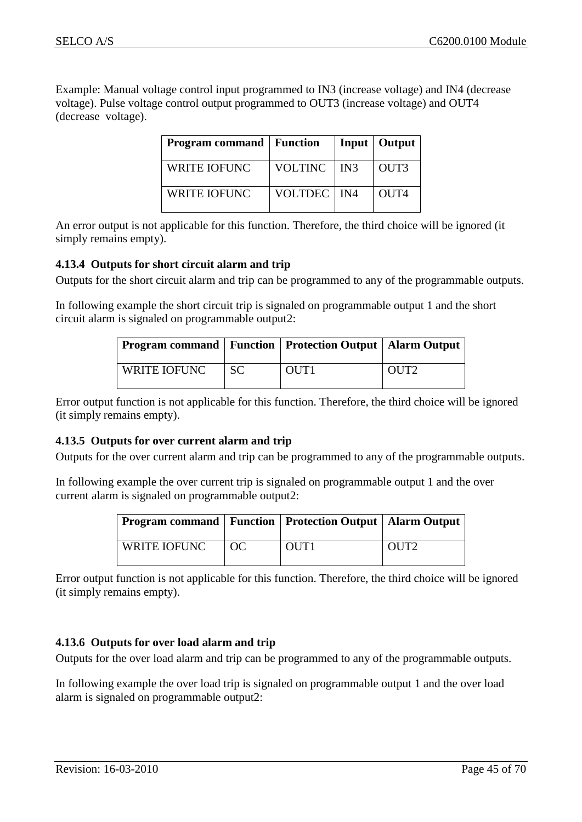Example: Manual voltage control input programmed to IN3 (increase voltage) and IN4 (decrease voltage). Pulse voltage control output programmed to OUT3 (increase voltage) and OUT4 (decrease voltage).

| <b>Program command</b>   Function |                |     | Input   Output   |
|-----------------------------------|----------------|-----|------------------|
| <b>WRITE IOFUNC</b>               | <b>VOLTINC</b> | IN3 | OUT3             |
| <b>WRITE IOFUNC</b>               | VOLTDEC   IN4  |     | OUT <sub>4</sub> |

An error output is not applicable for this function. Therefore, the third choice will be ignored (it simply remains empty).

#### <span id="page-44-0"></span>**4.13.4 Outputs for short circuit alarm and trip**

Outputs for the short circuit alarm and trip can be programmed to any of the programmable outputs.

In following example the short circuit trip is signaled on programmable output 1 and the short circuit alarm is signaled on programmable output2:

| <b>Program command   Function   Protection Output   Alarm Output  </b> |           |                  |                  |
|------------------------------------------------------------------------|-----------|------------------|------------------|
| WRITE IOFUNC                                                           | <b>SC</b> | OUT <sub>1</sub> | OUT <sub>2</sub> |

Error output function is not applicable for this function. Therefore, the third choice will be ignored (it simply remains empty).

#### <span id="page-44-1"></span>**4.13.5 Outputs for over current alarm and trip**

Outputs for the over current alarm and trip can be programmed to any of the programmable outputs.

In following example the over current trip is signaled on programmable output 1 and the over current alarm is signaled on programmable output2:

| <b>Program command   Function   Protection Output   Alarm Output</b> |                |                  |                  |
|----------------------------------------------------------------------|----------------|------------------|------------------|
| WRITE IOFUNC                                                         | $\overline{C}$ | OUT <sub>1</sub> | OUT <sub>2</sub> |

Error output function is not applicable for this function. Therefore, the third choice will be ignored (it simply remains empty).

## <span id="page-44-2"></span>**4.13.6 Outputs for over load alarm and trip**

Outputs for the over load alarm and trip can be programmed to any of the programmable outputs.

In following example the over load trip is signaled on programmable output 1 and the over load alarm is signaled on programmable output2: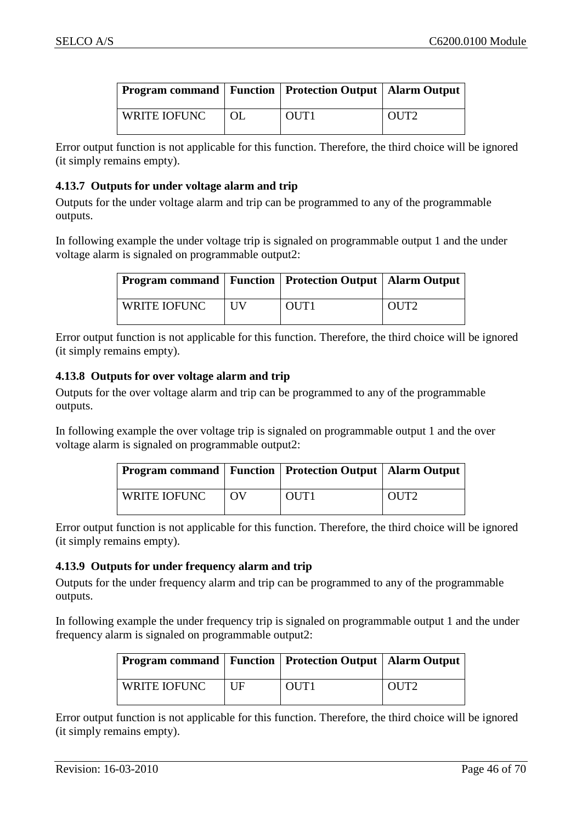| <b>Program command   Function   Protection Output   Alarm Output</b> |    |                  |                  |
|----------------------------------------------------------------------|----|------------------|------------------|
| <b>WRITE IOFUNC</b>                                                  | OL | OUT <sub>1</sub> | OUT <sub>2</sub> |

Error output function is not applicable for this function. Therefore, the third choice will be ignored (it simply remains empty).

## <span id="page-45-0"></span>**4.13.7 Outputs for under voltage alarm and trip**

Outputs for the under voltage alarm and trip can be programmed to any of the programmable outputs.

In following example the under voltage trip is signaled on programmable output 1 and the under voltage alarm is signaled on programmable output2:

| <b>Program command   Function   Protection Output   Alarm Output</b> |            |                  |                  |
|----------------------------------------------------------------------|------------|------------------|------------------|
| WRITE IOFUNC                                                         | <b>IIV</b> | OUT <sub>1</sub> | OUT <sub>2</sub> |

Error output function is not applicable for this function. Therefore, the third choice will be ignored (it simply remains empty).

#### <span id="page-45-1"></span>**4.13.8 Outputs for over voltage alarm and trip**

Outputs for the over voltage alarm and trip can be programmed to any of the programmable outputs.

In following example the over voltage trip is signaled on programmable output 1 and the over voltage alarm is signaled on programmable output2:

| <b>Program command   Function   Protection Output   Alarm Output</b> |    |                  |                  |
|----------------------------------------------------------------------|----|------------------|------------------|
| WRITE IOFUNC                                                         | 0V | OUT <sub>1</sub> | OUT <sub>2</sub> |

Error output function is not applicable for this function. Therefore, the third choice will be ignored (it simply remains empty).

## <span id="page-45-2"></span>**4.13.9 Outputs for under frequency alarm and trip**

Outputs for the under frequency alarm and trip can be programmed to any of the programmable outputs.

In following example the under frequency trip is signaled on programmable output 1 and the under frequency alarm is signaled on programmable output2:

| <b>Program command   Function   Protection Output   Alarm Output</b> |    |      |                  |
|----------------------------------------------------------------------|----|------|------------------|
| WRITE IOFUNC                                                         | UF | OUT1 | OUT <sub>2</sub> |

Error output function is not applicable for this function. Therefore, the third choice will be ignored (it simply remains empty).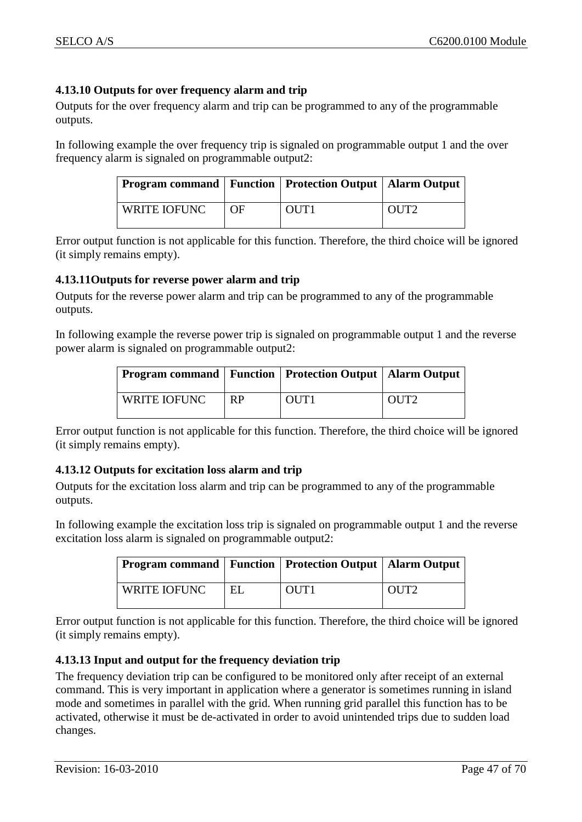## <span id="page-46-0"></span>**4.13.10 Outputs for over frequency alarm and trip**

Outputs for the over frequency alarm and trip can be programmed to any of the programmable outputs.

In following example the over frequency trip is signaled on programmable output 1 and the over frequency alarm is signaled on programmable output2:

| <b>Program command   Function   Protection Output   Alarm Output</b> |    |      |                  |
|----------------------------------------------------------------------|----|------|------------------|
| WRITE IOFUNC                                                         | OF | OUT1 | OUT <sub>2</sub> |

Error output function is not applicable for this function. Therefore, the third choice will be ignored (it simply remains empty).

## <span id="page-46-1"></span>**4.13.11Outputs for reverse power alarm and trip**

Outputs for the reverse power alarm and trip can be programmed to any of the programmable outputs.

In following example the reverse power trip is signaled on programmable output 1 and the reverse power alarm is signaled on programmable output2:

| <b>Program command   Function   Protection Output   Alarm Output</b> |           |                  |                  |
|----------------------------------------------------------------------|-----------|------------------|------------------|
| WRITE IOFUNC                                                         | <b>RP</b> | OUT <sub>1</sub> | OUT <sub>2</sub> |

Error output function is not applicable for this function. Therefore, the third choice will be ignored (it simply remains empty).

## <span id="page-46-2"></span>**4.13.12 Outputs for excitation loss alarm and trip**

Outputs for the excitation loss alarm and trip can be programmed to any of the programmable outputs.

In following example the excitation loss trip is signaled on programmable output 1 and the reverse excitation loss alarm is signaled on programmable output2:

| <b>Program command   Function   Protection Output   Alarm Output</b> |    |                  |                  |
|----------------------------------------------------------------------|----|------------------|------------------|
| WRITE IOFUNC                                                         | EL | OUT <sub>1</sub> | OUT <sub>2</sub> |

Error output function is not applicable for this function. Therefore, the third choice will be ignored (it simply remains empty).

## <span id="page-46-3"></span>**4.13.13 Input and output for the frequency deviation trip**

The frequency deviation trip can be configured to be monitored only after receipt of an external command. This is very important in application where a generator is sometimes running in island mode and sometimes in parallel with the grid. When running grid parallel this function has to be activated, otherwise it must be de-activated in order to avoid unintended trips due to sudden load changes.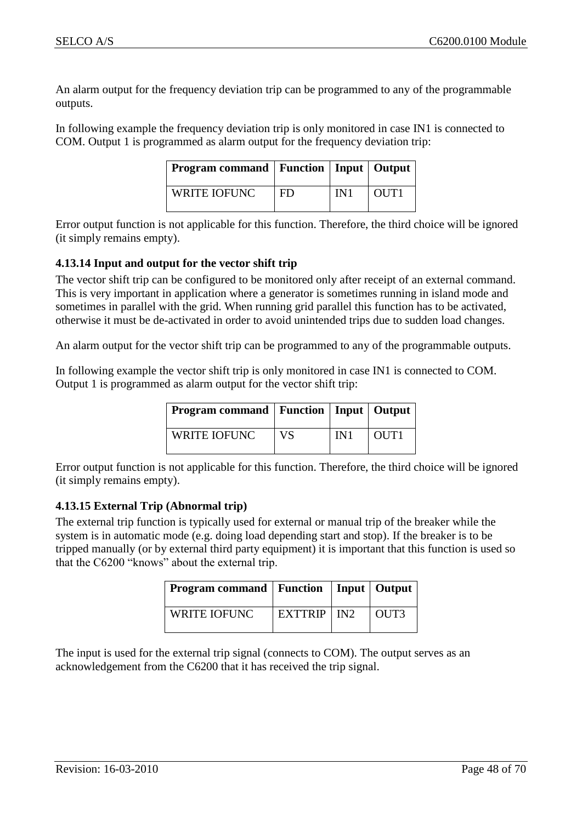An alarm output for the frequency deviation trip can be programmed to any of the programmable outputs.

In following example the frequency deviation trip is only monitored in case IN1 is connected to COM. Output 1 is programmed as alarm output for the frequency deviation trip:

| <b>Program command   Function   Input   Output  </b> |     |     |      |
|------------------------------------------------------|-----|-----|------|
| <b>WRITE IOFUNC</b>                                  | FD. | IN1 | OUT1 |

Error output function is not applicable for this function. Therefore, the third choice will be ignored (it simply remains empty).

## <span id="page-47-0"></span>**4.13.14 Input and output for the vector shift trip**

The vector shift trip can be configured to be monitored only after receipt of an external command. This is very important in application where a generator is sometimes running in island mode and sometimes in parallel with the grid. When running grid parallel this function has to be activated, otherwise it must be de-activated in order to avoid unintended trips due to sudden load changes.

An alarm output for the vector shift trip can be programmed to any of the programmable outputs.

In following example the vector shift trip is only monitored in case IN1 is connected to COM. Output 1 is programmed as alarm output for the vector shift trip:

| <b>Program command   Function   Input   Output  </b> |           |     |                  |
|------------------------------------------------------|-----------|-----|------------------|
| <b>WRITE IOFUNC</b>                                  | <b>VS</b> | IN1 | OUT <sub>1</sub> |

Error output function is not applicable for this function. Therefore, the third choice will be ignored (it simply remains empty).

## <span id="page-47-1"></span>**4.13.15 External Trip (Abnormal trip)**

The external trip function is typically used for external or manual trip of the breaker while the system is in automatic mode (e.g. doing load depending start and stop). If the breaker is to be tripped manually (or by external third party equipment) it is important that this function is used so that the C6200 "knows" about the external trip.

| <b>Program command   Function   Input   Output  </b> |                        |      |
|------------------------------------------------------|------------------------|------|
| WRITE IOFUNC                                         | $EXTTRIP$ $\mid$ $IN2$ | OUT3 |

The input is used for the external trip signal (connects to COM). The output serves as an acknowledgement from the C6200 that it has received the trip signal.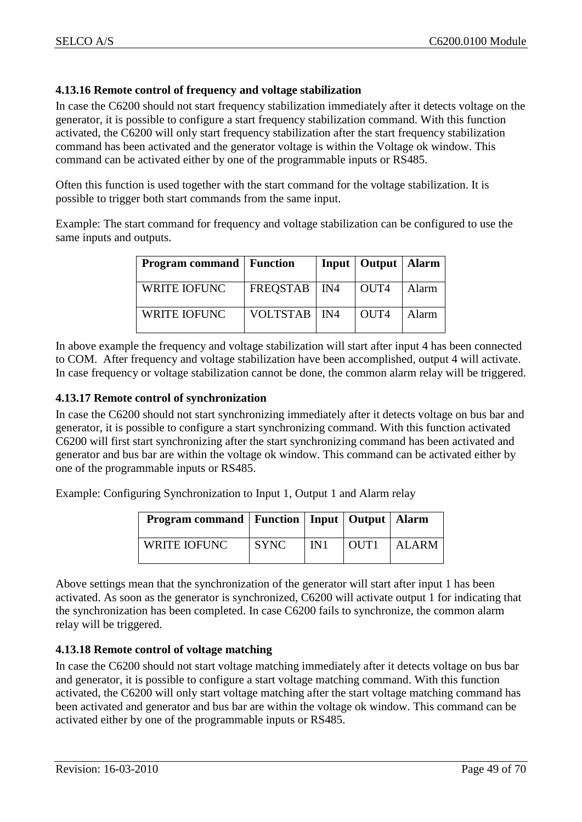## <span id="page-48-0"></span>**4.13.16 Remote control of frequency and voltage stabilization**

In case the C6200 should not start frequency stabilization immediately after it detects voltage on the generator, it is possible to configure a start frequency stabilization command. With this function activated, the C6200 will only start frequency stabilization after the start frequency stabilization command has been activated and the generator voltage is within the Voltage ok window. This command can be activated either by one of the programmable inputs or RS485.

Often this function is used together with the start command for the voltage stabilization. It is possible to trigger both start commands from the same input.

Example: The start command for frequency and voltage stabilization can be configured to use the same inputs and outputs.

| <b>Program command</b>   Function |                | Input   Output   Alarm |       |
|-----------------------------------|----------------|------------------------|-------|
| WRITE IOFUNC                      | FREQSTAB   IN4 | OUT <sub>4</sub>       | Alarm |
| <b>WRITE IOFUNC</b>               | VOLTSTAB   IN4 | OUT <sub>4</sub>       | Alarm |

In above example the frequency and voltage stabilization will start after input 4 has been connected to COM. After frequency and voltage stabilization have been accomplished, output 4 will activate. In case frequency or voltage stabilization cannot be done, the common alarm relay will be triggered.

#### <span id="page-48-1"></span>**4.13.17 Remote control of synchronization**

In case the C6200 should not start synchronizing immediately after it detects voltage on bus bar and generator, it is possible to configure a start synchronizing command. With this function activated C6200 will first start synchronizing after the start synchronizing command has been activated and generator and bus bar are within the voltage ok window. This command can be activated either by one of the programmable inputs or RS485.

Example: Configuring Synchronization to Input 1, Output 1 and Alarm relay

| <b>Program command   Function   Input   Output   Alarm</b> |             |     |      |               |
|------------------------------------------------------------|-------------|-----|------|---------------|
| <b>WRITE IOFUNC</b>                                        | <b>SYNC</b> | IN1 | OUT1 | <b>LALARM</b> |

Above settings mean that the synchronization of the generator will start after input 1 has been activated. As soon as the generator is synchronized, C6200 will activate output 1 for indicating that the synchronization has been completed. In case C6200 fails to synchronize, the common alarm relay will be triggered.

## <span id="page-48-2"></span>**4.13.18 Remote control of voltage matching**

In case the C6200 should not start voltage matching immediately after it detects voltage on bus bar and generator, it is possible to configure a start voltage matching command. With this function activated, the C6200 will only start voltage matching after the start voltage matching command has been activated and generator and bus bar are within the voltage ok window. This command can be activated either by one of the programmable inputs or RS485.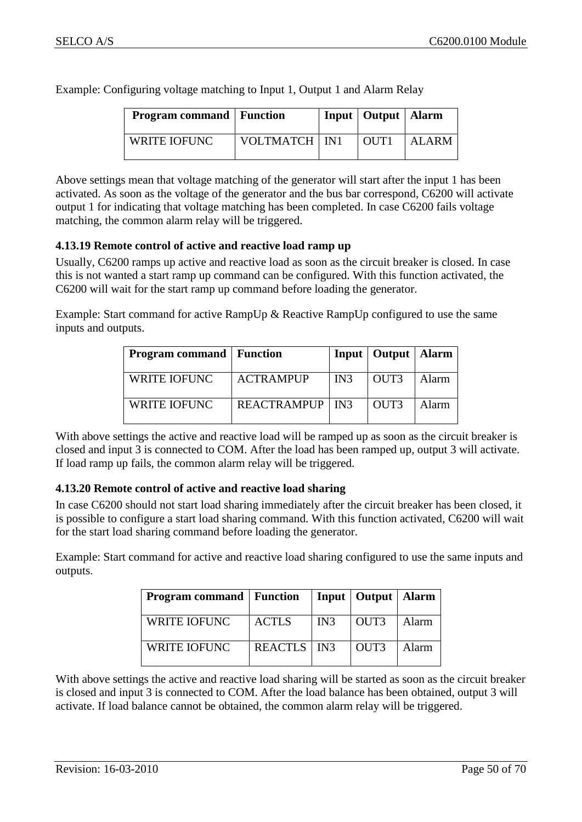**Program command** Function **Input** Output Alarm WRITE IOFUNC VOLTMATCH IN1 OUT1 ALARM

Example: Configuring voltage matching to Input 1, Output 1 and Alarm Relay

Above settings mean that voltage matching of the generator will start after the input 1 has been activated. As soon as the voltage of the generator and the bus bar correspond, C6200 will activate output 1 for indicating that voltage matching has been completed. In case C6200 fails voltage matching, the common alarm relay will be triggered.

## <span id="page-49-0"></span>**4.13.19 Remote control of active and reactive load ramp up**

Usually, C6200 ramps up active and reactive load as soon as the circuit breaker is closed. In case this is not wanted a start ramp up command can be configured. With this function activated, the C6200 will wait for the start ramp up command before loading the generator.

Example: Start command for active RampUp & Reactive RampUp configured to use the same inputs and outputs.

| <b>Program command</b>   Function |                          |     | Input   Output   Alarm |              |
|-----------------------------------|--------------------------|-----|------------------------|--------------|
| <b>WRITE IOFUNC</b>               | <b>ACTRAMPUP</b>         | IN3 | OUT3                   | <b>Alarm</b> |
| <b>WRITE IOFUNC</b>               | <b>REACTRAMPUP</b>   IN3 |     | OUT3                   | Alarm        |

With above settings the active and reactive load will be ramped up as soon as the circuit breaker is closed and input 3 is connected to COM. After the load has been ramped up, output 3 will activate. If load ramp up fails, the common alarm relay will be triggered.

## <span id="page-49-1"></span>**4.13.20 Remote control of active and reactive load sharing**

In case C6200 should not start load sharing immediately after the circuit breaker has been closed, it is possible to configure a start load sharing command. With this function activated, C6200 will wait for the start load sharing command before loading the generator.

Example: Start command for active and reactive load sharing configured to use the same inputs and outputs.

| <b>Program command</b>   Function |                      |     | Input   Output   Alarm |       |
|-----------------------------------|----------------------|-----|------------------------|-------|
| <b>WRITE IOFUNC</b>               | <b>ACTLS</b>         | IN3 | OUT3                   | Alarm |
| <b>WRITE IOFUNC</b>               | <b>REACTLS</b>   IN3 |     | OUT3                   | Alarm |

With above settings the active and reactive load sharing will be started as soon as the circuit breaker is closed and input 3 is connected to COM. After the load balance has been obtained, output 3 will activate. If load balance cannot be obtained, the common alarm relay will be triggered.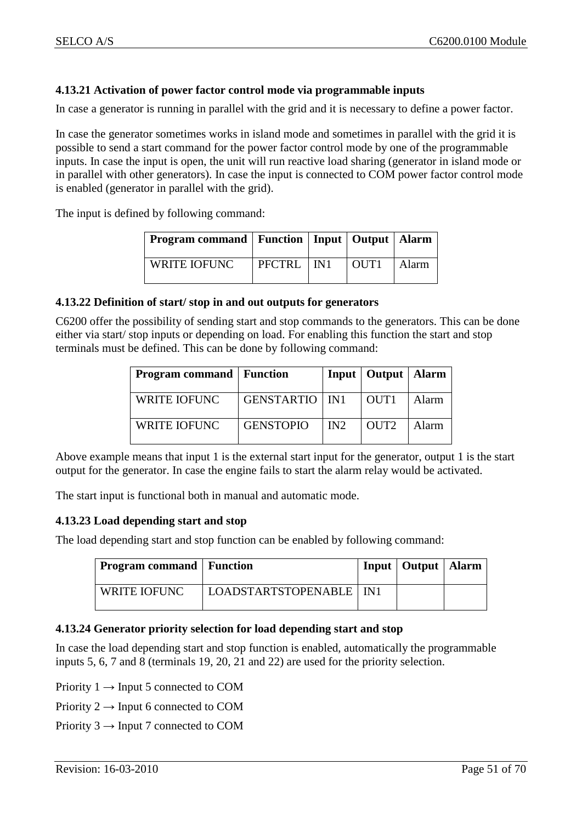## <span id="page-50-0"></span>**4.13.21 Activation of power factor control mode via programmable inputs**

In case a generator is running in parallel with the grid and it is necessary to define a power factor.

In case the generator sometimes works in island mode and sometimes in parallel with the grid it is possible to send a start command for the power factor control mode by one of the programmable inputs. In case the input is open, the unit will run reactive load sharing (generator in island mode or in parallel with other generators). In case the input is connected to COM power factor control mode is enabled (generator in parallel with the grid).

The input is defined by following command:

| <b>Program command   Function   Input   Output   Alarm  </b> |              |                  |       |
|--------------------------------------------------------------|--------------|------------------|-------|
| WRITE IOFUNC                                                 | PFCTRL   IN1 | OUT <sub>1</sub> | Alarm |

#### <span id="page-50-4"></span><span id="page-50-1"></span>**4.13.22 Definition of start/ stop in and out outputs for generators**

C6200 offer the possibility of sending start and stop commands to the generators. This can be done either via start/ stop inputs or depending on load. For enabling this function the start and stop terminals must be defined. This can be done by following command:

| <b>Program command</b>   Function |                         |                 | Input   Output   Alarm |       |
|-----------------------------------|-------------------------|-----------------|------------------------|-------|
| WRITE IOFUNC                      | <b>GENSTARTIO</b>   IN1 |                 | OUT <sub>1</sub>       | Alarm |
| WRITE IOFUNC                      | <b>GENSTOPIO</b>        | IN <sub>2</sub> | OUT <sub>2</sub>       | Alarm |

Above example means that input 1 is the external start input for the generator, output 1 is the start output for the generator. In case the engine fails to start the alarm relay would be activated.

The start input is functional both in manual and automatic mode.

## <span id="page-50-2"></span>**4.13.23 Load depending start and stop**

The load depending start and stop function can be enabled by following command:

| Program command   Function |                           | Input   Output   Alarm |  |
|----------------------------|---------------------------|------------------------|--|
| WRITE IOFUNC               | LOADSTARTSTOPENABLE   IN1 |                        |  |

## <span id="page-50-3"></span>**4.13.24 Generator priority selection for load depending start and stop**

In case the load depending start and stop function is enabled, automatically the programmable inputs 5, 6, 7 and 8 (terminals 19, 20, 21 and 22) are used for the priority selection.

- Priority  $1 \rightarrow$  Input 5 connected to COM
- Priority  $2 \rightarrow$  Input 6 connected to COM
- Priority  $3 \rightarrow$  Input 7 connected to COM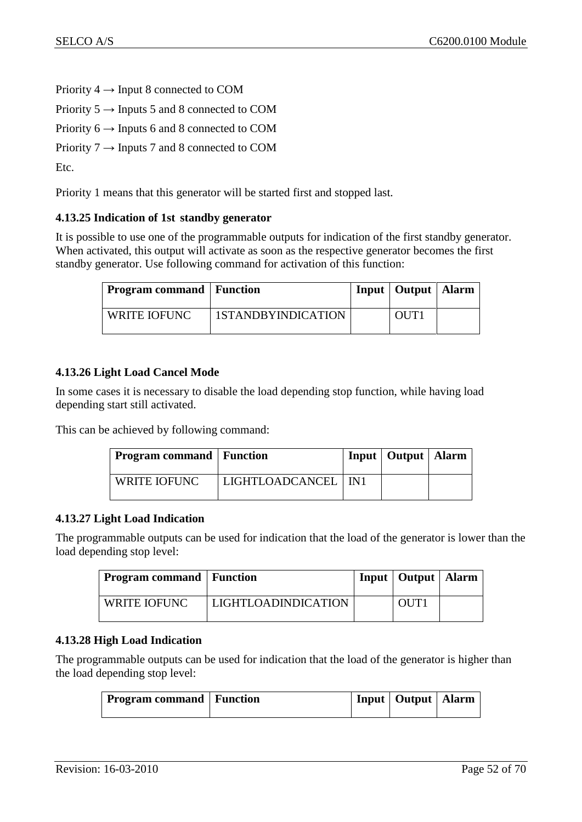Priority  $4 \rightarrow$  Input 8 connected to COM

Priority  $5 \rightarrow$  Inputs 5 and 8 connected to COM

Priority  $6 \rightarrow$  Inputs 6 and 8 connected to COM

Priority  $7 \rightarrow$  Inputs 7 and 8 connected to COM

Etc.

Priority 1 means that this generator will be started first and stopped last.

## <span id="page-51-0"></span>**4.13.25 Indication of 1st standby generator**

It is possible to use one of the programmable outputs for indication of the first standby generator. When activated, this output will activate as soon as the respective generator becomes the first standby generator. Use following command for activation of this function:

| Program command   Function |                    | Input   Output   Alarm |  |
|----------------------------|--------------------|------------------------|--|
| <b>WRITE IOFUNC</b>        | 1STANDBYINDICATION | OUT <sub>1</sub>       |  |

## <span id="page-51-1"></span>**4.13.26 Light Load Cancel Mode**

In some cases it is necessary to disable the load depending stop function, while having load depending start still activated.

This can be achieved by following command:

| <b>Program command Function</b> |                       | Input   Output   Alarm |  |
|---------------------------------|-----------------------|------------------------|--|
| WRITE IOFUNC                    | LIGHTLOADCANCEL   IN1 |                        |  |

## <span id="page-51-2"></span>**4.13.27 Light Load Indication**

The programmable outputs can be used for indication that the load of the generator is lower than the load depending stop level:

| Program command   Function |                            | Input   Output   Alarm |  |
|----------------------------|----------------------------|------------------------|--|
| WRITE IOFUNC               | <b>LIGHTLOADINDICATION</b> | OUT <sub>1</sub>       |  |

## <span id="page-51-3"></span>**4.13.28 High Load Indication**

The programmable outputs can be used for indication that the load of the generator is higher than the load depending stop level:

| <b>Program command</b> Function |  |  | Input   Output   Alarm |  |  |
|---------------------------------|--|--|------------------------|--|--|
|---------------------------------|--|--|------------------------|--|--|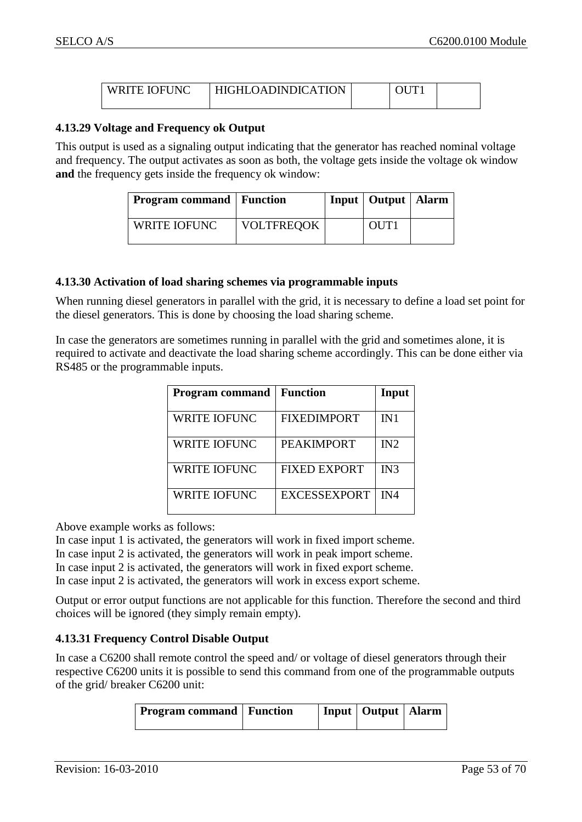<span id="page-52-0"></span>

| <b>WRITE IOFUNC</b> | HIGHLOADINDICATION |  |  |
|---------------------|--------------------|--|--|
|                     |                    |  |  |

#### **4.13.29 Voltage and Frequency ok Output**

This output is used as a signaling output indicating that the generator has reached nominal voltage and frequency. The output activates as soon as both, the voltage gets inside the voltage ok window **and** the frequency gets inside the frequency ok window:

| <b>Program command</b>   Function |                   | Input   Output   Alarm |  |
|-----------------------------------|-------------------|------------------------|--|
| WRITE IOFUNC                      | <b>VOLTFREQOK</b> | OUT <sub>1</sub>       |  |

#### <span id="page-52-1"></span>**4.13.30 Activation of load sharing schemes via programmable inputs**

When running diesel generators in parallel with the grid, it is necessary to define a load set point for the diesel generators. This is done by choosing the load sharing scheme.

In case the generators are sometimes running in parallel with the grid and sometimes alone, it is required to activate and deactivate the load sharing scheme accordingly. This can be done either via RS485 or the programmable inputs.

| <b>Program command</b> | <b>Function</b>     | Input |
|------------------------|---------------------|-------|
| <b>WRITE IOFUNC</b>    | <b>FIXEDIMPORT</b>  | IN1   |
| <b>WRITE IOFUNC</b>    | <b>PEAKIMPORT</b>   | IN2   |
| <b>WRITE IOFUNC</b>    | <b>FIXED EXPORT</b> | IN3   |
| <b>WRITE IOFUNC</b>    | <b>EXCESSEXPORT</b> | IN4   |
|                        |                     |       |

Above example works as follows:

In case input 1 is activated, the generators will work in fixed import scheme.

In case input 2 is activated, the generators will work in peak import scheme.

In case input 2 is activated, the generators will work in fixed export scheme.

In case input 2 is activated, the generators will work in excess export scheme.

Output or error output functions are not applicable for this function. Therefore the second and third choices will be ignored (they simply remain empty).

#### <span id="page-52-2"></span>**4.13.31 Frequency Control Disable Output**

In case a C6200 shall remote control the speed and/ or voltage of diesel generators through their respective C6200 units it is possible to send this command from one of the programmable outputs of the grid/ breaker C6200 unit:

| <b>Program command</b>   Function |  | Input   Output   Alarm |  |
|-----------------------------------|--|------------------------|--|
|                                   |  |                        |  |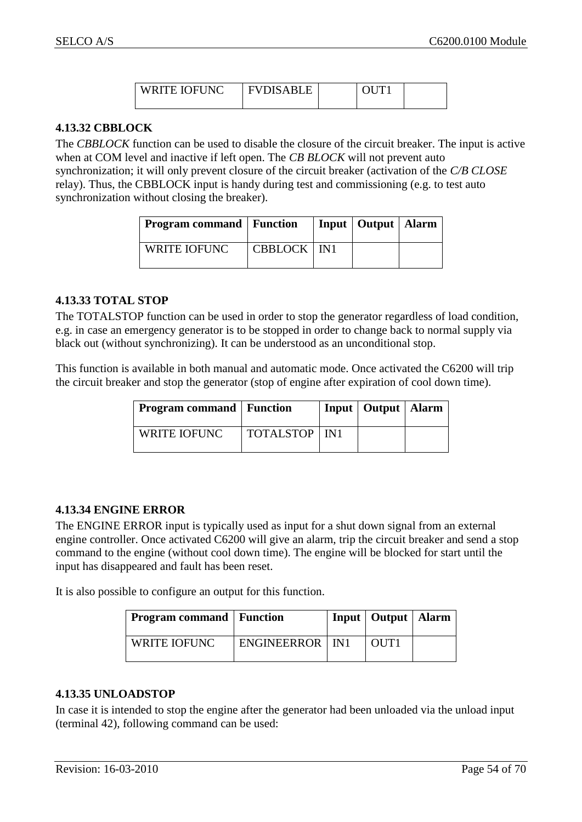| <b>WRITE IOFUNC</b> | EVINSARI<br>IJH |  |  |
|---------------------|-----------------|--|--|
|                     |                 |  |  |

#### <span id="page-53-0"></span>**4.13.32 CBBLOCK**

The *CBBLOCK* function can be used to disable the closure of the circuit breaker. The input is active when at COM level and inactive if left open. The *CB BLOCK* will not prevent auto synchronization; it will only prevent closure of the circuit breaker (activation of the *C/B CLOSE* relay). Thus, the CBBLOCK input is handy during test and commissioning (e.g. to test auto synchronization without closing the breaker).

| <b>Program command Function</b> |               | Input   Output   Alarm |  |
|---------------------------------|---------------|------------------------|--|
| <b>WRITE IOFUNC</b>             | CBBLOCK   IN1 |                        |  |

#### <span id="page-53-1"></span>**4.13.33 TOTAL STOP**

The TOTALSTOP function can be used in order to stop the generator regardless of load condition, e.g. in case an emergency generator is to be stopped in order to change back to normal supply via black out (without synchronizing). It can be understood as an unconditional stop.

This function is available in both manual and automatic mode. Once activated the C6200 will trip the circuit breaker and stop the generator (stop of engine after expiration of cool down time).

| <b>Program command</b>   Function |                        | Input   Output   Alarm |  |
|-----------------------------------|------------------------|------------------------|--|
| <b>WRITE IOFUNC</b>               | <b>TOTALSTOP</b>   IN1 |                        |  |

#### <span id="page-53-2"></span>**4.13.34 ENGINE ERROR**

The ENGINE ERROR input is typically used as input for a shut down signal from an external engine controller. Once activated C6200 will give an alarm, trip the circuit breaker and send a stop command to the engine (without cool down time). The engine will be blocked for start until the input has disappeared and fault has been reset.

It is also possible to configure an output for this function.

| Program command   Function |                   | Input   Output   Alarm |  |
|----------------------------|-------------------|------------------------|--|
| <b>WRITE IOFUNC</b>        | ENGINEERROR   IN1 | OUT1                   |  |

#### <span id="page-53-3"></span>**4.13.35 UNLOADSTOP**

In case it is intended to stop the engine after the generator had been unloaded via the unload input (terminal 42), following command can be used: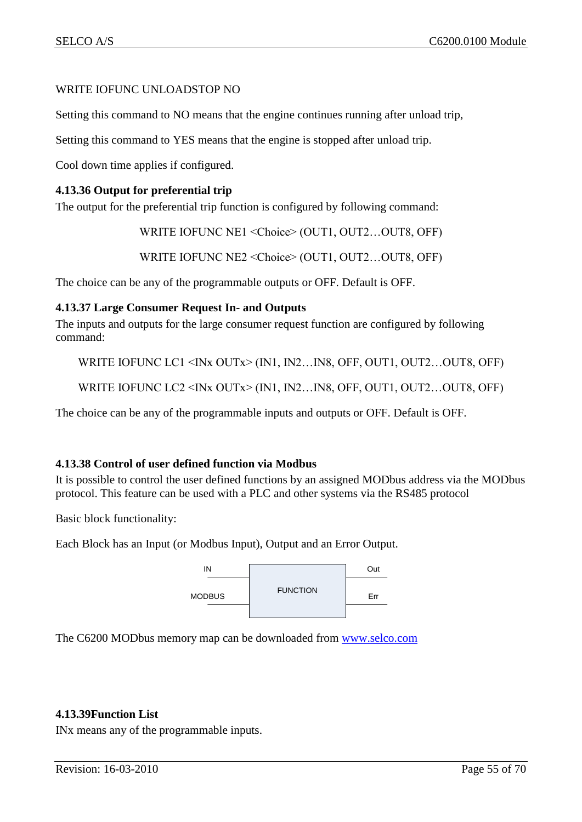## WRITE IOFUNC UNLOADSTOP NO

Setting this command to NO means that the engine continues running after unload trip,

Setting this command to YES means that the engine is stopped after unload trip.

Cool down time applies if configured.

## <span id="page-54-0"></span>**4.13.36 Output for preferential trip**

The output for the preferential trip function is configured by following command:

WRITE IOFUNC NE1 <Choice> (OUT1, OUT2…OUT8, OFF)

WRITE IOFUNC NE2 <Choice> (OUT1, OUT2…OUT8, OFF)

The choice can be any of the programmable outputs or OFF. Default is OFF.

#### <span id="page-54-1"></span>**4.13.37 Large Consumer Request In- and Outputs**

The inputs and outputs for the large consumer request function are configured by following command:

```
WRITE IOFUNC LC1 <INx OUTx> (IN1, IN2...IN8, OFF, OUT1, OUT2...OUT8, OFF)
```
WRITE IOFUNC LC2 <INx OUTx> (IN1, IN2...IN8, OFF, OUT1, OUT2...OUT8, OFF)

The choice can be any of the programmable inputs and outputs or OFF. Default is OFF.

#### <span id="page-54-2"></span>**4.13.38 Control of user defined function via Modbus**

It is possible to control the user defined functions by an assigned MODbus address via the MODbus protocol. This feature can be used with a PLC and other systems via the RS485 protocol

Basic block functionality:

Each Block has an Input (or Modbus Input), Output and an Error Output.



The C6200 MODbus memory map can be downloaded from [www.selco.com](http://www.selco.com/)

## <span id="page-54-3"></span>**4.13.39Function List**

INx means any of the programmable inputs.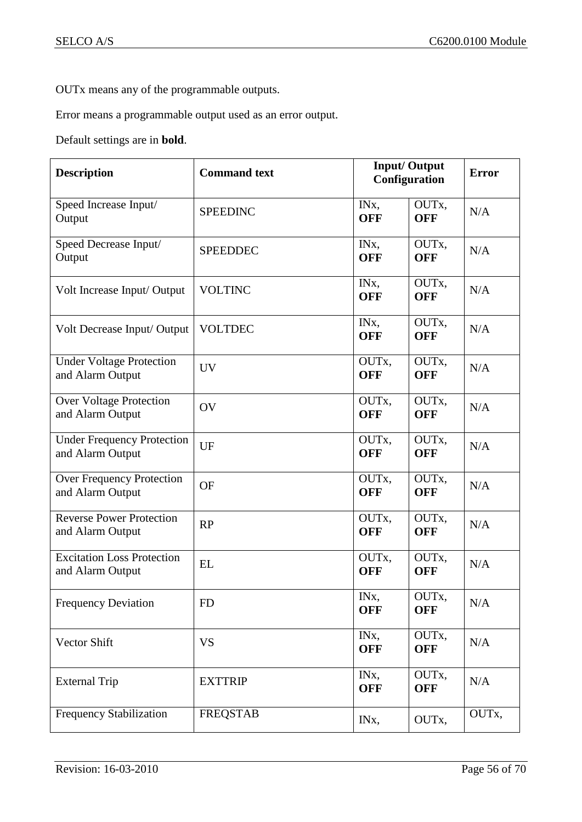OUTx means any of the programmable outputs.

Error means a programmable output used as an error output.

Default settings are in **bold**.

| <b>Description</b>                                    | <b>Command text</b> | <b>Input/Output</b><br>Configuration |                     | <b>Error</b> |
|-------------------------------------------------------|---------------------|--------------------------------------|---------------------|--------------|
| Speed Increase Input/<br>Output                       | <b>SPEEDINC</b>     | IN <sub>x</sub> ,<br><b>OFF</b>      | OUTx,<br><b>OFF</b> | N/A          |
| Speed Decrease Input/<br>Output                       | <b>SPEEDDEC</b>     | IN <sub>x</sub> ,<br><b>OFF</b>      | OUTx,<br><b>OFF</b> | N/A          |
| Volt Increase Input/ Output                           | <b>VOLTINC</b>      | IN <sub>x</sub><br><b>OFF</b>        | OUTx,<br><b>OFF</b> | N/A          |
| Volt Decrease Input/ Output                           | <b>VOLTDEC</b>      | IN <sub>x</sub> ,<br><b>OFF</b>      | OUTx,<br><b>OFF</b> | N/A          |
| <b>Under Voltage Protection</b><br>and Alarm Output   | <b>UV</b>           | OUTx,<br><b>OFF</b>                  | OUTx,<br><b>OFF</b> | N/A          |
| <b>Over Voltage Protection</b><br>and Alarm Output    | OV                  | OUTx,<br><b>OFF</b>                  | OUTx,<br><b>OFF</b> | N/A          |
| <b>Under Frequency Protection</b><br>and Alarm Output | UF                  | OUTx,<br><b>OFF</b>                  | OUTx,<br><b>OFF</b> | N/A          |
| Over Frequency Protection<br>and Alarm Output         | <b>OF</b>           | OUTx,<br><b>OFF</b>                  | OUTx,<br><b>OFF</b> | N/A          |
| <b>Reverse Power Protection</b><br>and Alarm Output   | RP                  | OUTx,<br><b>OFF</b>                  | OUTx,<br><b>OFF</b> | N/A          |
| <b>Excitation Loss Protection</b><br>and Alarm Output | <b>EL</b>           | OUTx,<br><b>OFF</b>                  | OUTx,<br><b>OFF</b> | N/A          |
| <b>Frequency Deviation</b>                            | <b>FD</b>           | IN <sub>x</sub> ,<br><b>OFF</b>      | OUTx,<br><b>OFF</b> | N/A          |
| Vector Shift                                          | <b>VS</b>           | IN <sub>x</sub><br><b>OFF</b>        | OUTx,<br><b>OFF</b> | N/A          |
| <b>External Trip</b>                                  | <b>EXTTRIP</b>      | IN <sub>x</sub> ,<br><b>OFF</b>      | OUTx,<br><b>OFF</b> | N/A          |
| <b>Frequency Stabilization</b>                        | <b>FREQSTAB</b>     | IN <sub>x</sub>                      | OUTx,               | OUTx,        |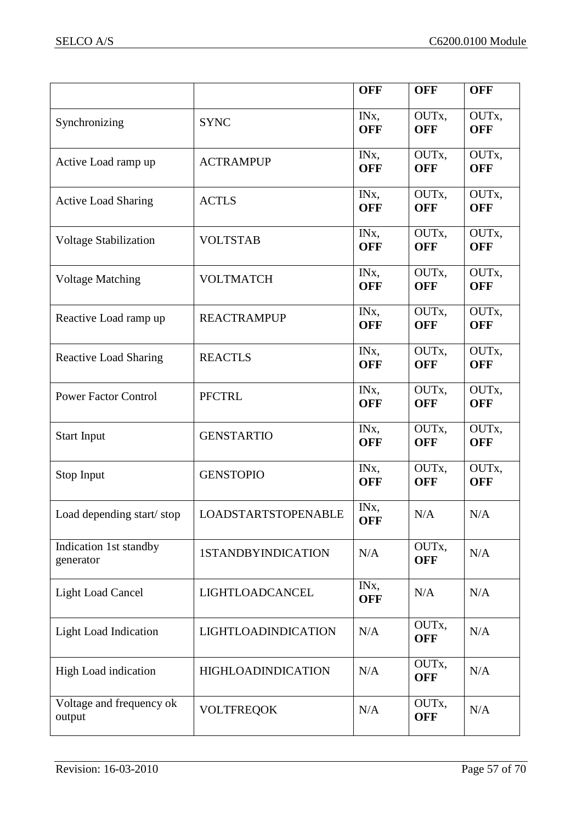|                                     |                            | <b>OFF</b>                      | <b>OFF</b>          | <b>OFF</b>          |
|-------------------------------------|----------------------------|---------------------------------|---------------------|---------------------|
| Synchronizing                       | <b>SYNC</b>                | IN <sub>x</sub> ,<br><b>OFF</b> | OUTx,<br><b>OFF</b> | OUTx,<br><b>OFF</b> |
| Active Load ramp up                 | <b>ACTRAMPUP</b>           | IN <sub>x</sub><br><b>OFF</b>   | OUTx,<br><b>OFF</b> | OUTx,<br><b>OFF</b> |
| <b>Active Load Sharing</b>          | <b>ACTLS</b>               | IN <sub>x</sub><br><b>OFF</b>   | OUTx,<br><b>OFF</b> | OUTx,<br><b>OFF</b> |
| <b>Voltage Stabilization</b>        | <b>VOLTSTAB</b>            | IN <sub>x</sub> ,<br><b>OFF</b> | OUTx,<br><b>OFF</b> | OUTx,<br><b>OFF</b> |
| <b>Voltage Matching</b>             | <b>VOLTMATCH</b>           | IN <sub>x</sub><br><b>OFF</b>   | OUTx,<br><b>OFF</b> | OUTx,<br><b>OFF</b> |
| Reactive Load ramp up               | <b>REACTRAMPUP</b>         | IN <sub>x</sub> ,<br><b>OFF</b> | OUTx,<br><b>OFF</b> | OUTx,<br><b>OFF</b> |
| <b>Reactive Load Sharing</b>        | <b>REACTLS</b>             | IN <sub>x</sub> ,<br><b>OFF</b> | OUTx,<br><b>OFF</b> | OUTx,<br><b>OFF</b> |
| <b>Power Factor Control</b>         | <b>PFCTRL</b>              | IN <sub>x</sub> ,<br><b>OFF</b> | OUTx,<br><b>OFF</b> | OUTx,<br><b>OFF</b> |
| <b>Start Input</b>                  | <b>GENSTARTIO</b>          | IN <sub>x</sub> ,<br><b>OFF</b> | OUTx,<br><b>OFF</b> | OUTx,<br><b>OFF</b> |
| Stop Input                          | <b>GENSTOPIO</b>           | IN <sub>x</sub> ,<br><b>OFF</b> | OUTx,<br><b>OFF</b> | OUTx,<br><b>OFF</b> |
| Load depending start/stop           | <b>LOADSTARTSTOPENABLE</b> | IN <sub>x</sub> ,<br><b>OFF</b> | N/A                 | N/A                 |
| Indication 1st standby<br>generator | 1STANDBYINDICATION         | N/A                             | OUTx,<br><b>OFF</b> | N/A                 |
| <b>Light Load Cancel</b>            | LIGHTLOADCANCEL            | IN <sub>x</sub><br><b>OFF</b>   | N/A                 | N/A                 |
| <b>Light Load Indication</b>        | LIGHTLOADINDICATION        | N/A                             | OUTx,<br><b>OFF</b> | N/A                 |
| <b>High Load indication</b>         | <b>HIGHLOADINDICATION</b>  | N/A                             | OUTx,<br><b>OFF</b> | N/A                 |
| Voltage and frequency ok<br>output  | <b>VOLTFREQOK</b>          | N/A                             | OUTx,<br><b>OFF</b> | N/A                 |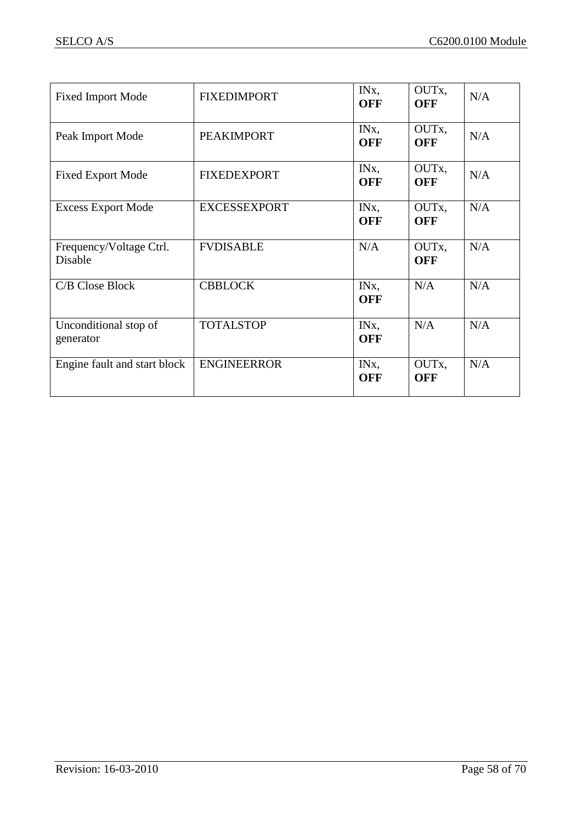| <b>Fixed Import Mode</b>           | <b>FIXEDIMPORT</b>  | IN <sub>x</sub><br><b>OFF</b>   | OUTx,<br><b>OFF</b>              | N/A |
|------------------------------------|---------------------|---------------------------------|----------------------------------|-----|
| Peak Import Mode                   | <b>PEAKIMPORT</b>   | IN <sub>x</sub><br><b>OFF</b>   | OUT <sub>x</sub> ,<br><b>OFF</b> | N/A |
| <b>Fixed Export Mode</b>           | <b>FIXEDEXPORT</b>  | IN <sub>x</sub><br><b>OFF</b>   | OUT <sub>x</sub><br><b>OFF</b>   | N/A |
| <b>Excess Export Mode</b>          | <b>EXCESSEXPORT</b> | IN <sub>x</sub><br><b>OFF</b>   | OUTx,<br><b>OFF</b>              | N/A |
| Frequency/Voltage Ctrl.<br>Disable | <b>FVDISABLE</b>    | N/A                             | OUT <sub>x</sub><br><b>OFF</b>   | N/A |
| C/B Close Block                    | <b>CBBLOCK</b>      | IN <sub>x</sub><br><b>OFF</b>   | N/A                              | N/A |
| Unconditional stop of<br>generator | <b>TOTALSTOP</b>    | IN <sub>x</sub> ,<br><b>OFF</b> | N/A                              | N/A |
| Engine fault and start block       | <b>ENGINEERROR</b>  | IN <sub>x</sub><br><b>OFF</b>   | OUT <sub>x</sub><br><b>OFF</b>   | N/A |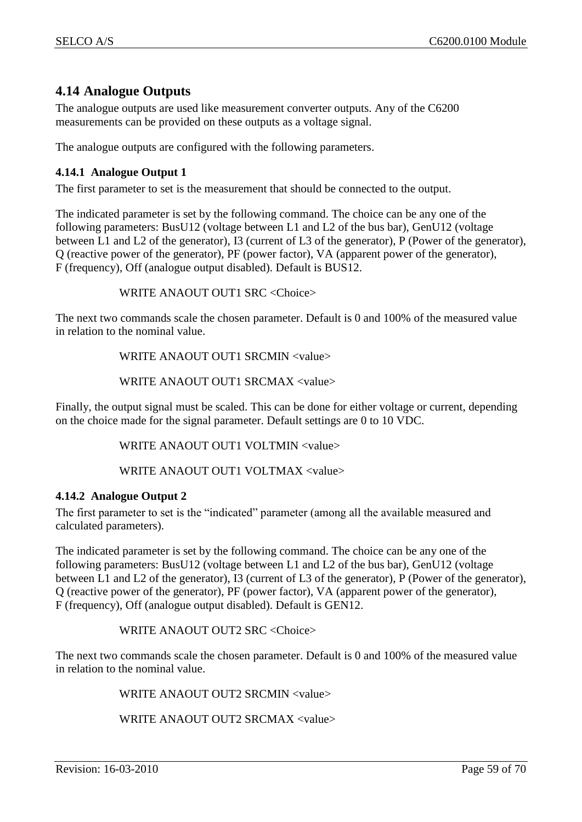# <span id="page-58-0"></span>**4.14 Analogue Outputs**

The analogue outputs are used like measurement converter outputs. Any of the C6200 measurements can be provided on these outputs as a voltage signal.

The analogue outputs are configured with the following parameters.

## <span id="page-58-1"></span>**4.14.1 Analogue Output 1**

The first parameter to set is the measurement that should be connected to the output.

The indicated parameter is set by the following command. The choice can be any one of the following parameters: BusU12 (voltage between L1 and L2 of the bus bar), GenU12 (voltage between L1 and L2 of the generator), I3 (current of L3 of the generator), P (Power of the generator), Q (reactive power of the generator), PF (power factor), VA (apparent power of the generator), F (frequency), Off (analogue output disabled). Default is BUS12.

WRITE ANAOUT OUT1 SRC <Choice>

The next two commands scale the chosen parameter. Default is 0 and 100% of the measured value in relation to the nominal value.

WRITE ANAOUT OUT1 SRCMIN <value>

WRITE ANAOUT OUT1 SRCMAX <value>

Finally, the output signal must be scaled. This can be done for either voltage or current, depending on the choice made for the signal parameter. Default settings are 0 to 10 VDC.

WRITE ANAOUT OUT1 VOLTMIN <value>

WRITE ANAOUT OUT1 VOLTMAX <value>

## <span id="page-58-2"></span>**4.14.2 Analogue Output 2**

The first parameter to set is the "indicated" parameter (among all the available measured and calculated parameters).

The indicated parameter is set by the following command. The choice can be any one of the following parameters: BusU12 (voltage between L1 and L2 of the bus bar), GenU12 (voltage between L1 and L2 of the generator), I3 (current of L3 of the generator), P (Power of the generator), Q (reactive power of the generator), PF (power factor), VA (apparent power of the generator), F (frequency), Off (analogue output disabled). Default is GEN12.

WRITE ANAOUT OUT2 SRC <Choice>

The next two commands scale the chosen parameter. Default is 0 and 100% of the measured value in relation to the nominal value.

WRITE ANAOUT OUT2 SRCMIN <value>

WRITE ANAOUT OUT2 SRCMAX <value>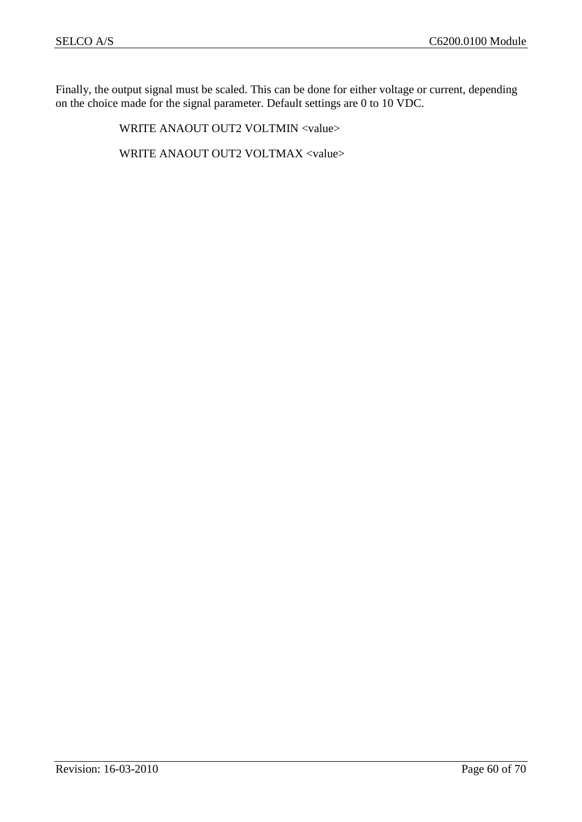Finally, the output signal must be scaled. This can be done for either voltage or current, depending on the choice made for the signal parameter. Default settings are 0 to 10 VDC.

WRITE ANAOUT OUT2 VOLTMIN <value>

WRITE ANAOUT OUT2 VOLTMAX <value>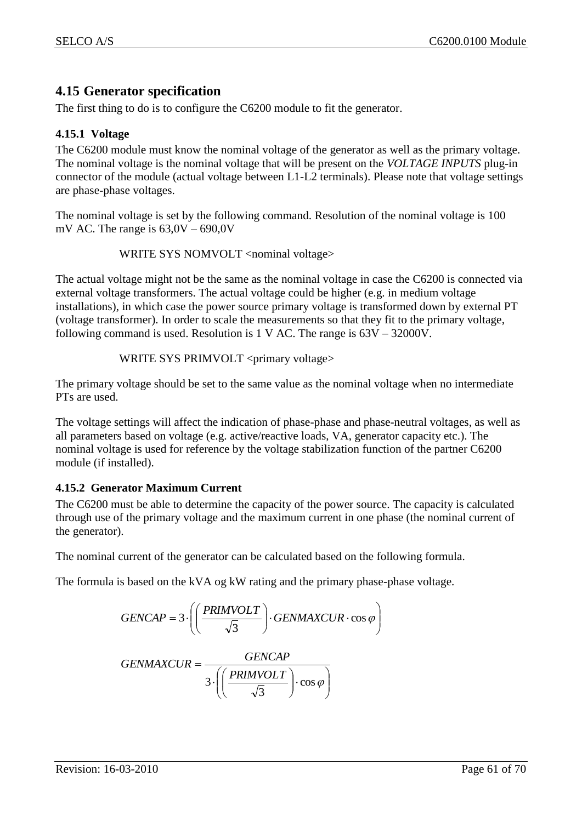# <span id="page-60-0"></span>**4.15 Generator specification**

The first thing to do is to configure the C6200 module to fit the generator.

## <span id="page-60-1"></span>**4.15.1 Voltage**

The C6200 module must know the nominal voltage of the generator as well as the primary voltage. The nominal voltage is the nominal voltage that will be present on the *VOLTAGE INPUTS* plug-in connector of the module (actual voltage between L1-L2 terminals). Please note that voltage settings are phase-phase voltages.

The nominal voltage is set by the following command. Resolution of the nominal voltage is 100 mV AC. The range is  $63,0V - 690,0V$ 

```
WRITE SYS NOMVOLT <nominal voltage>
```
The actual voltage might not be the same as the nominal voltage in case the C6200 is connected via external voltage transformers. The actual voltage could be higher (e.g. in medium voltage installations), in which case the power source primary voltage is transformed down by external PT (voltage transformer). In order to scale the measurements so that they fit to the primary voltage, following command is used. Resolution is 1 V AC. The range is 63V – 32000V.

WRITE SYS PRIMVOLT <primary voltage>

The primary voltage should be set to the same value as the nominal voltage when no intermediate PTs are used.

The voltage settings will affect the indication of phase-phase and phase-neutral voltages, as well as all parameters based on voltage (e.g. active/reactive loads, VA, generator capacity etc.). The nominal voltage is used for reference by the voltage stabilization function of the partner C6200 module (if installed).

## <span id="page-60-2"></span>**4.15.2 Generator Maximum Current**

The C6200 must be able to determine the capacity of the power source. The capacity is calculated through use of the primary voltage and the maximum current in one phase (the nominal current of the generator).

The nominal current of the generator can be calculated based on the following formula.

The formula is based on the kVA og kW rating and the primary phase-phase voltage.

$$
GENCAP = 3 \cdot \left( \left( \frac{PRINVOLT}{\sqrt{3}} \right) \cdot GENMAXCUR \cdot \cos \varphi \right)
$$

  $\bigg)$  $\setminus$  $\overline{\phantom{a}}$  $\setminus$ ſ  $\vert \cdot$ J  $\setminus$  $\overline{\phantom{a}}$  $\setminus$  $\cdot \int$  $=$  $\cos \varphi$ 3 3 *PRIMVOLT GENCAP GENMAXCUR*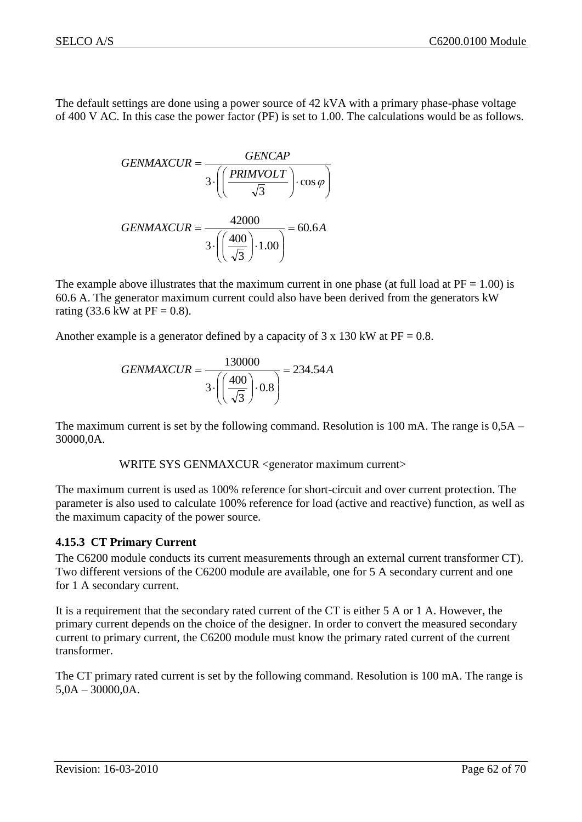The default settings are done using a power source of 42 kVA with a primary phase-phase voltage of 400 V AC. In this case the power factor (PF) is set to 1.00. The calculations would be as follows.

$$
GENMAXCUR = \frac{GENCAP}{3 \cdot \left( \left( \frac{PRINVOLT}{\sqrt{3}} \right) \cdot \cos \varphi \right)}
$$

$$
GENMAXCUR = \frac{42000}{3 \cdot \left( \left( \frac{400}{\sqrt{3}} \right) \cdot 1.00 \right)} = 60.6A
$$

The example above illustrates that the maximum current in one phase (at full load at  $PF = 1.00$ ) is 60.6 A. The generator maximum current could also have been derived from the generators kW rating (33.6 kW at  $PF = 0.8$ ).

Another example is a generator defined by a capacity of  $3 \times 130$  kW at PF = 0.8.

$$
GENMAXCUR = \frac{130000}{3 \cdot \left( \left( \frac{400}{\sqrt{3}} \right) \cdot 0.8 \right)} = 234.54A
$$

The maximum current is set by the following command. Resolution is 100 mA. The range is  $0.5A$  – 30000,0A.

WRITE SYS GENMAXCUR <generator maximum current>

The maximum current is used as 100% reference for short-circuit and over current protection. The parameter is also used to calculate 100% reference for load (active and reactive) function, as well as the maximum capacity of the power source.

## <span id="page-61-0"></span>**4.15.3 CT Primary Current**

The C6200 module conducts its current measurements through an external current transformer CT). Two different versions of the C6200 module are available, one for 5 A secondary current and one for 1 A secondary current.

It is a requirement that the secondary rated current of the CT is either 5 A or 1 A. However, the primary current depends on the choice of the designer. In order to convert the measured secondary current to primary current, the C6200 module must know the primary rated current of the current transformer.

The CT primary rated current is set by the following command. Resolution is 100 mA. The range is 5,0A – 30000,0A.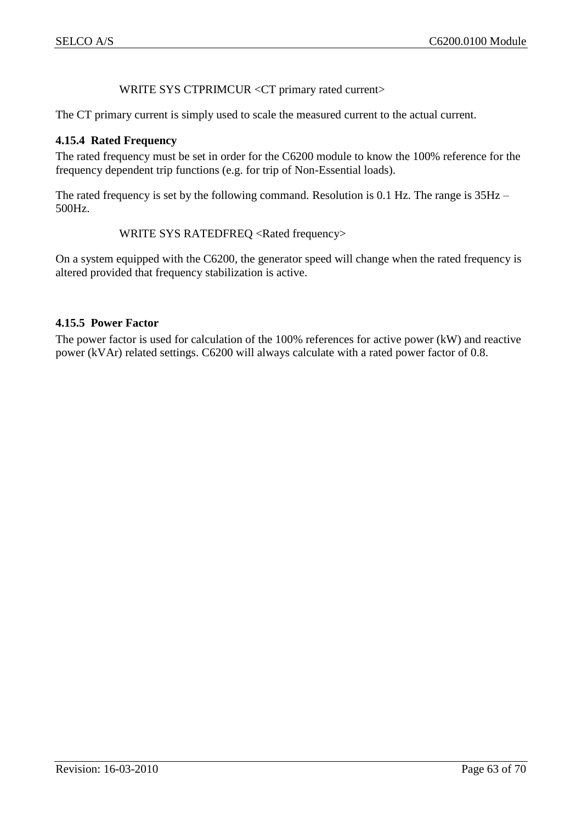## WRITE SYS CTPRIMCUR <CT primary rated current>

The CT primary current is simply used to scale the measured current to the actual current.

#### <span id="page-62-0"></span>**4.15.4 Rated Frequency**

The rated frequency must be set in order for the C6200 module to know the 100% reference for the frequency dependent trip functions (e.g. for trip of Non-Essential loads).

The rated frequency is set by the following command. Resolution is 0.1 Hz. The range is 35Hz – 500Hz.

#### WRITE SYS RATEDFREQ <Rated frequency>

On a system equipped with the C6200, the generator speed will change when the rated frequency is altered provided that frequency stabilization is active.

#### <span id="page-62-1"></span>**4.15.5 Power Factor**

The power factor is used for calculation of the 100% references for active power (kW) and reactive power (kVAr) related settings. C6200 will always calculate with a rated power factor of 0.8.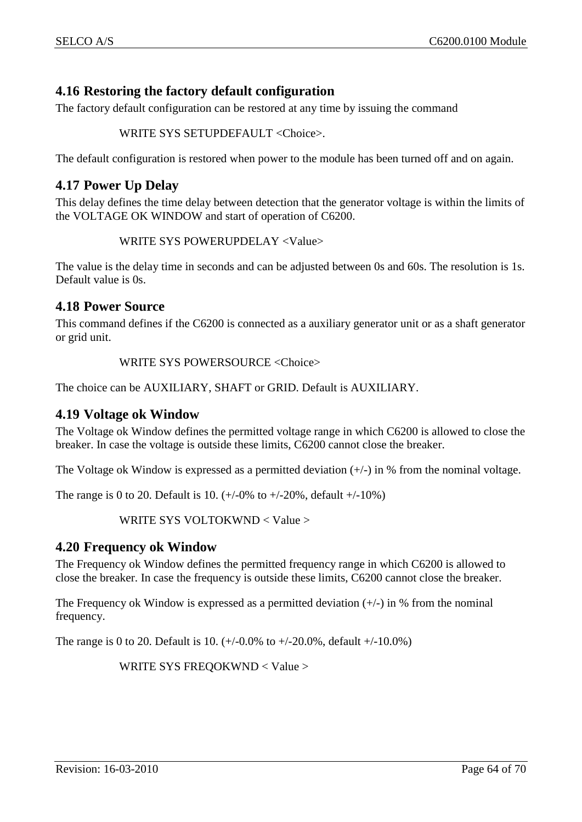# <span id="page-63-0"></span>**4.16 Restoring the factory default configuration**

The factory default configuration can be restored at any time by issuing the command

WRITE SYS SETUPDEFAULT <Choice>.

The default configuration is restored when power to the module has been turned off and on again.

## <span id="page-63-1"></span>**4.17 Power Up Delay**

This delay defines the time delay between detection that the generator voltage is within the limits of the VOLTAGE OK WINDOW and start of operation of C6200.

WRITE SYS POWERUPDELAY <Value>

The value is the delay time in seconds and can be adjusted between 0s and 60s. The resolution is 1s. Default value is 0s.

## <span id="page-63-2"></span>**4.18 Power Source**

This command defines if the C6200 is connected as a auxiliary generator unit or as a shaft generator or grid unit.

WRITE SYS POWERSOURCE <Choice>

The choice can be AUXILIARY, SHAFT or GRID. Default is AUXILIARY.

## <span id="page-63-3"></span>**4.19 Voltage ok Window**

The Voltage ok Window defines the permitted voltage range in which C6200 is allowed to close the breaker. In case the voltage is outside these limits, C6200 cannot close the breaker.

The Voltage ok Window is expressed as a permitted deviation  $(+/-)$  in % from the nominal voltage.

The range is 0 to 20. Default is 10.  $(+/-0\% \text{ to } +/-20\%$ , default  $+/-10\%)$ 

WRITE SYS VOLTOKWND < Value >

## <span id="page-63-4"></span>**4.20 Frequency ok Window**

The Frequency ok Window defines the permitted frequency range in which C6200 is allowed to close the breaker. In case the frequency is outside these limits, C6200 cannot close the breaker.

The Frequency ok Window is expressed as a permitted deviation  $(+/-)$  in % from the nominal frequency.

The range is 0 to 20. Default is 10.  $(+/-0.0\% \text{ to } +/-20.0\%$ , default  $+/-10.0\%$ )

WRITE SYS FREQOKWND < Value >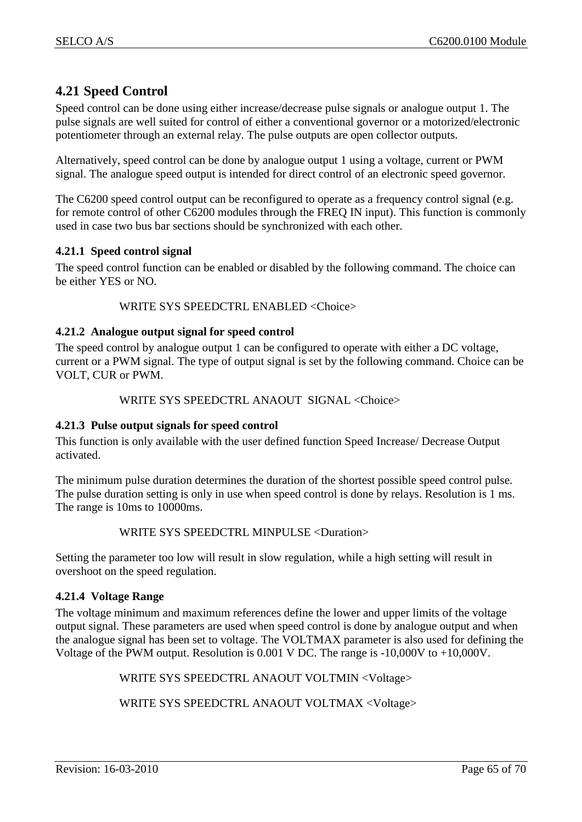# <span id="page-64-0"></span>**4.21 Speed Control**

Speed control can be done using either increase/decrease pulse signals or analogue output 1. The pulse signals are well suited for control of either a conventional governor or a motorized/electronic potentiometer through an external relay. The pulse outputs are open collector outputs.

Alternatively, speed control can be done by analogue output 1 using a voltage, current or PWM signal. The analogue speed output is intended for direct control of an electronic speed governor.

The C6200 speed control output can be reconfigured to operate as a frequency control signal (e.g. for remote control of other C6200 modules through the FREQ IN input). This function is commonly used in case two bus bar sections should be synchronized with each other.

## <span id="page-64-1"></span>**4.21.1 Speed control signal**

The speed control function can be enabled or disabled by the following command. The choice can be either YES or NO.

#### WRITE SYS SPEEDCTRL ENABLED <Choice>

#### <span id="page-64-2"></span>**4.21.2 Analogue output signal for speed control**

The speed control by analogue output 1 can be configured to operate with either a DC voltage, current or a PWM signal. The type of output signal is set by the following command. Choice can be VOLT, CUR or PWM.

#### WRITE SYS SPEEDCTRL ANAOUT SIGNAL <Choice>

#### <span id="page-64-3"></span>**4.21.3 Pulse output signals for speed control**

This function is only available with the user defined function Speed Increase/ Decrease Output activated.

The minimum pulse duration determines the duration of the shortest possible speed control pulse. The pulse duration setting is only in use when speed control is done by relays. Resolution is 1 ms. The range is 10ms to 10000ms.

#### WRITE SYS SPEEDCTRL MINPULSE <Duration>

Setting the parameter too low will result in slow regulation, while a high setting will result in overshoot on the speed regulation.

#### <span id="page-64-4"></span>**4.21.4 Voltage Range**

The voltage minimum and maximum references define the lower and upper limits of the voltage output signal. These parameters are used when speed control is done by analogue output and when the analogue signal has been set to voltage. The VOLTMAX parameter is also used for defining the Voltage of the PWM output. Resolution is 0.001 V DC. The range is -10,000V to +10,000V.

WRITE SYS SPEEDCTRL ANAOUT VOLTMIN <Voltage>

WRITE SYS SPEEDCTRL ANAOUT VOLTMAX <Voltage>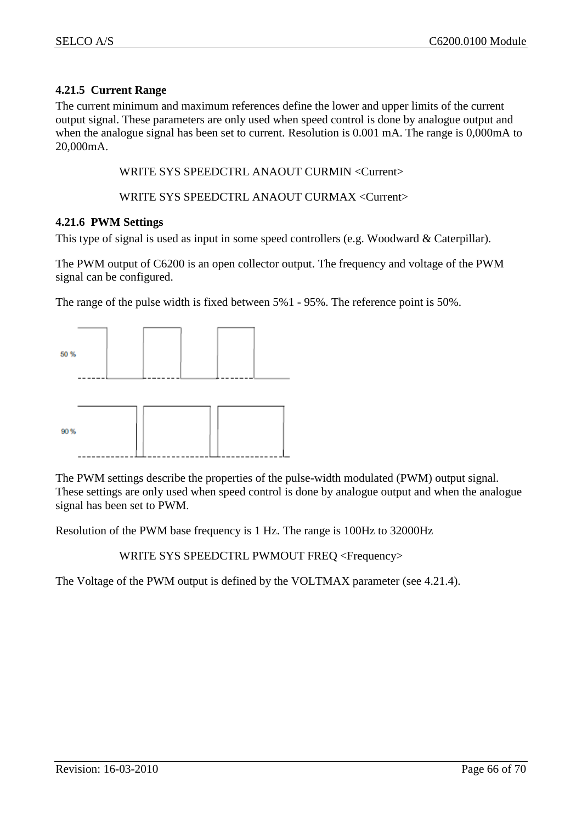## <span id="page-65-0"></span>**4.21.5 Current Range**

The current minimum and maximum references define the lower and upper limits of the current output signal. These parameters are only used when speed control is done by analogue output and when the analogue signal has been set to current. Resolution is 0.001 mA. The range is 0,000mA to 20,000mA.

WRITE SYS SPEEDCTRL ANAOUT CURMIN <Current>

WRITE SYS SPEEDCTRL ANAOUT CURMAX <Current>

#### <span id="page-65-1"></span>**4.21.6 PWM Settings**

This type of signal is used as input in some speed controllers (e.g. Woodward & Caterpillar).

The PWM output of C6200 is an open collector output. The frequency and voltage of the PWM signal can be configured.

The range of the pulse width is fixed between 5%1 - 95%. The reference point is 50%.



The PWM settings describe the properties of the pulse-width modulated (PWM) output signal. These settings are only used when speed control is done by analogue output and when the analogue signal has been set to PWM.

Resolution of the PWM base frequency is 1 Hz. The range is 100Hz to 32000Hz

WRITE SYS SPEEDCTRL PWMOUT FREQ <Frequency>

The Voltage of the PWM output is defined by the VOLTMAX parameter (see [4.21.4\)](#page-64-4).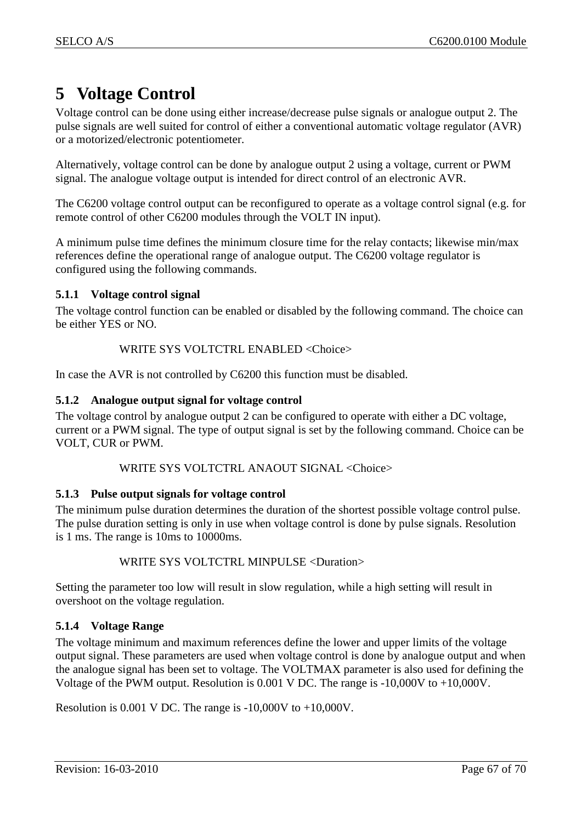# <span id="page-66-0"></span>**5 Voltage Control**

Voltage control can be done using either increase/decrease pulse signals or analogue output 2. The pulse signals are well suited for control of either a conventional automatic voltage regulator (AVR) or a motorized/electronic potentiometer.

Alternatively, voltage control can be done by analogue output 2 using a voltage, current or PWM signal. The analogue voltage output is intended for direct control of an electronic AVR.

The C6200 voltage control output can be reconfigured to operate as a voltage control signal (e.g. for remote control of other C6200 modules through the VOLT IN input).

A minimum pulse time defines the minimum closure time for the relay contacts; likewise min/max references define the operational range of analogue output. The C6200 voltage regulator is configured using the following commands.

## <span id="page-66-1"></span>**5.1.1 Voltage control signal**

The voltage control function can be enabled or disabled by the following command. The choice can be either YES or NO.

## WRITE SYS VOLTCTRL ENABLED <Choice>

In case the AVR is not controlled by C6200 this function must be disabled.

## <span id="page-66-2"></span>**5.1.2 Analogue output signal for voltage control**

The voltage control by analogue output 2 can be configured to operate with either a DC voltage, current or a PWM signal. The type of output signal is set by the following command. Choice can be VOLT, CUR or PWM.

## WRITE SYS VOLTCTRL ANAOUT SIGNAL <Choice>

## <span id="page-66-3"></span>**5.1.3 Pulse output signals for voltage control**

The minimum pulse duration determines the duration of the shortest possible voltage control pulse. The pulse duration setting is only in use when voltage control is done by pulse signals. Resolution is 1 ms. The range is 10ms to 10000ms.

## WRITE SYS VOLTCTRL MINPULSE <Duration>

Setting the parameter too low will result in slow regulation, while a high setting will result in overshoot on the voltage regulation.

## <span id="page-66-4"></span>**5.1.4 Voltage Range**

The voltage minimum and maximum references define the lower and upper limits of the voltage output signal. These parameters are used when voltage control is done by analogue output and when the analogue signal has been set to voltage. The VOLTMAX parameter is also used for defining the Voltage of the PWM output. Resolution is 0.001 V DC. The range is -10,000V to +10,000V.

Resolution is 0.001 V DC. The range is -10,000V to +10,000V.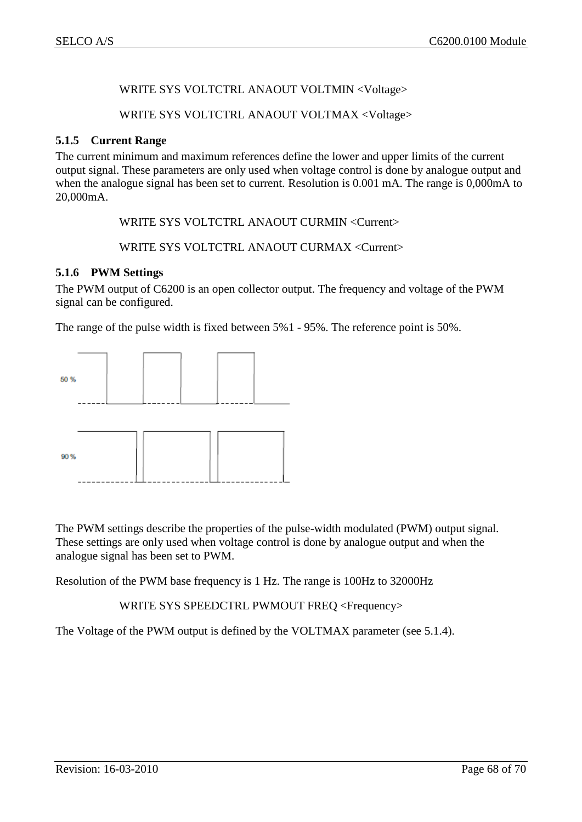## WRITE SYS VOLTCTRL ANAOUT VOLTMIN <Voltage>

#### WRITE SYS VOLTCTRL ANAOUT VOLTMAX <Voltage>

#### <span id="page-67-0"></span>**5.1.5 Current Range**

The current minimum and maximum references define the lower and upper limits of the current output signal. These parameters are only used when voltage control is done by analogue output and when the analogue signal has been set to current. Resolution is 0.001 mA. The range is 0,000mA to 20,000mA.

WRITE SYS VOLTCTRL ANAOUT CURMIN <Current>

WRITE SYS VOLTCTRL ANAOUT CURMAX <Current>

## <span id="page-67-1"></span>**5.1.6 PWM Settings**

The PWM output of C6200 is an open collector output. The frequency and voltage of the PWM signal can be configured.

The range of the pulse width is fixed between 5%1 - 95%. The reference point is 50%.



The PWM settings describe the properties of the pulse-width modulated (PWM) output signal. These settings are only used when voltage control is done by analogue output and when the analogue signal has been set to PWM.

Resolution of the PWM base frequency is 1 Hz. The range is 100Hz to 32000Hz

WRITE SYS SPEEDCTRL PWMOUT FREQ <Frequency>

The Voltage of the PWM output is defined by the VOLTMAX parameter (see [5.1.4\)](#page-66-4).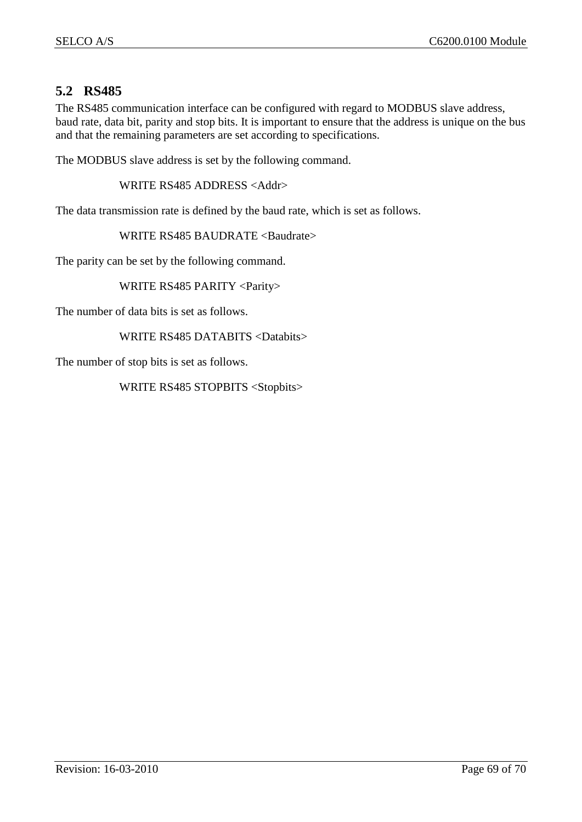# <span id="page-68-0"></span>**5.2 RS485**

The RS485 communication interface can be configured with regard to MODBUS slave address, baud rate, data bit, parity and stop bits. It is important to ensure that the address is unique on the bus and that the remaining parameters are set according to specifications.

The MODBUS slave address is set by the following command.

WRITE RS485 ADDRESS <Addr>

The data transmission rate is defined by the baud rate, which is set as follows.

WRITE RS485 BAUDRATE <Baudrate>

The parity can be set by the following command.

WRITE RS485 PARITY <Parity>

The number of data bits is set as follows.

WRITE RS485 DATABITS <Databits>

The number of stop bits is set as follows.

WRITE RS485 STOPBITS <Stopbits>